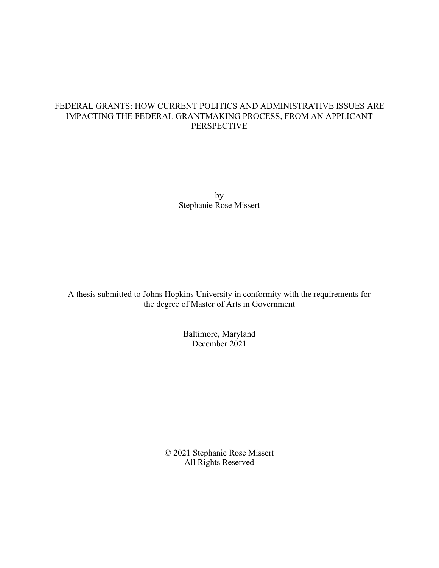### FEDERAL GRANTS: HOW CURRENT POLITICS AND ADMINISTRATIVE ISSUES ARE IMPACTING THE FEDERAL GRANTMAKING PROCESS, FROM AN APPLICANT PERSPECTIVE

by Stephanie Rose Missert

A thesis submitted to Johns Hopkins University in conformity with the requirements for the degree of Master of Arts in Government

> Baltimore, Maryland December 2021

© 2021 Stephanie Rose Missert All Rights Reserved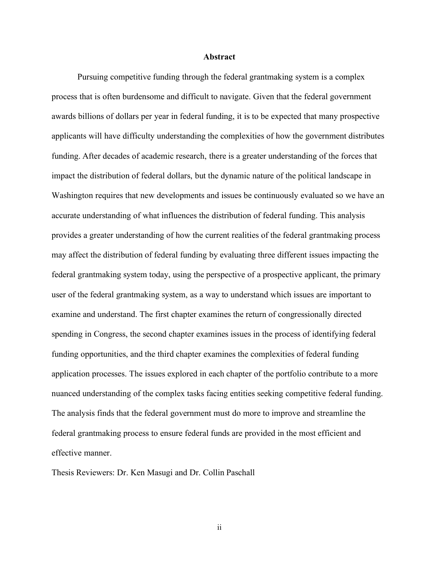#### **Abstract**

Pursuing competitive funding through the federal grantmaking system is a complex process that is often burdensome and difficult to navigate. Given that the federal government awards billions of dollars per year in federal funding, it is to be expected that many prospective applicants will have difficulty understanding the complexities of how the government distributes funding. After decades of academic research, there is a greater understanding of the forces that impact the distribution of federal dollars, but the dynamic nature of the political landscape in Washington requires that new developments and issues be continuously evaluated so we have an accurate understanding of what influences the distribution of federal funding. This analysis provides a greater understanding of how the current realities of the federal grantmaking process may affect the distribution of federal funding by evaluating three different issues impacting the federal grantmaking system today, using the perspective of a prospective applicant, the primary user of the federal grantmaking system, as a way to understand which issues are important to examine and understand. The first chapter examines the return of congressionally directed spending in Congress, the second chapter examines issues in the process of identifying federal funding opportunities, and the third chapter examines the complexities of federal funding application processes. The issues explored in each chapter of the portfolio contribute to a more nuanced understanding of the complex tasks facing entities seeking competitive federal funding. The analysis finds that the federal government must do more to improve and streamline the federal grantmaking process to ensure federal funds are provided in the most efficient and effective manner.

Thesis Reviewers: Dr. Ken Masugi and Dr. Collin Paschall

ii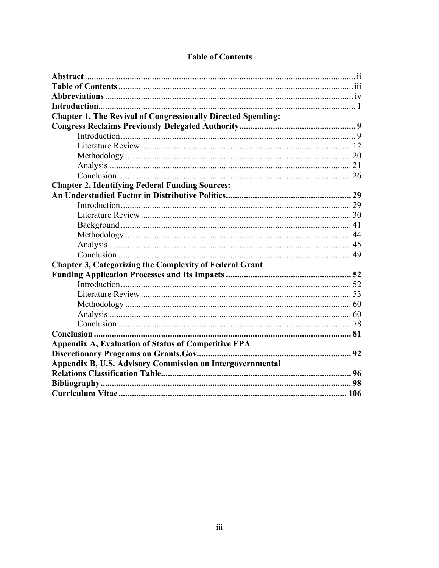| <b>Chapter 1, The Revival of Congressionally Directed Spending:</b> |  |
|---------------------------------------------------------------------|--|
|                                                                     |  |
|                                                                     |  |
|                                                                     |  |
|                                                                     |  |
|                                                                     |  |
|                                                                     |  |
| <b>Chapter 2, Identifying Federal Funding Sources:</b>              |  |
|                                                                     |  |
|                                                                     |  |
|                                                                     |  |
|                                                                     |  |
|                                                                     |  |
|                                                                     |  |
|                                                                     |  |
| <b>Chapter 3, Categorizing the Complexity of Federal Grant</b>      |  |
|                                                                     |  |
|                                                                     |  |
|                                                                     |  |
|                                                                     |  |
|                                                                     |  |
|                                                                     |  |
|                                                                     |  |
| Appendix A, Evaluation of Status of Competitive EPA                 |  |
|                                                                     |  |
| Appendix B, U.S. Advisory Commission on Intergovernmental           |  |
|                                                                     |  |
|                                                                     |  |
|                                                                     |  |

## **Table of Contents**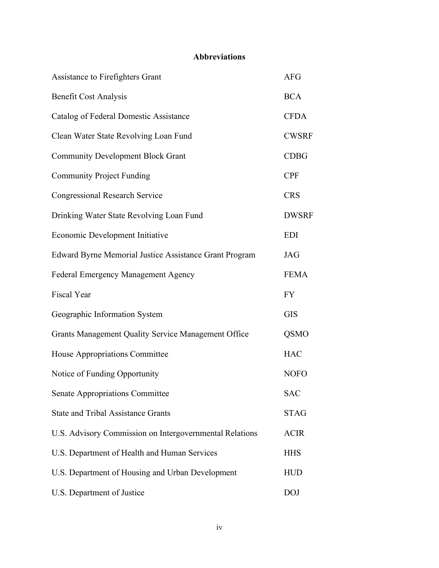# **Abbreviations**

| Assistance to Firefighters Grant                        | <b>AFG</b>   |
|---------------------------------------------------------|--------------|
| <b>Benefit Cost Analysis</b>                            | <b>BCA</b>   |
| Catalog of Federal Domestic Assistance                  | <b>CFDA</b>  |
| Clean Water State Revolving Loan Fund                   | <b>CWSRF</b> |
| <b>Community Development Block Grant</b>                | <b>CDBG</b>  |
| <b>Community Project Funding</b>                        | <b>CPF</b>   |
| <b>Congressional Research Service</b>                   | <b>CRS</b>   |
| Drinking Water State Revolving Loan Fund                | <b>DWSRF</b> |
| Economic Development Initiative                         | <b>EDI</b>   |
| Edward Byrne Memorial Justice Assistance Grant Program  | <b>JAG</b>   |
| Federal Emergency Management Agency                     | <b>FEMA</b>  |
| Fiscal Year                                             | <b>FY</b>    |
| Geographic Information System                           | <b>GIS</b>   |
| Grants Management Quality Service Management Office     | <b>QSMO</b>  |
| House Appropriations Committee                          | <b>HAC</b>   |
| Notice of Funding Opportunity                           | <b>NOFO</b>  |
| Senate Appropriations Committee                         | <b>SAC</b>   |
| <b>State and Tribal Assistance Grants</b>               | <b>STAG</b>  |
| U.S. Advisory Commission on Intergovernmental Relations | <b>ACIR</b>  |
| U.S. Department of Health and Human Services            | <b>HHS</b>   |
| U.S. Department of Housing and Urban Development        | <b>HUD</b>   |
| U.S. Department of Justice                              | <b>DOJ</b>   |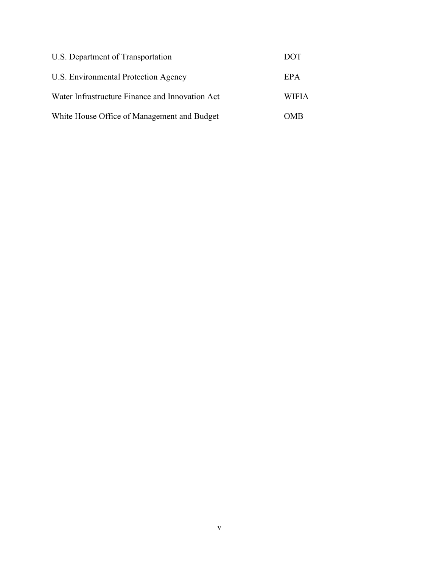| U.S. Department of Transportation               | DOT          |
|-------------------------------------------------|--------------|
| U.S. Environmental Protection Agency            | EPA          |
| Water Infrastructure Finance and Innovation Act | <b>WIFIA</b> |
| White House Office of Management and Budget     | OMB          |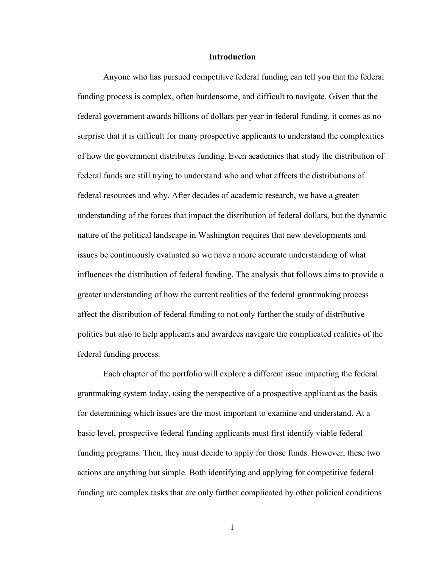#### **Introduction**

Anyone who has pursued competitive federal funding can tell you that the federal funding process is complex, often burdensome, and difficult to navigate. Given that the federal government awards billions of dollars per year in federal funding, it comes as no surprise that it is difficult for many prospective applicants to understand the complexities of how the government distributes funding. Even academics that study the distribution of federal funds are still trying to understand who and what affects the distributions of federal resources and why. After decades of academic research, we have a greater understanding of the forces that impact the distribution of federal dollars, but the dynamic nature of the political landscape in Washington requires that new developments and issues be continuously evaluated so we have a more accurate understanding of what influences the distribution of federal funding. The analysis that follows aims to provide a greater understanding of how the current realities of the federal grantmaking process affect the distribution of federal funding to not only further the study of distributive politics but also to help applicants and awardees navigate the complicated realities of the federal funding process.

Each chapter of the portfolio will explore a different issue impacting the federal grantmaking system today, using the perspective of a prospective applicant as the basis for determining which issues are the most important to examine and understand. At a basic level, prospective federal funding applicants must first identify viable federal funding programs. Then, they must decide to apply for those funds. However, these two actions are anything but simple. Both identifying and applying for competitive federal funding are complex tasks that are only further complicated by other political conditions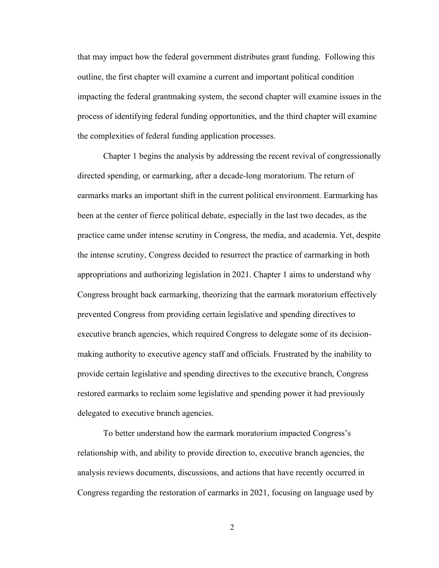that may impact how the federal government distributes grant funding. Following this outline, the first chapter will examine a current and important political condition impacting the federal grantmaking system, the second chapter will examine issues in the process of identifying federal funding opportunities, and the third chapter will examine the complexities of federal funding application processes.

Chapter 1 begins the analysis by addressing the recent revival of congressionally directed spending, or earmarking, after a decade-long moratorium. The return of earmarks marks an important shift in the current political environment. Earmarking has been at the center of fierce political debate, especially in the last two decades, as the practice came under intense scrutiny in Congress, the media, and academia. Yet, despite the intense scrutiny, Congress decided to resurrect the practice of earmarking in both appropriations and authorizing legislation in 2021. Chapter 1 aims to understand why Congress brought back earmarking, theorizing that the earmark moratorium effectively prevented Congress from providing certain legislative and spending directives to executive branch agencies, which required Congress to delegate some of its decisionmaking authority to executive agency staff and officials. Frustrated by the inability to provide certain legislative and spending directives to the executive branch, Congress restored earmarks to reclaim some legislative and spending power it had previously delegated to executive branch agencies.

To better understand how the earmark moratorium impacted Congress's relationship with, and ability to provide direction to, executive branch agencies, the analysis reviews documents, discussions, and actions that have recently occurred in Congress regarding the restoration of earmarks in 2021, focusing on language used by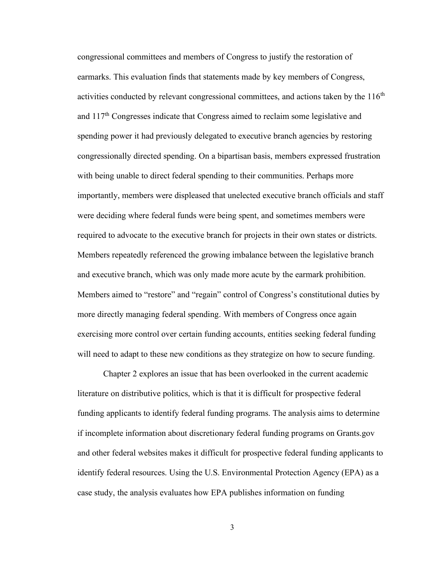congressional committees and members of Congress to justify the restoration of earmarks. This evaluation finds that statements made by key members of Congress, activities conducted by relevant congressional committees, and actions taken by the  $116<sup>th</sup>$ and  $117<sup>th</sup>$  Congresses indicate that Congress aimed to reclaim some legislative and spending power it had previously delegated to executive branch agencies by restoring congressionally directed spending. On a bipartisan basis, members expressed frustration with being unable to direct federal spending to their communities. Perhaps more importantly, members were displeased that unelected executive branch officials and staff were deciding where federal funds were being spent, and sometimes members were required to advocate to the executive branch for projects in their own states or districts. Members repeatedly referenced the growing imbalance between the legislative branch and executive branch, which was only made more acute by the earmark prohibition. Members aimed to "restore" and "regain" control of Congress's constitutional duties by more directly managing federal spending. With members of Congress once again exercising more control over certain funding accounts, entities seeking federal funding will need to adapt to these new conditions as they strategize on how to secure funding.

Chapter 2 explores an issue that has been overlooked in the current academic literature on distributive politics, which is that it is difficult for prospective federal funding applicants to identify federal funding programs. The analysis aims to determine if incomplete information about discretionary federal funding programs on Grants.gov and other federal websites makes it difficult for prospective federal funding applicants to identify federal resources. Using the U.S. Environmental Protection Agency (EPA) as a case study, the analysis evaluates how EPA publishes information on funding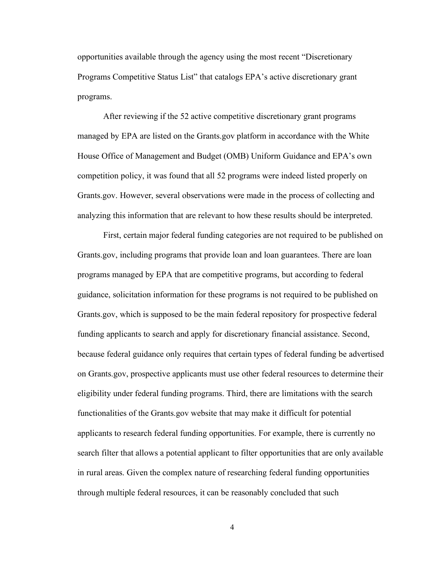opportunities available through the agency using the most recent "Discretionary Programs Competitive Status List" that catalogs EPA's active discretionary grant programs.

After reviewing if the 52 active competitive discretionary grant programs managed by EPA are listed on the Grants.gov platform in accordance with the White House Office of Management and Budget (OMB) Uniform Guidance and EPA's own competition policy, it was found that all 52 programs were indeed listed properly on Grants.gov. However, several observations were made in the process of collecting and analyzing this information that are relevant to how these results should be interpreted.

First, certain major federal funding categories are not required to be published on Grants.gov, including programs that provide loan and loan guarantees. There are loan programs managed by EPA that are competitive programs, but according to federal guidance, solicitation information for these programs is not required to be published on Grants.gov, which is supposed to be the main federal repository for prospective federal funding applicants to search and apply for discretionary financial assistance. Second, because federal guidance only requires that certain types of federal funding be advertised on Grants.gov, prospective applicants must use other federal resources to determine their eligibility under federal funding programs. Third, there are limitations with the search functionalities of the Grants.gov website that may make it difficult for potential applicants to research federal funding opportunities. For example, there is currently no search filter that allows a potential applicant to filter opportunities that are only available in rural areas. Given the complex nature of researching federal funding opportunities through multiple federal resources, it can be reasonably concluded that such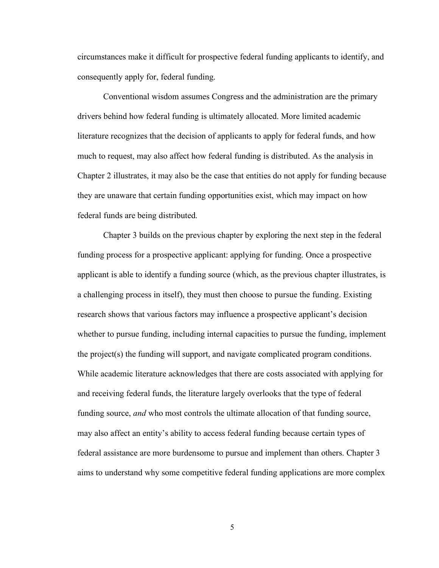circumstances make it difficult for prospective federal funding applicants to identify, and consequently apply for, federal funding.

Conventional wisdom assumes Congress and the administration are the primary drivers behind how federal funding is ultimately allocated. More limited academic literature recognizes that the decision of applicants to apply for federal funds, and how much to request, may also affect how federal funding is distributed. As the analysis in Chapter 2 illustrates, it may also be the case that entities do not apply for funding because they are unaware that certain funding opportunities exist, which may impact on how federal funds are being distributed.

Chapter 3 builds on the previous chapter by exploring the next step in the federal funding process for a prospective applicant: applying for funding. Once a prospective applicant is able to identify a funding source (which, as the previous chapter illustrates, is a challenging process in itself), they must then choose to pursue the funding. Existing research shows that various factors may influence a prospective applicant's decision whether to pursue funding, including internal capacities to pursue the funding, implement the project(s) the funding will support, and navigate complicated program conditions. While academic literature acknowledges that there are costs associated with applying for and receiving federal funds, the literature largely overlooks that the type of federal funding source, *and* who most controls the ultimate allocation of that funding source, may also affect an entity's ability to access federal funding because certain types of federal assistance are more burdensome to pursue and implement than others. Chapter 3 aims to understand why some competitive federal funding applications are more complex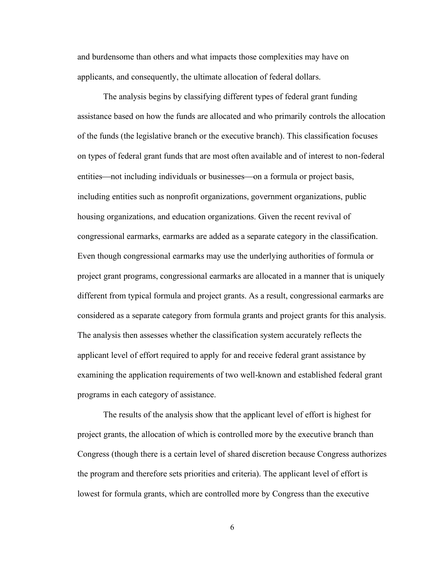and burdensome than others and what impacts those complexities may have on applicants, and consequently, the ultimate allocation of federal dollars.

The analysis begins by classifying different types of federal grant funding assistance based on how the funds are allocated and who primarily controls the allocation of the funds (the legislative branch or the executive branch). This classification focuses on types of federal grant funds that are most often available and of interest to non-federal entities—not including individuals or businesses—on a formula or project basis, including entities such as nonprofit organizations, government organizations, public housing organizations, and education organizations. Given the recent revival of congressional earmarks, earmarks are added as a separate category in the classification. Even though congressional earmarks may use the underlying authorities of formula or project grant programs, congressional earmarks are allocated in a manner that is uniquely different from typical formula and project grants. As a result, congressional earmarks are considered as a separate category from formula grants and project grants for this analysis. The analysis then assesses whether the classification system accurately reflects the applicant level of effort required to apply for and receive federal grant assistance by examining the application requirements of two well-known and established federal grant programs in each category of assistance.

The results of the analysis show that the applicant level of effort is highest for project grants, the allocation of which is controlled more by the executive branch than Congress (though there is a certain level of shared discretion because Congress authorizes the program and therefore sets priorities and criteria). The applicant level of effort is lowest for formula grants, which are controlled more by Congress than the executive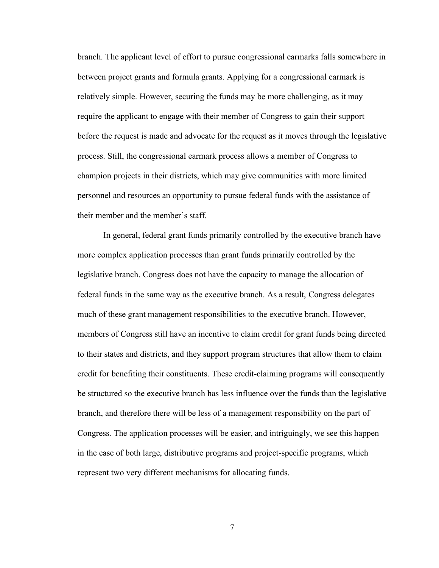branch. The applicant level of effort to pursue congressional earmarks falls somewhere in between project grants and formula grants. Applying for a congressional earmark is relatively simple. However, securing the funds may be more challenging, as it may require the applicant to engage with their member of Congress to gain their support before the request is made and advocate for the request as it moves through the legislative process. Still, the congressional earmark process allows a member of Congress to champion projects in their districts, which may give communities with more limited personnel and resources an opportunity to pursue federal funds with the assistance of their member and the member's staff.

In general, federal grant funds primarily controlled by the executive branch have more complex application processes than grant funds primarily controlled by the legislative branch. Congress does not have the capacity to manage the allocation of federal funds in the same way as the executive branch. As a result, Congress delegates much of these grant management responsibilities to the executive branch. However, members of Congress still have an incentive to claim credit for grant funds being directed to their states and districts, and they support program structures that allow them to claim credit for benefiting their constituents. These credit-claiming programs will consequently be structured so the executive branch has less influence over the funds than the legislative branch, and therefore there will be less of a management responsibility on the part of Congress. The application processes will be easier, and intriguingly, we see this happen in the case of both large, distributive programs and project-specific programs, which represent two very different mechanisms for allocating funds.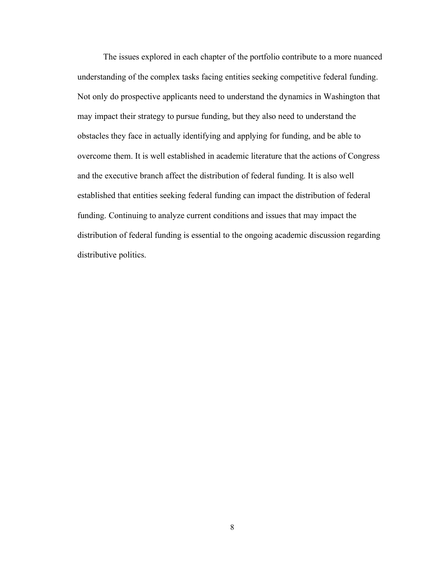The issues explored in each chapter of the portfolio contribute to a more nuanced understanding of the complex tasks facing entities seeking competitive federal funding. Not only do prospective applicants need to understand the dynamics in Washington that may impact their strategy to pursue funding, but they also need to understand the obstacles they face in actually identifying and applying for funding, and be able to overcome them. It is well established in academic literature that the actions of Congress and the executive branch affect the distribution of federal funding. It is also well established that entities seeking federal funding can impact the distribution of federal funding. Continuing to analyze current conditions and issues that may impact the distribution of federal funding is essential to the ongoing academic discussion regarding distributive politics.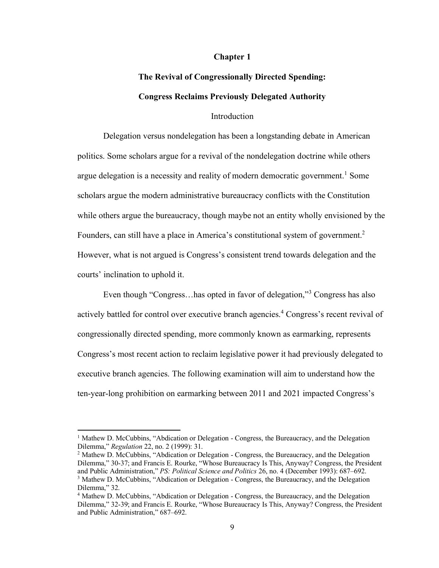#### **Chapter 1**

# **The Revival of Congressionally Directed Spending: Congress Reclaims Previously Delegated Authority**

#### Introduction

Delegation versus nondelegation has been a longstanding debate in American politics. Some scholars argue for a revival of the nondelegation doctrine while others argue delegation is a necessity and reality of modern democratic government.<sup>1</sup> Some scholars argue the modern administrative bureaucracy conflicts with the Constitution while others argue the bureaucracy, though maybe not an entity wholly envisioned by the Founders, can still have a place in America's constitutional system of government.<sup>2</sup> However, what is not argued is Congress's consistent trend towards delegation and the courts' inclination to uphold it.

Even though "Congress...has opted in favor of delegation,"<sup>3</sup> Congress has also actively battled for control over executive branch agencies.<sup>4</sup> Congress's recent revival of congressionally directed spending, more commonly known as earmarking, represents Congress's most recent action to reclaim legislative power it had previously delegated to executive branch agencies. The following examination will aim to understand how the ten-year-long prohibition on earmarking between 2011 and 2021 impacted Congress's

<sup>&</sup>lt;sup>1</sup> Mathew D. McCubbins, "Abdication or Delegation - Congress, the Bureaucracy, and the Delegation Dilemma," *Regulation* 22, no. 2 (1999): 31.

<sup>2</sup> Mathew D. McCubbins, "Abdication or Delegation - Congress, the Bureaucracy, and the Delegation Dilemma," 30-37; and Francis E. Rourke, "Whose Bureaucracy Is This, Anyway? Congress, the President and Public Administration," *PS: Political Science and Politics* 26, no. 4 (December 1993): 687–692. <sup>3</sup> Mathew D. McCubbins, "Abdication or Delegation - Congress, the Bureaucracy, and the Delegation Dilemma," 32.

<sup>4</sup> Mathew D. McCubbins, "Abdication or Delegation - Congress, the Bureaucracy, and the Delegation Dilemma," 32-39; and Francis E. Rourke, "Whose Bureaucracy Is This, Anyway? Congress, the President and Public Administration," 687–692.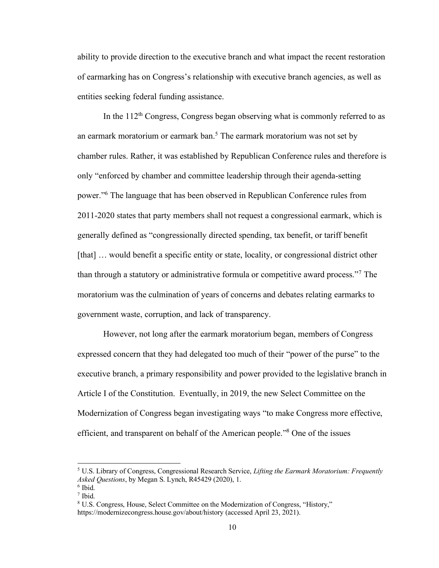ability to provide direction to the executive branch and what impact the recent restoration of earmarking has on Congress's relationship with executive branch agencies, as well as entities seeking federal funding assistance.

In the  $112<sup>th</sup>$  Congress, Congress began observing what is commonly referred to as an earmark moratorium or earmark ban.<sup>5</sup> The earmark moratorium was not set by chamber rules. Rather, it was established by Republican Conference rules and therefore is only "enforced by chamber and committee leadership through their agenda-setting power."<sup>6</sup> The language that has been observed in Republican Conference rules from 2011-2020 states that party members shall not request a congressional earmark, which is generally defined as "congressionally directed spending, tax benefit, or tariff benefit [that] ... would benefit a specific entity or state, locality, or congressional district other than through a statutory or administrative formula or competitive award process."<sup>7</sup> The moratorium was the culmination of years of concerns and debates relating earmarks to government waste, corruption, and lack of transparency.

However, not long after the earmark moratorium began, members of Congress expressed concern that they had delegated too much of their "power of the purse" to the executive branch, a primary responsibility and power provided to the legislative branch in Article I of the Constitution. Eventually, in 2019, the new Select Committee on the Modernization of Congress began investigating ways "to make Congress more effective, efficient, and transparent on behalf of the American people." <sup>8</sup> One of the issues

<sup>5</sup> U.S. Library of Congress, Congressional Research Service, *Lifting the Earmark Moratorium: Frequently Asked Questions*, by Megan S. Lynch, R45429 (2020), 1.

<sup>6</sup> Ibid.

<sup>7</sup> Ibid.

<sup>8</sup> U.S. Congress, House, Select Committee on the Modernization of Congress, "History," https://modernizecongress.house.gov/about/history (accessed April 23, 2021).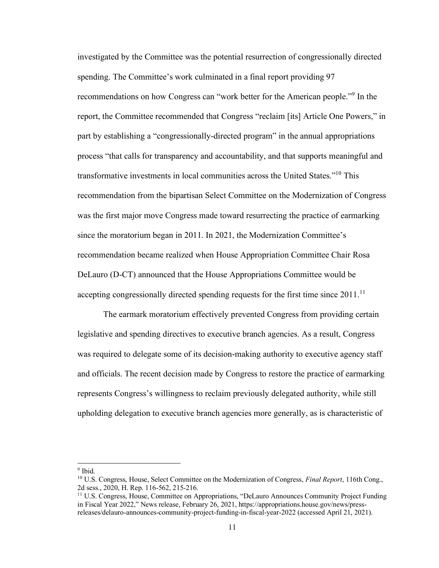investigated by the Committee was the potential resurrection of congressionally directed spending. The Committee's work culminated in a final report providing 97 recommendations on how Congress can "work better for the American people."<sup>9</sup> In the report, the Committee recommended that Congress "reclaim [its] Article One Powers," in part by establishing a "congressionally-directed program" in the annual appropriations process "that calls for transparency and accountability, and that supports meaningful and transformative investments in local communities across the United States."<sup>10</sup> This recommendation from the bipartisan Select Committee on the Modernization of Congress was the first major move Congress made toward resurrecting the practice of earmarking since the moratorium began in 2011. In 2021, the Modernization Committee's recommendation became realized when House Appropriation Committee Chair Rosa DeLauro (D-CT) announced that the House Appropriations Committee would be accepting congressionally directed spending requests for the first time since  $2011$ .<sup>11</sup>

The earmark moratorium effectively prevented Congress from providing certain legislative and spending directives to executive branch agencies. As a result, Congress was required to delegate some of its decision-making authority to executive agency staff and officials. The recent decision made by Congress to restore the practice of earmarking represents Congress's willingness to reclaim previously delegated authority, while still upholding delegation to executive branch agencies more generally, as is characteristic of

<sup>&</sup>lt;sup>9</sup> Ibid.

<sup>10</sup> U.S. Congress, House, Select Committee on the Modernization of Congress, *Final Report*, 116th Cong., 2d sess., 2020, H. Rep. 116-562, 215-216.

<sup>11</sup> U.S. Congress, House, Committee on Appropriations, "DeLauro Announces Community Project Funding in Fiscal Year 2022," News release, February 26, 2021, https://appropriations.house.gov/news/pressreleases/delauro-announces-community-project-funding-in-fiscal-year-2022 (accessed April 21, 2021).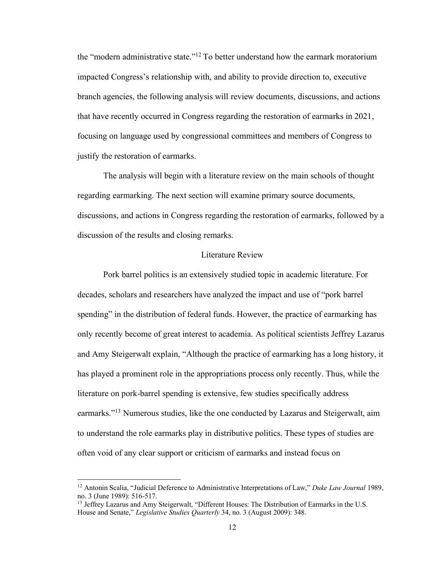the "modern administrative state."<sup>12</sup> To better understand how the earmark moratorium impacted Congress's relationship with, and ability to provide direction to, executive branch agencies, the following analysis will review documents, discussions, and actions that have recently occurred in Congress regarding the restoration of earmarks in 2021, focusing on language used by congressional committees and members of Congress to justify the restoration of earmarks.

The analysis will begin with a literature review on the main schools of thought regarding earmarking. The next section will examine primary source documents, discussions, and actions in Congress regarding the restoration of earmarks, followed by a discussion of the results and closing remarks.

#### Literature Review

Pork barrel politics is an extensively studied topic in academic literature. For decades, scholars and researchers have analyzed the impact and use of "pork barrel spending" in the distribution of federal funds. However, the practice of earmarking has only recently become of great interest to academia. As political scientists Jeffrey Lazarus and Amy Steigerwalt explain, "Although the practice of earmarking has a long history, it has played a prominent role in the appropriations process only recently. Thus, while the literature on pork-barrel spending is extensive, few studies specifically address earmarks."<sup>13</sup> Numerous studies, like the one conducted by Lazarus and Steigerwalt, aim to understand the role earmarks play in distributive politics. These types of studies are often void of any clear support or criticism of earmarks and instead focus on

<sup>12</sup> Antonin Scalia, "Judicial Deference to Administrative Interpretations of Law," *Duke Law Journal* 1989, no. 3 (June 1989): 516-517.

<sup>&</sup>lt;sup>13</sup> Jeffrey Lazarus and Amy Steigerwalt, "Different Houses: The Distribution of Earmarks in the U.S. House and Senate," *Legislative Studies Quarterly* 34, no. 3 (August 2009): 348.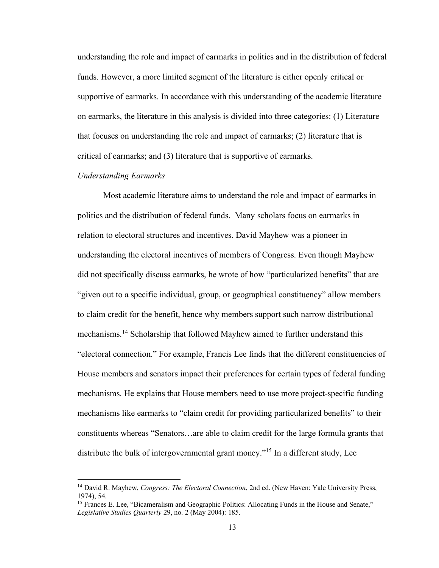understanding the role and impact of earmarks in politics and in the distribution of federal funds. However, a more limited segment of the literature is either openly critical or supportive of earmarks. In accordance with this understanding of the academic literature on earmarks, the literature in this analysis is divided into three categories: (1) Literature that focuses on understanding the role and impact of earmarks; (2) literature that is critical of earmarks; and (3) literature that is supportive of earmarks.

#### *Understanding Earmarks*

Most academic literature aims to understand the role and impact of earmarks in politics and the distribution of federal funds. Many scholars focus on earmarks in relation to electoral structures and incentives. David Mayhew was a pioneer in understanding the electoral incentives of members of Congress. Even though Mayhew did not specifically discuss earmarks, he wrote of how "particularized benefits" that are "given out to a specific individual, group, or geographical constituency" allow members to claim credit for the benefit, hence why members support such narrow distributional mechanisms.<sup>14</sup> Scholarship that followed Mayhew aimed to further understand this "electoral connection." For example, Francis Lee finds that the different constituencies of House members and senators impact their preferences for certain types of federal funding mechanisms. He explains that House members need to use more project-specific funding mechanisms like earmarks to "claim credit for providing particularized benefits" to their constituents whereas "Senators…are able to claim credit for the large formula grants that distribute the bulk of intergovernmental grant money."<sup>15</sup> In a different study, Lee

<sup>14</sup> David R. Mayhew, *Congress: The Electoral Connection*, 2nd ed. (New Haven: Yale University Press, 1974), 54.

<sup>&</sup>lt;sup>15</sup> Frances E. Lee, "Bicameralism and Geographic Politics: Allocating Funds in the House and Senate," *Legislative Studies Quarterly* 29, no. 2 (May 2004): 185.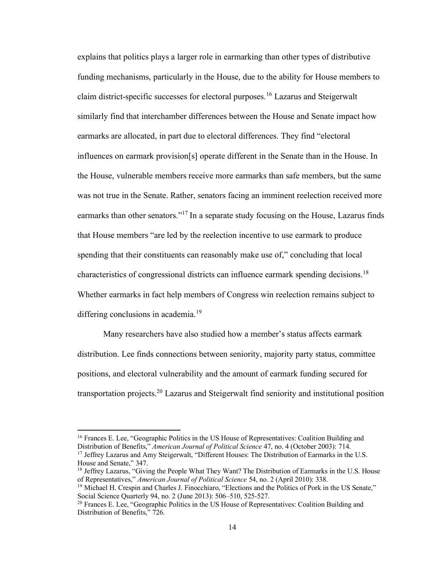explains that politics plays a larger role in earmarking than other types of distributive funding mechanisms, particularly in the House, due to the ability for House members to claim district-specific successes for electoral purposes.<sup>16</sup> Lazarus and Steigerwalt similarly find that interchamber differences between the House and Senate impact how earmarks are allocated, in part due to electoral differences. They find "electoral influences on earmark provision[s] operate different in the Senate than in the House. In the House, vulnerable members receive more earmarks than safe members, but the same was not true in the Senate. Rather, senators facing an imminent reelection received more earmarks than other senators."<sup>17</sup> In a separate study focusing on the House, Lazarus finds that House members "are led by the reelection incentive to use earmark to produce spending that their constituents can reasonably make use of," concluding that local characteristics of congressional districts can influence earmark spending decisions.<sup>18</sup> Whether earmarks in fact help members of Congress win reelection remains subject to differing conclusions in academia.<sup>19</sup>

Many researchers have also studied how a member's status affects earmark distribution. Lee finds connections between seniority, majority party status, committee positions, and electoral vulnerability and the amount of earmark funding secured for transportation projects.<sup>20</sup> Lazarus and Steigerwalt find seniority and institutional position

<sup>&</sup>lt;sup>16</sup> Frances E. Lee, "Geographic Politics in the US House of Representatives: Coalition Building and Distribution of Benefits," *American Journal of Political Science* 47, no. 4 (October 2003): 714.

<sup>&</sup>lt;sup>17</sup> Jeffrey Lazarus and Amy Steigerwalt, "Different Houses: The Distribution of Earmarks in the U.S. House and Senate," 347.

<sup>&</sup>lt;sup>18</sup> Jeffrey Lazarus, "Giving the People What They Want? The Distribution of Earmarks in the U.S. House of Representatives," *American Journal of Political Science* 54, no. 2 (April 2010): 338.

<sup>&</sup>lt;sup>19</sup> Michael H. Crespin and Charles J. Finocchiaro, "Elections and the Politics of Pork in the US Senate," Social Science Quarterly 94, no. 2 (June 2013): 506–510, 525-527.

 $20$  Frances E. Lee, "Geographic Politics in the US House of Representatives: Coalition Building and Distribution of Benefits," 726.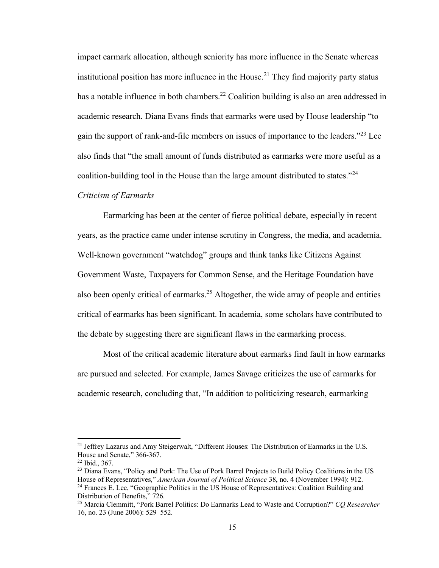impact earmark allocation, although seniority has more influence in the Senate whereas institutional position has more influence in the House.<sup>21</sup> They find majority party status has a notable influence in both chambers.<sup>22</sup> Coalition building is also an area addressed in academic research. Diana Evans finds that earmarks were used by House leadership "to gain the support of rank-and-file members on issues of importance to the leaders." $^{23}$  Lee also finds that "the small amount of funds distributed as earmarks were more useful as a coalition-building tool in the House than the large amount distributed to states."<sup>24</sup>

#### *Criticism of Earmarks*

Earmarking has been at the center of fierce political debate, especially in recent years, as the practice came under intense scrutiny in Congress, the media, and academia. Well-known government "watchdog" groups and think tanks like Citizens Against Government Waste, Taxpayers for Common Sense, and the Heritage Foundation have also been openly critical of earmarks.<sup>25</sup> Altogether, the wide array of people and entities critical of earmarks has been significant. In academia, some scholars have contributed to the debate by suggesting there are significant flaws in the earmarking process.

Most of the critical academic literature about earmarks find fault in how earmarks are pursued and selected. For example, James Savage criticizes the use of earmarks for academic research, concluding that, "In addition to politicizing research, earmarking

<sup>&</sup>lt;sup>21</sup> Jeffrey Lazarus and Amy Steigerwalt, "Different Houses: The Distribution of Earmarks in the U.S. House and Senate," 366-367.

<sup>22</sup> Ibid., 367.

<sup>&</sup>lt;sup>23</sup> Diana Evans, "Policy and Pork: The Use of Pork Barrel Projects to Build Policy Coalitions in the US House of Representatives," *American Journal of Political Science* 38, no. 4 (November 1994): 912.  $^{24}$  Frances E. Lee, "Geographic Politics in the US House of Representatives: Coalition Building and Distribution of Benefits," 726.

<sup>25</sup> Marcia Clemmitt, "Pork Barrel Politics: Do Earmarks Lead to Waste and Corruption?" *CQ Researcher* 16, no. 23 (June 2006): 529–552.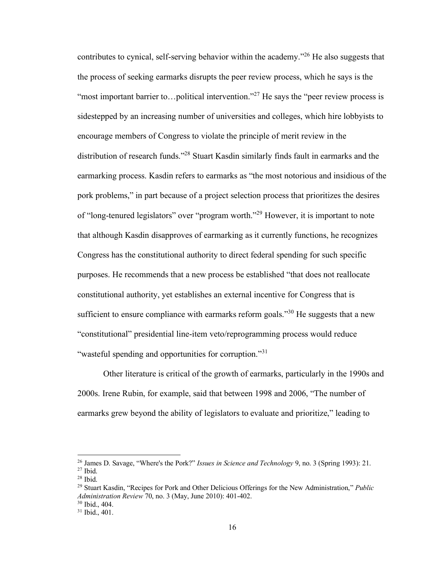contributes to cynical, self-serving behavior within the academy.<sup>326</sup> He also suggests that the process of seeking earmarks disrupts the peer review process, which he says is the "most important barrier to... political intervention."<sup>27</sup> He says the "peer review process is sidestepped by an increasing number of universities and colleges, which hire lobbyists to encourage members of Congress to violate the principle of merit review in the distribution of research funds."<sup>28</sup> Stuart Kasdin similarly finds fault in earmarks and the earmarking process. Kasdin refers to earmarks as "the most notorious and insidious of the pork problems," in part because of a project selection process that prioritizes the desires of "long-tenured legislators" over "program worth."<sup>29</sup> However, it is important to note that although Kasdin disapproves of earmarking as it currently functions, he recognizes Congress has the constitutional authority to direct federal spending for such specific purposes. He recommends that a new process be established "that does not reallocate constitutional authority, yet establishes an external incentive for Congress that is sufficient to ensure compliance with earmarks reform goals."<sup>30</sup> He suggests that a new "constitutional" presidential line-item veto/reprogramming process would reduce "wasteful spending and opportunities for corruption."<sup>31</sup>

Other literature is critical of the growth of earmarks, particularly in the 1990s and 2000s. Irene Rubin, for example, said that between 1998 and 2006, "The number of earmarks grew beyond the ability of legislators to evaluate and prioritize," leading to

<sup>26</sup> James D. Savage, "Where's the Pork?" *Issues in Science and Technology* 9, no. 3 (Spring 1993): 21. <sup>27</sup> Ibid.

 $28$  Ibid.

<sup>29</sup> Stuart Kasdin, "Recipes for Pork and Other Delicious Offerings for the New Administration," *Public Administration Review* 70, no. 3 (May, June 2010): 401-402.

<sup>30</sup> Ibid., 404.

<sup>31</sup> Ibid., 401.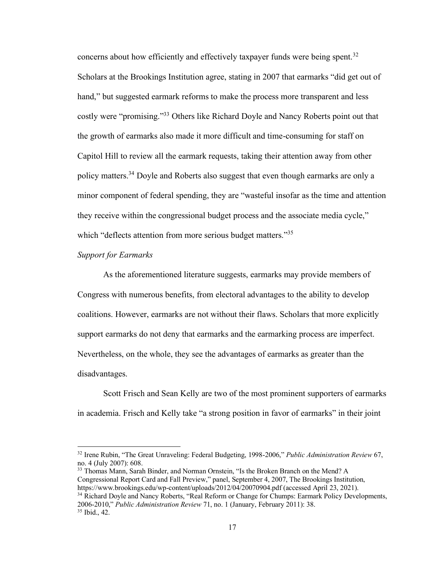concerns about how efficiently and effectively taxpayer funds were being spent.<sup>32</sup> Scholars at the Brookings Institution agree, stating in 2007 that earmarks "did get out of hand," but suggested earmark reforms to make the process more transparent and less costly were "promising."<sup>33</sup> Others like Richard Doyle and Nancy Roberts point out that the growth of earmarks also made it more difficult and time-consuming for staff on Capitol Hill to review all the earmark requests, taking their attention away from other policy matters.<sup>34</sup> Doyle and Roberts also suggest that even though earmarks are only a minor component of federal spending, they are "wasteful insofar as the time and attention they receive within the congressional budget process and the associate media cycle," which "deflects attention from more serious budget matters."<sup>35</sup>

#### *Support for Earmarks*

As the aforementioned literature suggests, earmarks may provide members of Congress with numerous benefits, from electoral advantages to the ability to develop coalitions. However, earmarks are not without their flaws. Scholars that more explicitly support earmarks do not deny that earmarks and the earmarking process are imperfect. Nevertheless, on the whole, they see the advantages of earmarks as greater than the disadvantages.

Scott Frisch and Sean Kelly are two of the most prominent supporters of earmarks in academia. Frisch and Kelly take "a strong position in favor of earmarks" in their joint

<sup>33</sup> Thomas Mann, Sarah Binder, and Norman Ornstein, "Is the Broken Branch on the Mend? A Congressional Report Card and Fall Preview," panel, September 4, 2007, The Brookings Institution, https://www.brookings.edu/wp-content/uploads/2012/04/20070904.pdf (accessed April 23, 2021). <sup>34</sup> Richard Doyle and Nancy Roberts, "Real Reform or Change for Chumps: Earmark Policy Developments, 2006-2010," *Public Administration Review* 71, no. 1 (January, February 2011): 38. <sup>35</sup> Ibid., 42.

<sup>32</sup> Irene Rubin, "The Great Unraveling: Federal Budgeting, 1998-2006," *Public Administration Review* 67, no. 4 (July 2007): 608.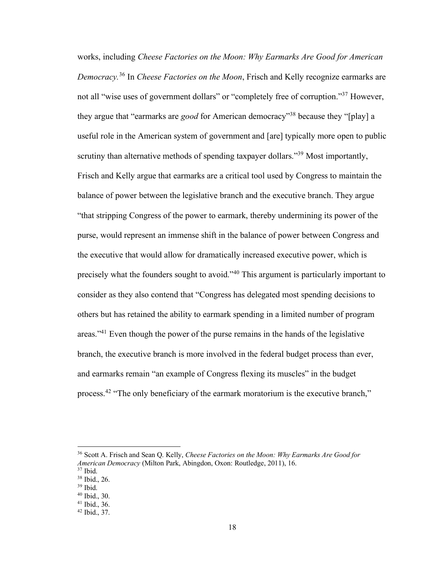works, including *Cheese Factories on the Moon: Why Earmarks Are Good for American Democracy.*<sup>36</sup> In *Cheese Factories on the Moon*, Frisch and Kelly recognize earmarks are not all "wise uses of government dollars" or "completely free of corruption."<sup>37</sup> However, they argue that "earmarks are *good* for American democracy"<sup>38</sup> because they "[play] a useful role in the American system of government and [are] typically more open to public scrutiny than alternative methods of spending taxpayer dollars."<sup>39</sup> Most importantly, Frisch and Kelly argue that earmarks are a critical tool used by Congress to maintain the balance of power between the legislative branch and the executive branch. They argue "that stripping Congress of the power to earmark, thereby undermining its power of the purse, would represent an immense shift in the balance of power between Congress and the executive that would allow for dramatically increased executive power, which is precisely what the founders sought to avoid."<sup>40</sup> This argument is particularly important to consider as they also contend that "Congress has delegated most spending decisions to others but has retained the ability to earmark spending in a limited number of program areas."<sup>41</sup> Even though the power of the purse remains in the hands of the legislative branch, the executive branch is more involved in the federal budget process than ever, and earmarks remain "an example of Congress flexing its muscles" in the budget process.<sup>42</sup> "The only beneficiary of the earmark moratorium is the executive branch,"

<sup>36</sup> Scott A. Frisch and Sean Q. Kelly, *Cheese Factories on the Moon: Why Earmarks Are Good for American Democracy* (Milton Park, Abingdon, Oxon: Routledge, 2011), 16.

<sup>37</sup> Ibid.

<sup>38</sup> Ibid., 26. <sup>39</sup> Ibid.

<sup>40</sup> Ibid., 30.

<sup>41</sup> Ibid., 36.

<sup>42</sup> Ibid., 37.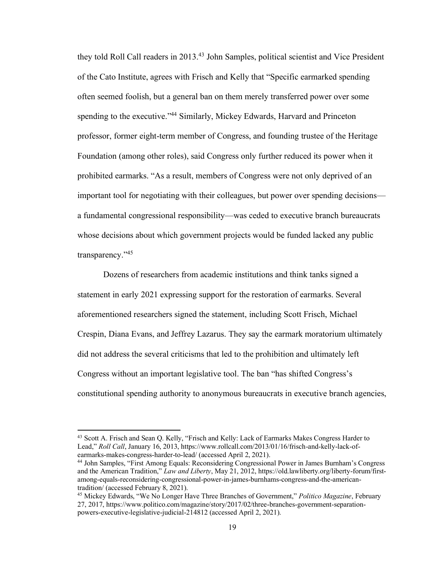they told Roll Call readers in 2013.<sup>43</sup> John Samples, political scientist and Vice President of the Cato Institute, agrees with Frisch and Kelly that "Specific earmarked spending often seemed foolish, but a general ban on them merely transferred power over some spending to the executive."<sup>44</sup> Similarly, Mickey Edwards, Harvard and Princeton professor, former eight-term member of Congress, and founding trustee of the Heritage Foundation (among other roles), said Congress only further reduced its power when it prohibited earmarks. "As a result, members of Congress were not only deprived of an important tool for negotiating with their colleagues, but power over spending decisions a fundamental congressional responsibility—was ceded to executive branch bureaucrats whose decisions about which government projects would be funded lacked any public transparency."<sup>45</sup>

Dozens of researchers from academic institutions and think tanks signed a statement in early 2021 expressing support for the restoration of earmarks. Several aforementioned researchers signed the statement, including Scott Frisch, Michael Crespin, Diana Evans, and Jeffrey Lazarus. They say the earmark moratorium ultimately did not address the several criticisms that led to the prohibition and ultimately left Congress without an important legislative tool. The ban "has shifted Congress's constitutional spending authority to anonymous bureaucrats in executive branch agencies,

<sup>&</sup>lt;sup>43</sup> Scott A. Frisch and Sean Q. Kelly, "Frisch and Kelly: Lack of Earmarks Makes Congress Harder to Lead," *Roll Call*, January 16, 2013, https://www.rollcall.com/2013/01/16/frisch-and-kelly-lack-ofearmarks-makes-congress-harder-to-lead/ (accessed April 2, 2021).

<sup>44</sup> John Samples, "First Among Equals: Reconsidering Congressional Power in James Burnham's Congress and the American Tradition," *Law and Liberty*, May 21, 2012, https://old.lawliberty.org/liberty-forum/firstamong-equals-reconsidering-congressional-power-in-james-burnhams-congress-and-the-americantradition/ (accessed February 8, 2021).

<sup>45</sup> Mickey Edwards, "We No Longer Have Three Branches of Government," *Politico Magazine*, February 27, 2017, https://www.politico.com/magazine/story/2017/02/three-branches-government-separationpowers-executive-legislative-judicial-214812 (accessed April 2, 2021).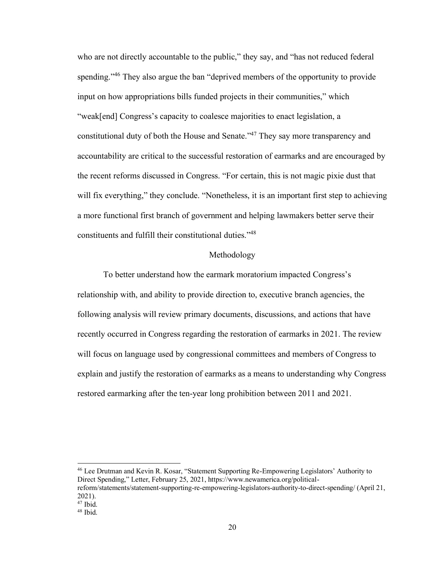who are not directly accountable to the public," they say, and "has not reduced federal spending."<sup>46</sup> They also argue the ban "deprived members of the opportunity to provide input on how appropriations bills funded projects in their communities," which "weak[end] Congress's capacity to coalesce majorities to enact legislation, a constitutional duty of both the House and Senate.<sup>47</sup> They say more transparency and accountability are critical to the successful restoration of earmarks and are encouraged by the recent reforms discussed in Congress. "For certain, this is not magic pixie dust that will fix everything," they conclude. "Nonetheless, it is an important first step to achieving a more functional first branch of government and helping lawmakers better serve their constituents and fulfill their constitutional duties."<sup>48</sup>

#### Methodology

To better understand how the earmark moratorium impacted Congress's relationship with, and ability to provide direction to, executive branch agencies, the following analysis will review primary documents, discussions, and actions that have recently occurred in Congress regarding the restoration of earmarks in 2021. The review will focus on language used by congressional committees and members of Congress to explain and justify the restoration of earmarks as a means to understanding why Congress restored earmarking after the ten-year long prohibition between 2011 and 2021.

<sup>46</sup> Lee Drutman and Kevin R. Kosar, "Statement Supporting Re-Empowering Legislators' Authority to Direct Spending," Letter, February 25, 2021, https://www.newamerica.org/politicalreform/statements/statement-supporting-re-empowering-legislators-authority-to-direct-spending/ (April 21,

<sup>2021).</sup>

<sup>47</sup> Ibid.

 $48$  Ibid.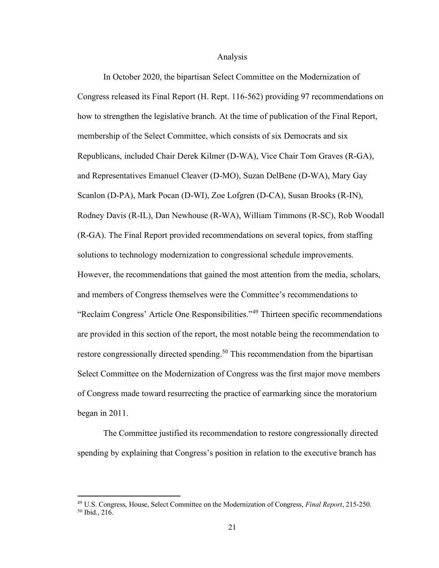#### Analysis

In October 2020, the bipartisan Select Committee on the Modernization of Congress released its Final Report (H. Rept. 116-562) providing 97 recommendations on how to strengthen the legislative branch. At the time of publication of the Final Report, membership of the Select Committee, which consists of six Democrats and six Republicans, included Chair Derek Kilmer (D-WA), Vice Chair Tom Graves (R-GA), and Representatives Emanuel Cleaver (D-MO), Suzan DelBene (D-WA), Mary Gay Scanlon (D-PA), Mark Pocan (D-WI), Zoe Lofgren (D-CA), Susan Brooks (R-IN), Rodney Davis (R-IL), Dan Newhouse (R-WA), William Timmons (R-SC), Rob Woodall (R-GA). The Final Report provided recommendations on several topics, from staffing solutions to technology modernization to congressional schedule improvements. However, the recommendations that gained the most attention from the media, scholars, and members of Congress themselves were the Committee's recommendations to "Reclaim Congress' Article One Responsibilities."<sup>49</sup> Thirteen specific recommendations are provided in this section of the report, the most notable being the recommendation to restore congressionally directed spending.<sup>50</sup> This recommendation from the bipartisan Select Committee on the Modernization of Congress was the first major move members of Congress made toward resurrecting the practice of earmarking since the moratorium began in 2011.

The Committee justified its recommendation to restore congressionally directed spending by explaining that Congress's position in relation to the executive branch has

<sup>49</sup> U.S. Congress, House, Select Committee on the Modernization of Congress, *Final Report*, 215-250. <sup>50</sup> Ibid., 216.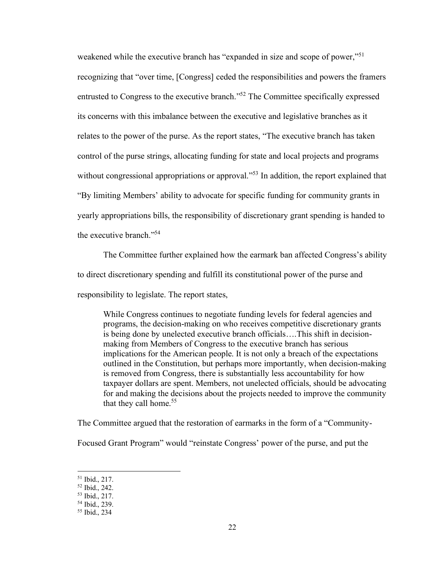weakened while the executive branch has "expanded in size and scope of power,"<sup>51</sup> recognizing that "over time, [Congress] ceded the responsibilities and powers the framers entrusted to Congress to the executive branch."<sup>52</sup> The Committee specifically expressed its concerns with this imbalance between the executive and legislative branches as it relates to the power of the purse. As the report states, "The executive branch has taken control of the purse strings, allocating funding for state and local projects and programs without congressional appropriations or approval."<sup>53</sup> In addition, the report explained that "By limiting Members' ability to advocate for specific funding for community grants in yearly appropriations bills, the responsibility of discretionary grant spending is handed to the executive branch."<sup>54</sup>

The Committee further explained how the earmark ban affected Congress's ability to direct discretionary spending and fulfill its constitutional power of the purse and responsibility to legislate. The report states,

While Congress continues to negotiate funding levels for federal agencies and programs, the decision-making on who receives competitive discretionary grants is being done by unelected executive branch officials….This shift in decisionmaking from Members of Congress to the executive branch has serious implications for the American people. It is not only a breach of the expectations outlined in the Constitution, but perhaps more importantly, when decision-making is removed from Congress, there is substantially less accountability for how taxpayer dollars are spent. Members, not unelected officials, should be advocating for and making the decisions about the projects needed to improve the community that they call home.<sup>55</sup>

The Committee argued that the restoration of earmarks in the form of a "Community-

Focused Grant Program" would "reinstate Congress' power of the purse, and put the

<sup>51</sup> Ibid., 217.

<sup>52</sup> Ibid., 242.

<sup>53</sup> Ibid., 217.

<sup>54</sup> Ibid., 239.

<sup>55</sup> Ibid., 234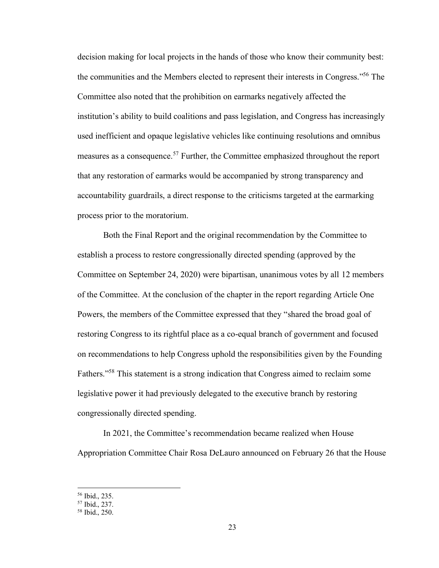decision making for local projects in the hands of those who know their community best: the communities and the Members elected to represent their interests in Congress."<sup>56</sup> The Committee also noted that the prohibition on earmarks negatively affected the institution's ability to build coalitions and pass legislation, and Congress has increasingly used inefficient and opaque legislative vehicles like continuing resolutions and omnibus measures as a consequence.<sup>57</sup> Further, the Committee emphasized throughout the report that any restoration of earmarks would be accompanied by strong transparency and accountability guardrails, a direct response to the criticisms targeted at the earmarking process prior to the moratorium.

Both the Final Report and the original recommendation by the Committee to establish a process to restore congressionally directed spending (approved by the Committee on September 24, 2020) were bipartisan, unanimous votes by all 12 members of the Committee. At the conclusion of the chapter in the report regarding Article One Powers, the members of the Committee expressed that they "shared the broad goal of restoring Congress to its rightful place as a co-equal branch of government and focused on recommendations to help Congress uphold the responsibilities given by the Founding Fathers."<sup>58</sup> This statement is a strong indication that Congress aimed to reclaim some legislative power it had previously delegated to the executive branch by restoring congressionally directed spending.

In 2021, the Committee's recommendation became realized when House Appropriation Committee Chair Rosa DeLauro announced on February 26 that the House

<sup>56</sup> Ibid., 235.

<sup>57</sup> Ibid., 237.

<sup>58</sup> Ibid., 250.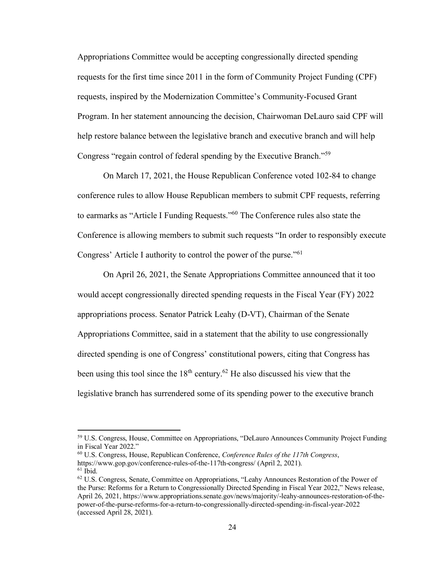Appropriations Committee would be accepting congressionally directed spending requests for the first time since 2011 in the form of Community Project Funding (CPF) requests, inspired by the Modernization Committee's Community-Focused Grant Program. In her statement announcing the decision, Chairwoman DeLauro said CPF will help restore balance between the legislative branch and executive branch and will help Congress "regain control of federal spending by the Executive Branch."<sup>59</sup>

On March 17, 2021, the House Republican Conference voted 102-84 to change conference rules to allow House Republican members to submit CPF requests, referring to earmarks as "Article I Funding Requests."<sup>60</sup> The Conference rules also state the Conference is allowing members to submit such requests "In order to responsibly execute Congress' Article I authority to control the power of the purse."<sup>61</sup>

On April 26, 2021, the Senate Appropriations Committee announced that it too would accept congressionally directed spending requests in the Fiscal Year (FY) 2022 appropriations process. Senator Patrick Leahy (D-VT), Chairman of the Senate Appropriations Committee, said in a statement that the ability to use congressionally directed spending is one of Congress' constitutional powers, citing that Congress has been using this tool since the  $18<sup>th</sup>$  century.<sup>62</sup> He also discussed his view that the legislative branch has surrendered some of its spending power to the executive branch

<sup>59</sup> U.S. Congress, House, Committee on Appropriations, "DeLauro Announces Community Project Funding in Fiscal Year 2022."

<sup>60</sup> U.S. Congress, House, Republican Conference, *Conference Rules of the 117th Congress*, https://www.gop.gov/conference-rules-of-the-117th-congress/ (April 2, 2021).  $61$  Ibid.

 $62$  U.S. Congress, Senate, Committee on Appropriations, "Leahy Announces Restoration of the Power of the Purse: Reforms for a Return to Congressionally Directed Spending in Fiscal Year 2022," News release, April 26, 2021, https://www.appropriations.senate.gov/news/majority/-leahy-announces-restoration-of-thepower-of-the-purse-reforms-for-a-return-to-congressionally-directed-spending-in-fiscal-year-2022 (accessed April 28, 2021).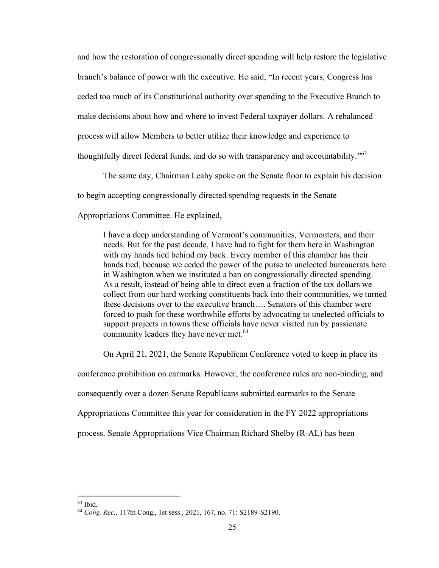and how the restoration of congressionally direct spending will help restore the legislative branch's balance of power with the executive. He said, "In recent years, Congress has ceded too much of its Constitutional authority over spending to the Executive Branch to make decisions about how and where to invest Federal taxpayer dollars. A rebalanced process will allow Members to better utilize their knowledge and experience to thoughtfully direct federal funds, and do so with transparency and accountability."<sup>63</sup>

The same day, Chairman Leahy spoke on the Senate floor to explain his decision to begin accepting congressionally directed spending requests in the Senate Appropriations Committee. He explained,

I have a deep understanding of Vermont's communities, Vermonters, and their needs. But for the past decade, I have had to fight for them here in Washington with my hands tied behind my back. Every member of this chamber has their hands tied, because we ceded the power of the purse to unelected bureaucrats here in Washington when we instituted a ban on congressionally directed spending. As a result, instead of being able to direct even a fraction of the tax dollars we collect from our hard working constituents back into their communities, we turned these decisions over to the executive branch…. Senators of this chamber were forced to push for these worthwhile efforts by advocating to unelected officials to support projects in towns these officials have never visited run by passionate community leaders they have never met.<sup>64</sup>

On April 21, 2021, the Senate Republican Conference voted to keep in place its conference prohibition on earmarks. However, the conference rules are non-binding, and consequently over a dozen Senate Republicans submitted earmarks to the Senate Appropriations Committee this year for consideration in the FY 2022 appropriations process. Senate Appropriations Vice Chairman Richard Shelby (R-AL) has been

 $63$  Ibid.

<sup>64</sup> *Cong. Rec.*, 117th Cong., 1st sess., 2021, 167, no. 71: S2189-S2190.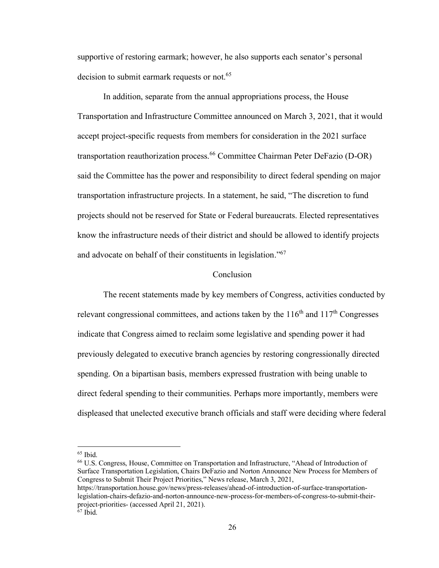supportive of restoring earmark; however, he also supports each senator's personal decision to submit earmark requests or not.<sup>65</sup>

In addition, separate from the annual appropriations process, the House Transportation and Infrastructure Committee announced on March 3, 2021, that it would accept project-specific requests from members for consideration in the 2021 surface transportation reauthorization process.<sup>66</sup> Committee Chairman Peter DeFazio (D-OR) said the Committee has the power and responsibility to direct federal spending on major transportation infrastructure projects. In a statement, he said, "The discretion to fund projects should not be reserved for State or Federal bureaucrats. Elected representatives know the infrastructure needs of their district and should be allowed to identify projects and advocate on behalf of their constituents in legislation."<sup>67</sup>

#### Conclusion

The recent statements made by key members of Congress, activities conducted by relevant congressional committees, and actions taken by the  $116<sup>th</sup>$  and  $117<sup>th</sup>$  Congresses indicate that Congress aimed to reclaim some legislative and spending power it had previously delegated to executive branch agencies by restoring congressionally directed spending. On a bipartisan basis, members expressed frustration with being unable to direct federal spending to their communities. Perhaps more importantly, members were displeased that unelected executive branch officials and staff were deciding where federal

<sup>66</sup> U.S. Congress, House, Committee on Transportation and Infrastructure, "Ahead of Introduction of Surface Transportation Legislation, Chairs DeFazio and Norton Announce New Process for Members of Congress to Submit Their Project Priorities," News release, March 3, 2021,

<sup>65</sup> Ibid.

https://transportation.house.gov/news/press-releases/ahead-of-introduction-of-surface-transportationlegislation-chairs-defazio-and-norton-announce-new-process-for-members-of-congress-to-submit-theirproject-priorities- (accessed April 21, 2021).  $67$  Ibid.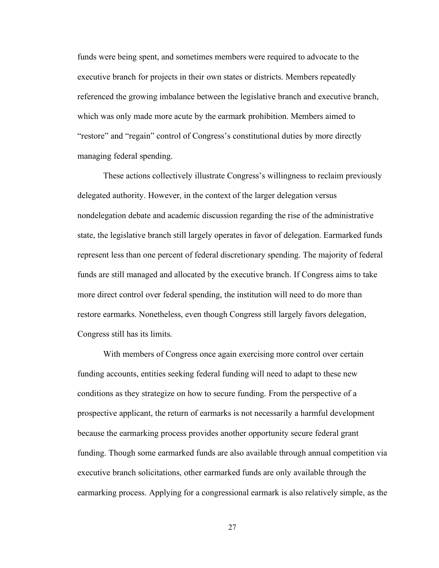funds were being spent, and sometimes members were required to advocate to the executive branch for projects in their own states or districts. Members repeatedly referenced the growing imbalance between the legislative branch and executive branch, which was only made more acute by the earmark prohibition. Members aimed to "restore" and "regain" control of Congress's constitutional duties by more directly managing federal spending.

These actions collectively illustrate Congress's willingness to reclaim previously delegated authority. However, in the context of the larger delegation versus nondelegation debate and academic discussion regarding the rise of the administrative state, the legislative branch still largely operates in favor of delegation. Earmarked funds represent less than one percent of federal discretionary spending. The majority of federal funds are still managed and allocated by the executive branch. If Congress aims to take more direct control over federal spending, the institution will need to do more than restore earmarks. Nonetheless, even though Congress still largely favors delegation, Congress still has its limits.

With members of Congress once again exercising more control over certain funding accounts, entities seeking federal funding will need to adapt to these new conditions as they strategize on how to secure funding. From the perspective of a prospective applicant, the return of earmarks is not necessarily a harmful development because the earmarking process provides another opportunity secure federal grant funding. Though some earmarked funds are also available through annual competition via executive branch solicitations, other earmarked funds are only available through the earmarking process. Applying for a congressional earmark is also relatively simple, as the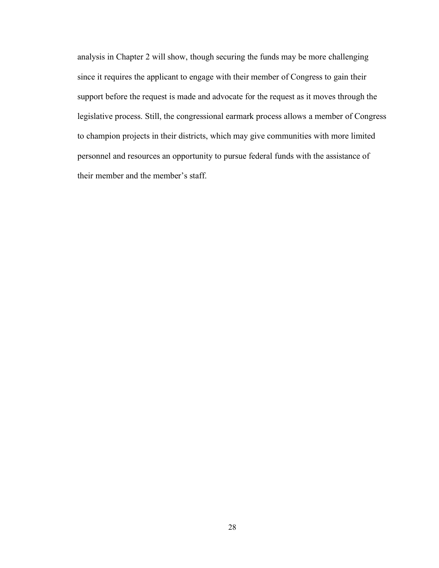analysis in Chapter 2 will show, though securing the funds may be more challenging since it requires the applicant to engage with their member of Congress to gain their support before the request is made and advocate for the request as it moves through the legislative process. Still, the congressional earmark process allows a member of Congress to champion projects in their districts, which may give communities with more limited personnel and resources an opportunity to pursue federal funds with the assistance of their member and the member's staff.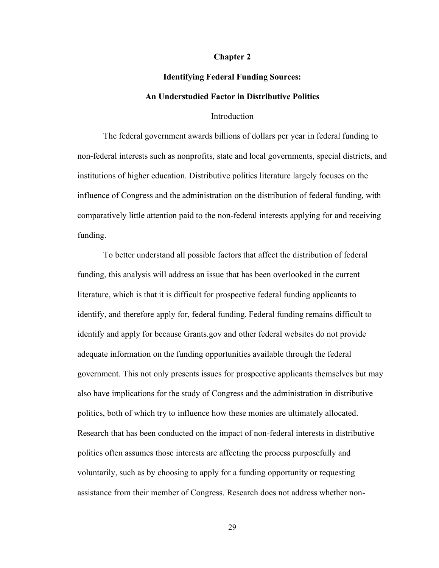#### **Chapter 2**

# **Identifying Federal Funding Sources: An Understudied Factor in Distributive Politics**

#### Introduction

The federal government awards billions of dollars per year in federal funding to non-federal interests such as nonprofits, state and local governments, special districts, and institutions of higher education. Distributive politics literature largely focuses on the influence of Congress and the administration on the distribution of federal funding, with comparatively little attention paid to the non-federal interests applying for and receiving funding.

To better understand all possible factors that affect the distribution of federal funding, this analysis will address an issue that has been overlooked in the current literature, which is that it is difficult for prospective federal funding applicants to identify, and therefore apply for, federal funding. Federal funding remains difficult to identify and apply for because Grants.gov and other federal websites do not provide adequate information on the funding opportunities available through the federal government. This not only presents issues for prospective applicants themselves but may also have implications for the study of Congress and the administration in distributive politics, both of which try to influence how these monies are ultimately allocated. Research that has been conducted on the impact of non-federal interests in distributive politics often assumes those interests are affecting the process purposefully and voluntarily, such as by choosing to apply for a funding opportunity or requesting assistance from their member of Congress. Research does not address whether non-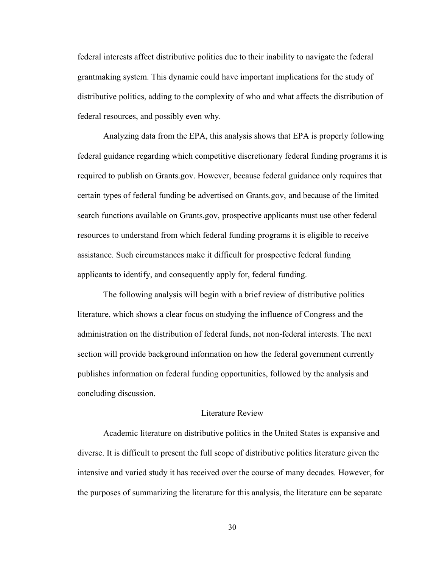federal interests affect distributive politics due to their inability to navigate the federal grantmaking system. This dynamic could have important implications for the study of distributive politics, adding to the complexity of who and what affects the distribution of federal resources, and possibly even why.

Analyzing data from the EPA, this analysis shows that EPA is properly following federal guidance regarding which competitive discretionary federal funding programs it is required to publish on Grants.gov. However, because federal guidance only requires that certain types of federal funding be advertised on Grants.gov, and because of the limited search functions available on Grants.gov, prospective applicants must use other federal resources to understand from which federal funding programs it is eligible to receive assistance. Such circumstances make it difficult for prospective federal funding applicants to identify, and consequently apply for, federal funding.

The following analysis will begin with a brief review of distributive politics literature, which shows a clear focus on studying the influence of Congress and the administration on the distribution of federal funds, not non-federal interests. The next section will provide background information on how the federal government currently publishes information on federal funding opportunities, followed by the analysis and concluding discussion.

#### Literature Review

Academic literature on distributive politics in the United States is expansive and diverse. It is difficult to present the full scope of distributive politics literature given the intensive and varied study it has received over the course of many decades. However, for the purposes of summarizing the literature for this analysis, the literature can be separate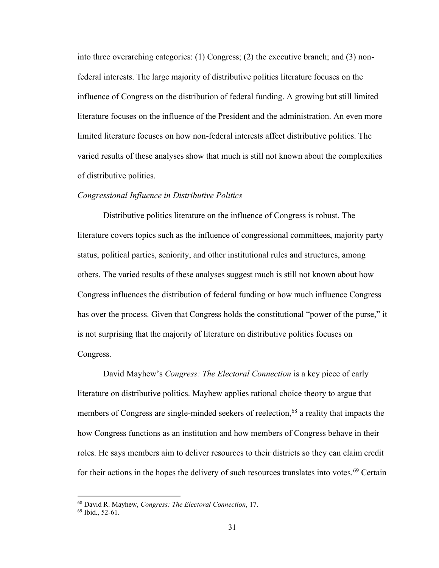into three overarching categories: (1) Congress; (2) the executive branch; and (3) nonfederal interests. The large majority of distributive politics literature focuses on the influence of Congress on the distribution of federal funding. A growing but still limited literature focuses on the influence of the President and the administration. An even more limited literature focuses on how non-federal interests affect distributive politics. The varied results of these analyses show that much is still not known about the complexities of distributive politics.

#### *Congressional Influence in Distributive Politics*

Distributive politics literature on the influence of Congress is robust. The literature covers topics such as the influence of congressional committees, majority party status, political parties, seniority, and other institutional rules and structures, among others. The varied results of these analyses suggest much is still not known about how Congress influences the distribution of federal funding or how much influence Congress has over the process. Given that Congress holds the constitutional "power of the purse," it is not surprising that the majority of literature on distributive politics focuses on Congress.

David Mayhew's *Congress: The Electoral Connection* is a key piece of early literature on distributive politics. Mayhew applies rational choice theory to argue that members of Congress are single-minded seekers of reelection,<sup>68</sup> a reality that impacts the how Congress functions as an institution and how members of Congress behave in their roles. He says members aim to deliver resources to their districts so they can claim credit for their actions in the hopes the delivery of such resources translates into votes.<sup>69</sup> Certain

<sup>68</sup> David R. Mayhew, *Congress: The Electoral Connection*, 17.

<sup>69</sup> Ibid., 52-61.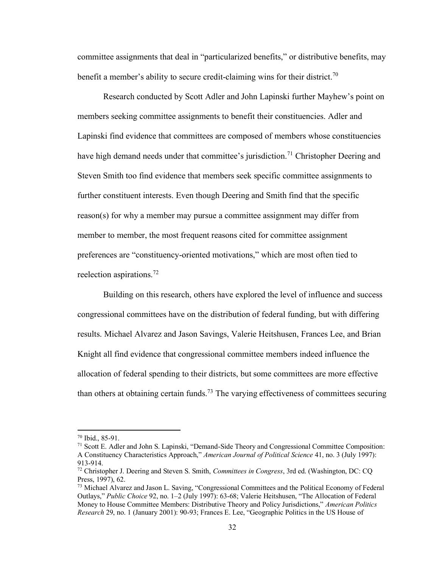committee assignments that deal in "particularized benefits," or distributive benefits, may benefit a member's ability to secure credit-claiming wins for their district.<sup>70</sup>

Research conducted by Scott Adler and John Lapinski further Mayhew's point on members seeking committee assignments to benefit their constituencies. Adler and Lapinski find evidence that committees are composed of members whose constituencies have high demand needs under that committee's jurisdiction.<sup>71</sup> Christopher Deering and Steven Smith too find evidence that members seek specific committee assignments to further constituent interests. Even though Deering and Smith find that the specific reason(s) for why a member may pursue a committee assignment may differ from member to member, the most frequent reasons cited for committee assignment preferences are "constituency-oriented motivations," which are most often tied to reelection aspirations.<sup>72</sup>

Building on this research, others have explored the level of influence and success congressional committees have on the distribution of federal funding, but with differing results. Michael Alvarez and Jason Savings, Valerie Heitshusen, Frances Lee, and Brian Knight all find evidence that congressional committee members indeed influence the allocation of federal spending to their districts, but some committees are more effective than others at obtaining certain funds.<sup>73</sup> The varying effectiveness of committees securing

<sup>70</sup> Ibid., 85-91.

<sup>71</sup> Scott E. Adler and John S. Lapinski, "Demand-Side Theory and Congressional Committee Composition: A Constituency Characteristics Approach," *American Journal of Political Science* 41, no. 3 (July 1997): 913-914.

<sup>72</sup> Christopher J. Deering and Steven S. Smith, *Committees in Congress*, 3rd ed. (Washington, DC: CQ Press, 1997), 62.

<sup>73</sup> Michael Alvarez and Jason L. Saving, "Congressional Committees and the Political Economy of Federal Outlays," *Public Choice* 92, no. 1–2 (July 1997): 63-68; Valerie Heitshusen, "The Allocation of Federal Money to House Committee Members: Distributive Theory and Policy Jurisdictions," *American Politics Research* 29, no. 1 (January 2001): 90-93; Frances E. Lee, "Geographic Politics in the US House of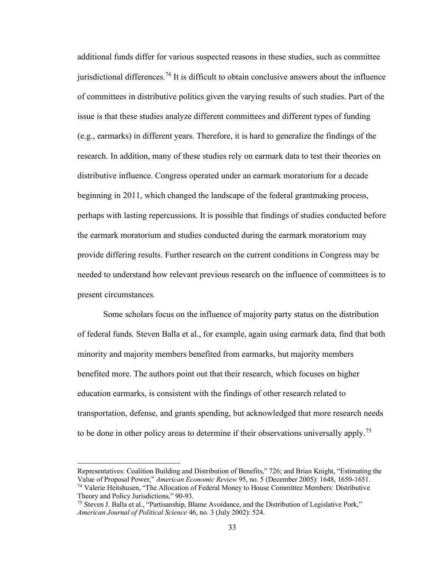additional funds differ for various suspected reasons in these studies, such as committee jurisdictional differences.<sup>74</sup> It is difficult to obtain conclusive answers about the influence of committees in distributive politics given the varying results of such studies. Part of the issue is that these studies analyze different committees and different types of funding (e.g., earmarks) in different years. Therefore, it is hard to generalize the findings of the research. In addition, many of these studies rely on earmark data to test their theories on distributive influence. Congress operated under an earmark moratorium for a decade beginning in 2011, which changed the landscape of the federal grantmaking process, perhaps with lasting repercussions. It is possible that findings of studies conducted before the earmark moratorium and studies conducted during the earmark moratorium may provide differing results. Further research on the current conditions in Congress may be needed to understand how relevant previous research on the influence of committees is to present circumstances.

Some scholars focus on the influence of majority party status on the distribution of federal funds. Steven Balla et al., for example, again using earmark data, find that both minority and majority members benefited from earmarks, but majority members benefited more. The authors point out that their research, which focuses on higher education earmarks, is consistent with the findings of other research related to transportation, defense, and grants spending, but acknowledged that more research needs to be done in other policy areas to determine if their observations universally apply.<sup>75</sup>

Representatives: Coalition Building and Distribution of Benefits," 726; and Brian Knight, "Estimating the Value of Proposal Power," *American Economic Review* 95, no. 5 (December 2005): 1648, 1650-1651. <sup>74</sup> Valerie Heitshusen, "The Allocation of Federal Money to House Committee Members: Distributive Theory and Policy Jurisdictions," 90-93.

<sup>75</sup> Steven J. Balla et al., "Partisanship, Blame Avoidance, and the Distribution of Legislative Pork," *American Journal of Political Science* 46, no. 3 (July 2002): 524.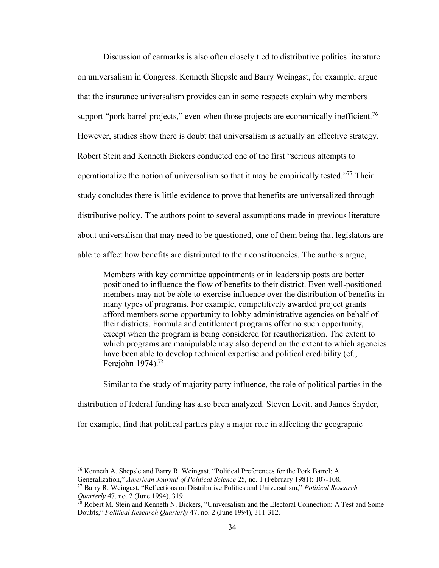Discussion of earmarks is also often closely tied to distributive politics literature on universalism in Congress. Kenneth Shepsle and Barry Weingast, for example, argue that the insurance universalism provides can in some respects explain why members support "pork barrel projects," even when those projects are economically inefficient.<sup>76</sup> However, studies show there is doubt that universalism is actually an effective strategy. Robert Stein and Kenneth Bickers conducted one of the first "serious attempts to operationalize the notion of universalism so that it may be empirically tested."<sup>77</sup> Their study concludes there is little evidence to prove that benefits are universalized through distributive policy. The authors point to several assumptions made in previous literature about universalism that may need to be questioned, one of them being that legislators are able to affect how benefits are distributed to their constituencies. The authors argue,

Members with key committee appointments or in leadership posts are better positioned to influence the flow of benefits to their district. Even well-positioned members may not be able to exercise influence over the distribution of benefits in many types of programs. For example, competitively awarded project grants afford members some opportunity to lobby administrative agencies on behalf of their districts. Formula and entitlement programs offer no such opportunity, except when the program is being considered for reauthorization. The extent to which programs are manipulable may also depend on the extent to which agencies have been able to develop technical expertise and political credibility (cf., Ferejohn 1974).<sup>78</sup>

Similar to the study of majority party influence, the role of political parties in the distribution of federal funding has also been analyzed. Steven Levitt and James Snyder, for example, find that political parties play a major role in affecting the geographic

<sup>76</sup> Kenneth A. Shepsle and Barry R. Weingast, "Political Preferences for the Pork Barrel: A Generalization," *American Journal of Political Science* 25, no. 1 (February 1981): 107-108.

<sup>77</sup> Barry R. Weingast, "Reflections on Distributive Politics and Universalism," *Political Research Quarterly* 47, no. 2 (June 1994), 319.

<sup>78</sup> Robert M. Stein and Kenneth N. Bickers, "Universalism and the Electoral Connection: A Test and Some Doubts," *Political Research Quarterly* 47, no. 2 (June 1994), 311-312.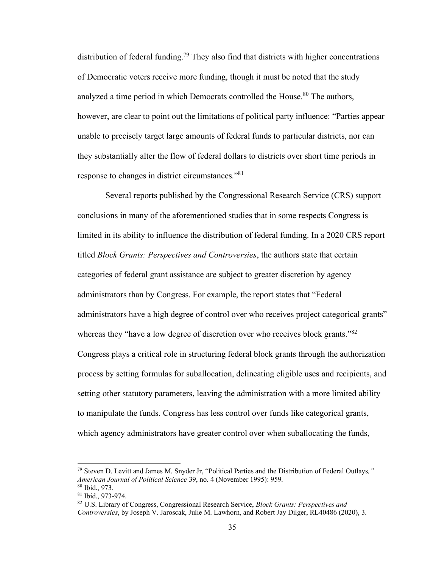distribution of federal funding.<sup>79</sup> They also find that districts with higher concentrations of Democratic voters receive more funding, though it must be noted that the study analyzed a time period in which Democrats controlled the House.<sup>80</sup> The authors, however, are clear to point out the limitations of political party influence: "Parties appear unable to precisely target large amounts of federal funds to particular districts, nor can they substantially alter the flow of federal dollars to districts over short time periods in response to changes in district circumstances."<sup>81</sup>

Several reports published by the Congressional Research Service (CRS) support conclusions in many of the aforementioned studies that in some respects Congress is limited in its ability to influence the distribution of federal funding. In a 2020 CRS report titled *Block Grants: Perspectives and Controversies*, the authors state that certain categories of federal grant assistance are subject to greater discretion by agency administrators than by Congress. For example, the report states that "Federal administrators have a high degree of control over who receives project categorical grants" whereas they "have a low degree of discretion over who receives block grants."<sup>82</sup> Congress plays a critical role in structuring federal block grants through the authorization process by setting formulas for suballocation, delineating eligible uses and recipients, and setting other statutory parameters, leaving the administration with a more limited ability to manipulate the funds. Congress has less control over funds like categorical grants, which agency administrators have greater control over when suballocating the funds,

<sup>79</sup> Steven D. Levitt and James M. Snyder Jr, "Political Parties and the Distribution of Federal Outlays*," American Journal of Political Science* 39, no. 4 (November 1995): 959.

<sup>80</sup> Ibid., 973.

<sup>81</sup> Ibid., 973-974.

<sup>82</sup> U.S. Library of Congress, Congressional Research Service, *Block Grants: Perspectives and Controversies*, by Joseph V. Jaroscak, Julie M. Lawhorn, and Robert Jay Dilger, RL40486 (2020), 3.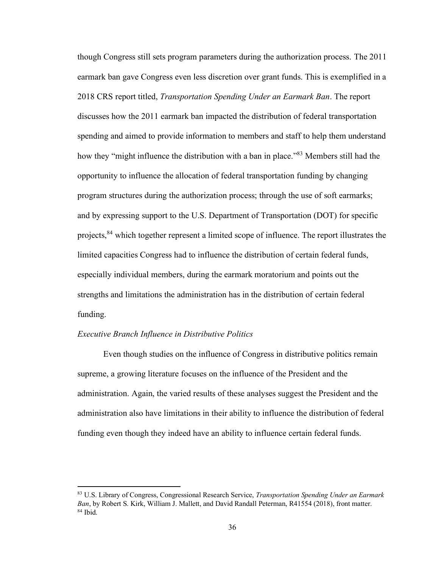though Congress still sets program parameters during the authorization process. The 2011 earmark ban gave Congress even less discretion over grant funds. This is exemplified in a 2018 CRS report titled, *Transportation Spending Under an Earmark Ban*. The report discusses how the 2011 earmark ban impacted the distribution of federal transportation spending and aimed to provide information to members and staff to help them understand how they "might influence the distribution with a ban in place."<sup>83</sup> Members still had the opportunity to influence the allocation of federal transportation funding by changing program structures during the authorization process; through the use of soft earmarks; and by expressing support to the U.S. Department of Transportation (DOT) for specific projects,<sup>84</sup> which together represent a limited scope of influence. The report illustrates the limited capacities Congress had to influence the distribution of certain federal funds, especially individual members, during the earmark moratorium and points out the strengths and limitations the administration has in the distribution of certain federal funding.

## *Executive Branch Influence in Distributive Politics*

Even though studies on the influence of Congress in distributive politics remain supreme, a growing literature focuses on the influence of the President and the administration. Again, the varied results of these analyses suggest the President and the administration also have limitations in their ability to influence the distribution of federal funding even though they indeed have an ability to influence certain federal funds.

<sup>83</sup> U.S. Library of Congress, Congressional Research Service, *Transportation Spending Under an Earmark Ban*, by Robert S. Kirk, William J. Mallett, and David Randall Peterman, R41554 (2018), front matter.  $84$  Ibid.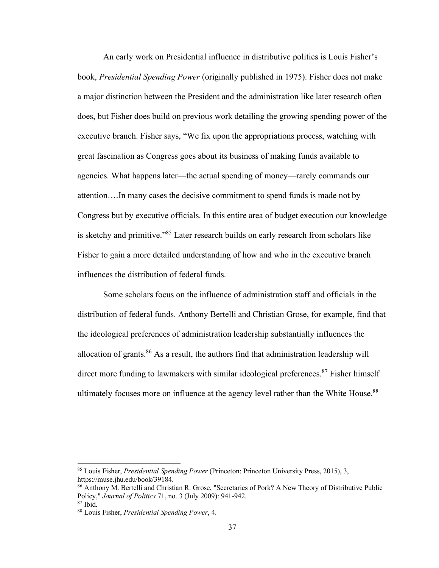An early work on Presidential influence in distributive politics is Louis Fisher's book, *Presidential Spending Power* (originally published in 1975). Fisher does not make a major distinction between the President and the administration like later research often does, but Fisher does build on previous work detailing the growing spending power of the executive branch. Fisher says, "We fix upon the appropriations process, watching with great fascination as Congress goes about its business of making funds available to agencies. What happens later—the actual spending of money—rarely commands our attention….In many cases the decisive commitment to spend funds is made not by Congress but by executive officials. In this entire area of budget execution our knowledge is sketchy and primitive."<sup>85</sup> Later research builds on early research from scholars like Fisher to gain a more detailed understanding of how and who in the executive branch influences the distribution of federal funds.

Some scholars focus on the influence of administration staff and officials in the distribution of federal funds. Anthony Bertelli and Christian Grose, for example, find that the ideological preferences of administration leadership substantially influences the allocation of grants. $86$  As a result, the authors find that administration leadership will direct more funding to lawmakers with similar ideological preferences.<sup>87</sup> Fisher himself ultimately focuses more on influence at the agency level rather than the White House.<sup>88</sup>

<sup>85</sup> Louis Fisher, *Presidential Spending Power* (Princeton: Princeton University Press, 2015), 3, https://muse.jhu.edu/book/39184.

<sup>86</sup> Anthony M. Bertelli and Christian R. Grose, "Secretaries of Pork? A New Theory of Distributive Public Policy," *Journal of Politics* 71, no. 3 (July 2009): 941-942.

 $87$  Ibid.

<sup>88</sup> Louis Fisher, *Presidential Spending Power*, 4.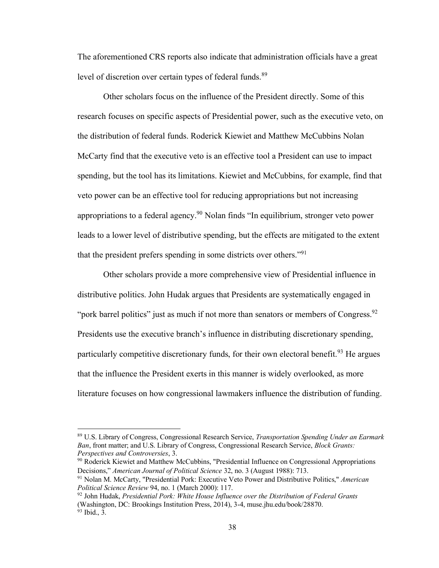The aforementioned CRS reports also indicate that administration officials have a great level of discretion over certain types of federal funds.<sup>89</sup>

Other scholars focus on the influence of the President directly. Some of this research focuses on specific aspects of Presidential power, such as the executive veto, on the distribution of federal funds. Roderick Kiewiet and Matthew McCubbins Nolan McCarty find that the executive veto is an effective tool a President can use to impact spending, but the tool has its limitations. Kiewiet and McCubbins, for example, find that veto power can be an effective tool for reducing appropriations but not increasing appropriations to a federal agency.<sup>90</sup> Nolan finds "In equilibrium, stronger veto power leads to a lower level of distributive spending, but the effects are mitigated to the extent that the president prefers spending in some districts over others."<sup>91</sup>

Other scholars provide a more comprehensive view of Presidential influence in distributive politics. John Hudak argues that Presidents are systematically engaged in "pork barrel politics" just as much if not more than senators or members of Congress.  $92$ Presidents use the executive branch's influence in distributing discretionary spending, particularly competitive discretionary funds, for their own electoral benefit.<sup>93</sup> He argues that the influence the President exerts in this manner is widely overlooked, as more literature focuses on how congressional lawmakers influence the distribution of funding.

<sup>89</sup> U.S. Library of Congress, Congressional Research Service, *Transportation Spending Under an Earmark Ban*, front matter; and U.S. Library of Congress, Congressional Research Service, *Block Grants: Perspectives and Controversies*, 3.

<sup>&</sup>lt;sup>90</sup> Roderick Kiewiet and Matthew McCubbins, "Presidential Influence on Congressional Appropriations Decisions," *American Journal of Political Science* 32, no. 3 (August 1988): 713.

<sup>91</sup> Nolan M. McCarty, "Presidential Pork: Executive Veto Power and Distributive Politics," *American Political Science Review* 94, no. 1 (March 2000): 117.

<sup>92</sup> John Hudak, *Presidential Pork: White House Influence over the Distribution of Federal Grants* (Washington, DC: Brookings Institution Press, 2014), 3-4, muse.jhu.edu/book/28870.  $93$  Ibid., 3.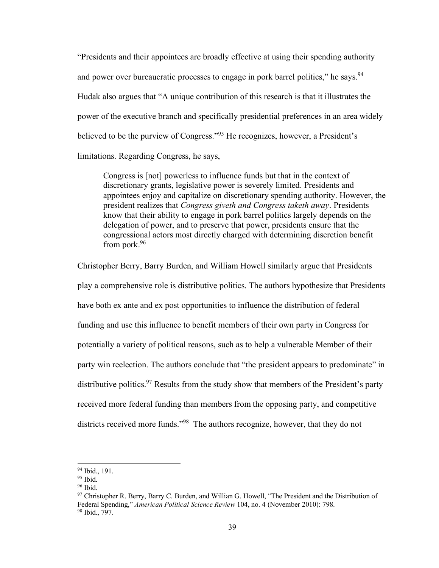"Presidents and their appointees are broadly effective at using their spending authority and power over bureaucratic processes to engage in pork barrel politics," he says.  $94$ Hudak also argues that "A unique contribution of this research is that it illustrates the power of the executive branch and specifically presidential preferences in an area widely believed to be the purview of Congress."<sup>95</sup> He recognizes, however, a President's limitations. Regarding Congress, he says,

Congress is [not] powerless to influence funds but that in the context of discretionary grants, legislative power is severely limited. Presidents and appointees enjoy and capitalize on discretionary spending authority. However, the president realizes that *Congress giveth and Congress taketh away*. Presidents know that their ability to engage in pork barrel politics largely depends on the delegation of power, and to preserve that power, presidents ensure that the congressional actors most directly charged with determining discretion benefit from pork.<sup>96</sup>

Christopher Berry, Barry Burden, and William Howell similarly argue that Presidents play a comprehensive role is distributive politics. The authors hypothesize that Presidents have both ex ante and ex post opportunities to influence the distribution of federal funding and use this influence to benefit members of their own party in Congress for potentially a variety of political reasons, such as to help a vulnerable Member of their party win reelection. The authors conclude that "the president appears to predominate" in distributive politics.<sup>97</sup> Results from the study show that members of the President's party received more federal funding than members from the opposing party, and competitive districts received more funds."<sup>98</sup> The authors recognize, however, that they do not

<sup>94</sup> Ibid., 191.

 $95$  Ibid.

 $96$  Ibid.

<sup>97</sup> Christopher R. Berry, Barry C. Burden, and Willian G. Howell, "The President and the Distribution of Federal Spending," *American Political Science Review* 104, no. 4 (November 2010): 798. <sup>98</sup> Ibid., 797.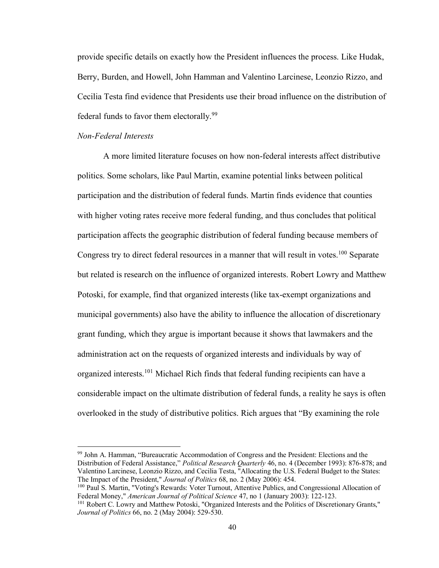provide specific details on exactly how the President influences the process. Like Hudak, Berry, Burden, and Howell, John Hamman and Valentino Larcinese, Leonzio Rizzo, and Cecilia Testa find evidence that Presidents use their broad influence on the distribution of federal funds to favor them electorally.<sup>99</sup>

## *Non-Federal Interests*

A more limited literature focuses on how non-federal interests affect distributive politics. Some scholars, like Paul Martin, examine potential links between political participation and the distribution of federal funds. Martin finds evidence that counties with higher voting rates receive more federal funding, and thus concludes that political participation affects the geographic distribution of federal funding because members of Congress try to direct federal resources in a manner that will result in votes.<sup>100</sup> Separate but related is research on the influence of organized interests. Robert Lowry and Matthew Potoski, for example, find that organized interests (like tax-exempt organizations and municipal governments) also have the ability to influence the allocation of discretionary grant funding, which they argue is important because it shows that lawmakers and the administration act on the requests of organized interests and individuals by way of organized interests.<sup>101</sup> Michael Rich finds that federal funding recipients can have a considerable impact on the ultimate distribution of federal funds, a reality he says is often overlooked in the study of distributive politics. Rich argues that "By examining the role

<sup>99</sup> John A. Hamman, "Bureaucratic Accommodation of Congress and the President: Elections and the Distribution of Federal Assistance," *Political Research Quarterly* 46, no. 4 (December 1993): 876-878; and Valentino Larcinese, Leonzio Rizzo, and Cecilia Testa, "Allocating the U.S. Federal Budget to the States: The Impact of the President," *Journal of Politics* 68, no. 2 (May 2006): 454.

<sup>100</sup> Paul S. Martin, "Voting's Rewards: Voter Turnout, Attentive Publics, and Congressional Allocation of Federal Money," *American Journal of Political Science* 47, no 1 (January 2003): 122-123.

<sup>&</sup>lt;sup>101</sup> Robert C. Lowry and Matthew Potoski, "Organized Interests and the Politics of Discretionary Grants," *Journal of Politics* 66, no. 2 (May 2004): 529-530.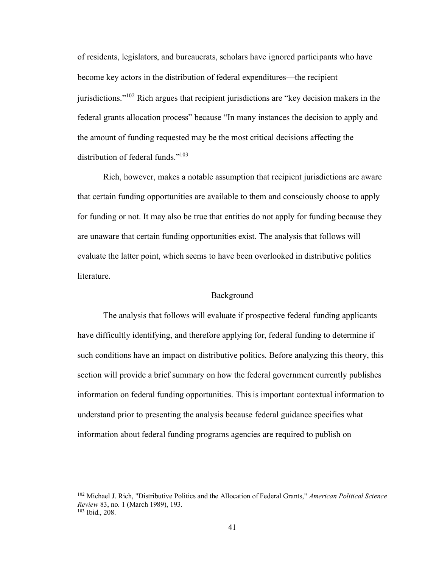of residents, legislators, and bureaucrats, scholars have ignored participants who have become key actors in the distribution of federal expenditures—the recipient jurisdictions."<sup>102</sup> Rich argues that recipient jurisdictions are "key decision makers in the federal grants allocation process" because "In many instances the decision to apply and the amount of funding requested may be the most critical decisions affecting the distribution of federal funds."<sup>103</sup>

Rich, however, makes a notable assumption that recipient jurisdictions are aware that certain funding opportunities are available to them and consciously choose to apply for funding or not. It may also be true that entities do not apply for funding because they are unaware that certain funding opportunities exist. The analysis that follows will evaluate the latter point, which seems to have been overlooked in distributive politics literature.

# Background

The analysis that follows will evaluate if prospective federal funding applicants have difficultly identifying, and therefore applying for, federal funding to determine if such conditions have an impact on distributive politics. Before analyzing this theory, this section will provide a brief summary on how the federal government currently publishes information on federal funding opportunities. This is important contextual information to understand prior to presenting the analysis because federal guidance specifies what information about federal funding programs agencies are required to publish on

<sup>102</sup> Michael J. Rich, "Distributive Politics and the Allocation of Federal Grants," *American Political Science Review* 83, no. 1 (March 1989), 193. <sup>103</sup> Ibid., 208.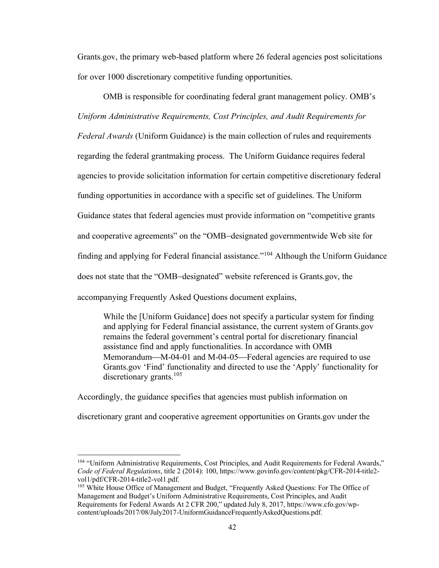Grants.gov, the primary web-based platform where 26 federal agencies post solicitations for over 1000 discretionary competitive funding opportunities.

OMB is responsible for coordinating federal grant management policy. OMB's *Uniform Administrative Requirements, Cost Principles, and Audit Requirements for Federal Awards* (Uniform Guidance) is the main collection of rules and requirements regarding the federal grantmaking process. The Uniform Guidance requires federal agencies to provide solicitation information for certain competitive discretionary federal funding opportunities in accordance with a specific set of guidelines. The Uniform Guidance states that federal agencies must provide information on "competitive grants and cooperative agreements" on the "OMB−designated governmentwide Web site for finding and applying for Federal financial assistance."<sup>104</sup> Although the Uniform Guidance does not state that the "OMB−designated" website referenced is Grants.gov, the accompanying Frequently Asked Questions document explains,

While the [Uniform Guidance] does not specify a particular system for finding and applying for Federal financial assistance, the current system of Grants.gov remains the federal government's central portal for discretionary financial assistance find and apply functionalities. In accordance with OMB Memorandum—M-04-01 and M-04-05—Federal agencies are required to use Grants.gov 'Find' functionality and directed to use the 'Apply' functionality for discretionary grants.<sup>105</sup>

Accordingly, the guidance specifies that agencies must publish information on

discretionary grant and cooperative agreement opportunities on Grants.gov under the

<sup>&</sup>lt;sup>104</sup> "Uniform Administrative Requirements, Cost Principles, and Audit Requirements for Federal Awards," *Code of Federal Regulations*, title 2 (2014): 100, https://www.govinfo.gov/content/pkg/CFR-2014-title2 vol1/pdf/CFR-2014-title2-vol1.pdf.

<sup>&</sup>lt;sup>105</sup> White House Office of Management and Budget, "Frequently Asked Questions: For The Office of Management and Budget's Uniform Administrative Requirements, Cost Principles, and Audit Requirements for Federal Awards At 2 CFR 200," updated July 8, 2017, https://www.cfo.gov/wpcontent/uploads/2017/08/July2017-UniformGuidanceFrequentlyAskedQuestions.pdf.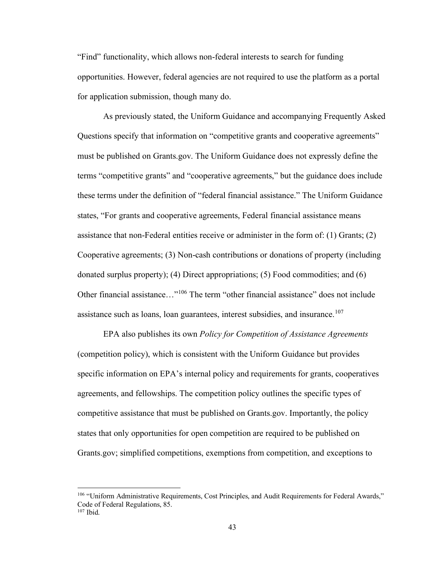"Find" functionality, which allows non-federal interests to search for funding opportunities. However, federal agencies are not required to use the platform as a portal for application submission, though many do.

As previously stated, the Uniform Guidance and accompanying Frequently Asked Questions specify that information on "competitive grants and cooperative agreements" must be published on Grants.gov. The Uniform Guidance does not expressly define the terms "competitive grants" and "cooperative agreements," but the guidance does include these terms under the definition of "federal financial assistance." The Uniform Guidance states, "For grants and cooperative agreements, Federal financial assistance means assistance that non-Federal entities receive or administer in the form of: (1) Grants; (2) Cooperative agreements; (3) Non-cash contributions or donations of property (including donated surplus property); (4) Direct appropriations; (5) Food commodities; and (6) Other financial assistance..."<sup>106</sup> The term "other financial assistance" does not include assistance such as loans, loan guarantees, interest subsidies, and insurance.<sup>107</sup>

EPA also publishes its own *Policy for Competition of Assistance Agreements*  (competition policy), which is consistent with the Uniform Guidance but provides specific information on EPA's internal policy and requirements for grants, cooperatives agreements, and fellowships. The competition policy outlines the specific types of competitive assistance that must be published on Grants.gov. Importantly, the policy states that only opportunities for open competition are required to be published on Grants.gov; simplified competitions, exemptions from competition, and exceptions to

<sup>&</sup>lt;sup>106</sup> "Uniform Administrative Requirements, Cost Principles, and Audit Requirements for Federal Awards," Code of Federal Regulations, 85.  $107$  Ibid.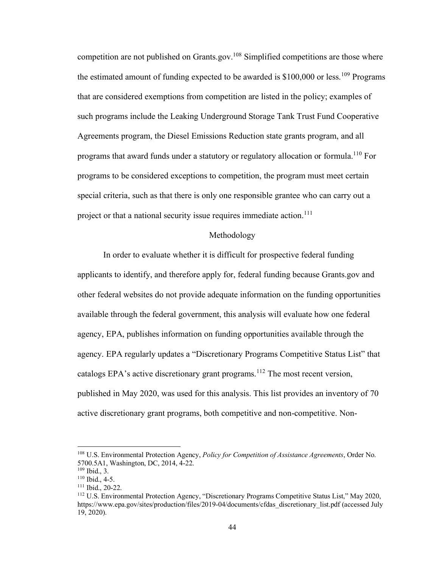competition are not published on Grants.gov.<sup>108</sup> Simplified competitions are those where the estimated amount of funding expected to be awarded is  $$100,000$  or less.<sup>109</sup> Programs that are considered exemptions from competition are listed in the policy; examples of such programs include the Leaking Underground Storage Tank Trust Fund Cooperative Agreements program, the Diesel Emissions Reduction state grants program, and all programs that award funds under a statutory or regulatory allocation or formula.<sup>110</sup> For programs to be considered exceptions to competition, the program must meet certain special criteria, such as that there is only one responsible grantee who can carry out a project or that a national security issue requires immediate action.<sup>111</sup>

#### Methodology

In order to evaluate whether it is difficult for prospective federal funding applicants to identify, and therefore apply for, federal funding because Grants.gov and other federal websites do not provide adequate information on the funding opportunities available through the federal government, this analysis will evaluate how one federal agency, EPA, publishes information on funding opportunities available through the agency. EPA regularly updates a "Discretionary Programs Competitive Status List" that catalogs EPA's active discretionary grant programs.<sup>112</sup> The most recent version, published in May 2020, was used for this analysis. This list provides an inventory of 70 active discretionary grant programs, both competitive and non-competitive. Non-

<sup>108</sup> U.S. Environmental Protection Agency, *Policy for Competition of Assistance Agreements*, Order No. 5700.5A1, Washington, DC, 2014, 4-22.

<sup>109</sup> Ibid., 3.

 $110$  Ibid., 4-5.

<sup>111</sup> Ibid., 20-22.

<sup>112</sup> U.S. Environmental Protection Agency, "Discretionary Programs Competitive Status List," May 2020, https://www.epa.gov/sites/production/files/2019-04/documents/cfdas\_discretionary\_list.pdf (accessed July 19, 2020).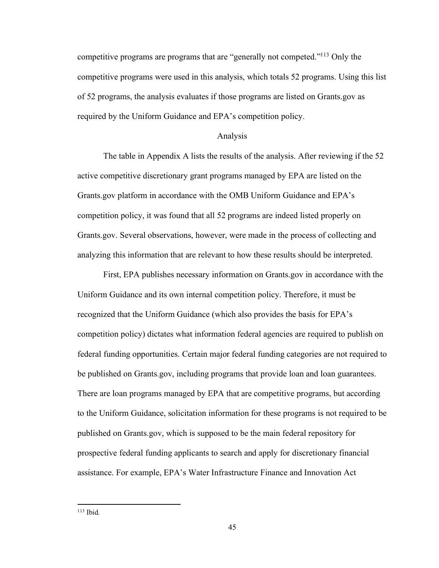competitive programs are programs that are "generally not competed."<sup>113</sup> Only the competitive programs were used in this analysis, which totals 52 programs. Using this list of 52 programs, the analysis evaluates if those programs are listed on Grants.gov as required by the Uniform Guidance and EPA's competition policy.

## Analysis

The table in Appendix A lists the results of the analysis. After reviewing if the 52 active competitive discretionary grant programs managed by EPA are listed on the Grants.gov platform in accordance with the OMB Uniform Guidance and EPA's competition policy, it was found that all 52 programs are indeed listed properly on Grants.gov. Several observations, however, were made in the process of collecting and analyzing this information that are relevant to how these results should be interpreted.

First, EPA publishes necessary information on Grants.gov in accordance with the Uniform Guidance and its own internal competition policy. Therefore, it must be recognized that the Uniform Guidance (which also provides the basis for EPA's competition policy) dictates what information federal agencies are required to publish on federal funding opportunities. Certain major federal funding categories are not required to be published on Grants.gov, including programs that provide loan and loan guarantees. There are loan programs managed by EPA that are competitive programs, but according to the Uniform Guidance, solicitation information for these programs is not required to be published on Grants.gov, which is supposed to be the main federal repository for prospective federal funding applicants to search and apply for discretionary financial assistance. For example, EPA's Water Infrastructure Finance and Innovation Act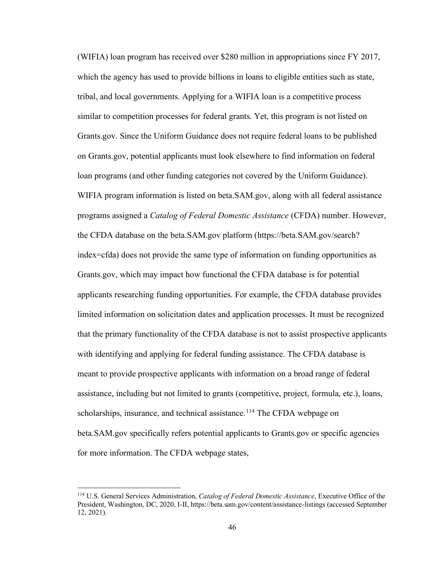(WIFIA) loan program has received over \$280 million in appropriations since FY 2017, which the agency has used to provide billions in loans to eligible entities such as state, tribal, and local governments. Applying for a WIFIA loan is a competitive process similar to competition processes for federal grants. Yet, this program is not listed on Grants.gov. Since the Uniform Guidance does not require federal loans to be published on Grants.gov, potential applicants must look elsewhere to find information on federal loan programs (and other funding categories not covered by the Uniform Guidance). WIFIA program information is listed on beta.SAM.gov, along with all federal assistance programs assigned a *Catalog of Federal Domestic Assistance* (CFDA) number. However, the CFDA database on the beta.SAM.gov platform (https://beta.SAM.gov/search? index=cfda) does not provide the same type of information on funding opportunities as Grants.gov, which may impact how functional the CFDA database is for potential applicants researching funding opportunities. For example, the CFDA database provides limited information on solicitation dates and application processes. It must be recognized that the primary functionality of the CFDA database is not to assist prospective applicants with identifying and applying for federal funding assistance. The CFDA database is meant to provide prospective applicants with information on a broad range of federal assistance, including but not limited to grants (competitive, project, formula, etc.), loans, scholarships, insurance, and technical assistance.<sup>114</sup> The CFDA webpage on beta.SAM.gov specifically refers potential applicants to Grants.gov or specific agencies for more information. The CFDA webpage states,

<sup>114</sup> U.S. General Services Administration, *Catalog of Federal Domestic Assistance*, Executive Office of the President, Washington, DC, 2020, I-II, https://beta.sam.gov/content/assistance-listings (accessed September 12, 2021).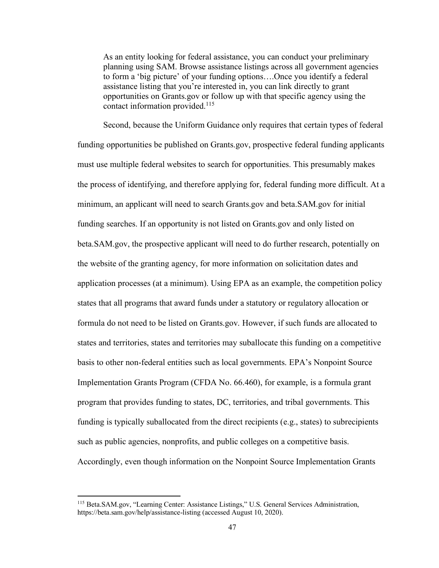As an entity looking for federal assistance, you can conduct your preliminary planning using SAM. Browse assistance listings across all government agencies to form a 'big picture' of your funding options….Once you identify a federal assistance listing that you're interested in, you can link directly to grant opportunities on Grants.gov or follow up with that specific agency using the contact information provided.<sup>115</sup>

Second, because the Uniform Guidance only requires that certain types of federal funding opportunities be published on Grants.gov, prospective federal funding applicants must use multiple federal websites to search for opportunities. This presumably makes the process of identifying, and therefore applying for, federal funding more difficult. At a minimum, an applicant will need to search Grants.gov and beta.SAM.gov for initial funding searches. If an opportunity is not listed on Grants.gov and only listed on beta.SAM.gov, the prospective applicant will need to do further research, potentially on the website of the granting agency, for more information on solicitation dates and application processes (at a minimum). Using EPA as an example, the competition policy states that all programs that award funds under a statutory or regulatory allocation or formula do not need to be listed on Grants.gov. However, if such funds are allocated to states and territories, states and territories may suballocate this funding on a competitive basis to other non-federal entities such as local governments. EPA's Nonpoint Source Implementation Grants Program (CFDA No. 66.460), for example, is a formula grant program that provides funding to states, DC, territories, and tribal governments. This funding is typically suballocated from the direct recipients (e.g., states) to subrecipients such as public agencies, nonprofits, and public colleges on a competitive basis. Accordingly, even though information on the Nonpoint Source Implementation Grants

<sup>115</sup> Beta.SAM.gov, "Learning Center: Assistance Listings," U.S. General Services Administration, https://beta.sam.gov/help/assistance-listing (accessed August 10, 2020).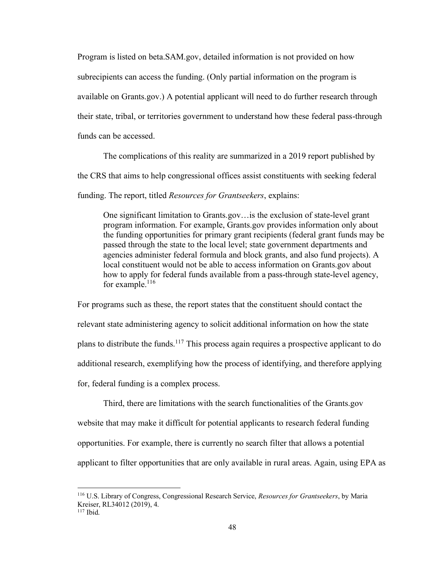Program is listed on beta.SAM.gov, detailed information is not provided on how subrecipients can access the funding. (Only partial information on the program is available on Grants.gov.) A potential applicant will need to do further research through their state, tribal, or territories government to understand how these federal pass-through funds can be accessed.

The complications of this reality are summarized in a 2019 report published by the CRS that aims to help congressional offices assist constituents with seeking federal funding. The report, titled *Resources for Grantseekers*, explains:

One significant limitation to Grants.gov…is the exclusion of state-level grant program information. For example, Grants.gov provides information only about the funding opportunities for primary grant recipients (federal grant funds may be passed through the state to the local level; state government departments and agencies administer federal formula and block grants, and also fund projects). A local constituent would not be able to access information on Grants.gov about how to apply for federal funds available from a pass-through state-level agency, for example. $116$ 

For programs such as these, the report states that the constituent should contact the relevant state administering agency to solicit additional information on how the state plans to distribute the funds.<sup>117</sup> This process again requires a prospective applicant to do additional research, exemplifying how the process of identifying, and therefore applying for, federal funding is a complex process.

Third, there are limitations with the search functionalities of the Grants.gov website that may make it difficult for potential applicants to research federal funding opportunities. For example, there is currently no search filter that allows a potential applicant to filter opportunities that are only available in rural areas. Again, using EPA as

<sup>116</sup> U.S. Library of Congress, Congressional Research Service, *Resources for Grantseekers*, by Maria Kreiser, RL34012 (2019), 4.  $117$  Ibid.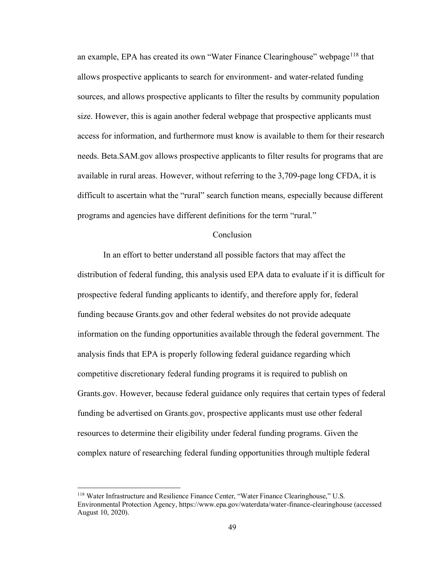an example, EPA has created its own "Water Finance Clearinghouse" webpage<sup>118</sup> that allows prospective applicants to search for environment- and water-related funding sources, and allows prospective applicants to filter the results by community population size. However, this is again another federal webpage that prospective applicants must access for information, and furthermore must know is available to them for their research needs. Beta.SAM.gov allows prospective applicants to filter results for programs that are available in rural areas. However, without referring to the 3,709-page long CFDA, it is difficult to ascertain what the "rural" search function means, especially because different programs and agencies have different definitions for the term "rural."

## Conclusion

In an effort to better understand all possible factors that may affect the distribution of federal funding, this analysis used EPA data to evaluate if it is difficult for prospective federal funding applicants to identify, and therefore apply for, federal funding because Grants.gov and other federal websites do not provide adequate information on the funding opportunities available through the federal government. The analysis finds that EPA is properly following federal guidance regarding which competitive discretionary federal funding programs it is required to publish on Grants.gov. However, because federal guidance only requires that certain types of federal funding be advertised on Grants.gov, prospective applicants must use other federal resources to determine their eligibility under federal funding programs. Given the complex nature of researching federal funding opportunities through multiple federal

<sup>118</sup> Water Infrastructure and Resilience Finance Center, "Water Finance Clearinghouse," U.S. Environmental Protection Agency, https://www.epa.gov/waterdata/water-finance-clearinghouse (accessed August 10, 2020).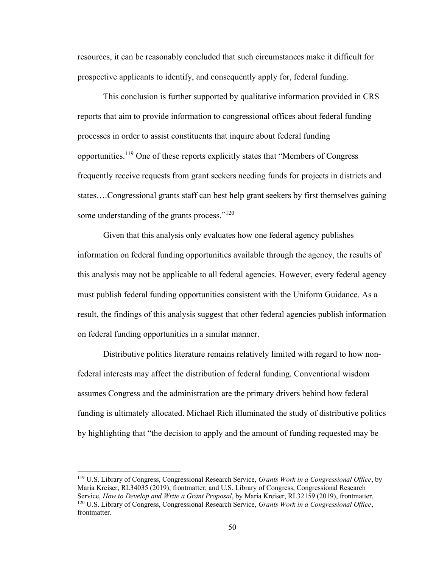resources, it can be reasonably concluded that such circumstances make it difficult for prospective applicants to identify, and consequently apply for, federal funding.

This conclusion is further supported by qualitative information provided in CRS reports that aim to provide information to congressional offices about federal funding processes in order to assist constituents that inquire about federal funding opportunities.<sup>119</sup> One of these reports explicitly states that "Members of Congress frequently receive requests from grant seekers needing funds for projects in districts and states….Congressional grants staff can best help grant seekers by first themselves gaining some understanding of the grants process."<sup>120</sup>

Given that this analysis only evaluates how one federal agency publishes information on federal funding opportunities available through the agency, the results of this analysis may not be applicable to all federal agencies. However, every federal agency must publish federal funding opportunities consistent with the Uniform Guidance. As a result, the findings of this analysis suggest that other federal agencies publish information on federal funding opportunities in a similar manner.

Distributive politics literature remains relatively limited with regard to how nonfederal interests may affect the distribution of federal funding. Conventional wisdom assumes Congress and the administration are the primary drivers behind how federal funding is ultimately allocated. Michael Rich illuminated the study of distributive politics by highlighting that "the decision to apply and the amount of funding requested may be

<sup>119</sup> U.S. Library of Congress, Congressional Research Service, *Grants Work in a Congressional Office*, by Maria Kreiser, RL34035 (2019), frontmatter; and U.S. Library of Congress, Congressional Research Service, *How to Develop and Write a Grant Proposal*, by Maria Kreiser, RL32159 (2019), frontmatter. <sup>120</sup> U.S. Library of Congress, Congressional Research Service, *Grants Work in a Congressional Office*, frontmatter.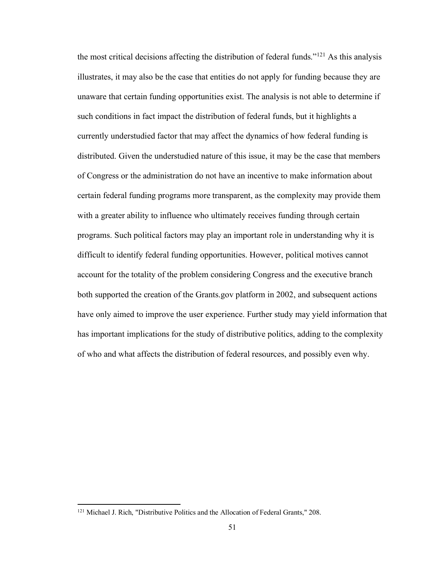the most critical decisions affecting the distribution of federal funds."<sup>121</sup> As this analysis illustrates, it may also be the case that entities do not apply for funding because they are unaware that certain funding opportunities exist. The analysis is not able to determine if such conditions in fact impact the distribution of federal funds, but it highlights a currently understudied factor that may affect the dynamics of how federal funding is distributed. Given the understudied nature of this issue, it may be the case that members of Congress or the administration do not have an incentive to make information about certain federal funding programs more transparent, as the complexity may provide them with a greater ability to influence who ultimately receives funding through certain programs. Such political factors may play an important role in understanding why it is difficult to identify federal funding opportunities. However, political motives cannot account for the totality of the problem considering Congress and the executive branch both supported the creation of the Grants.gov platform in 2002, and subsequent actions have only aimed to improve the user experience. Further study may yield information that has important implications for the study of distributive politics, adding to the complexity of who and what affects the distribution of federal resources, and possibly even why.

<sup>&</sup>lt;sup>121</sup> Michael J. Rich, "Distributive Politics and the Allocation of Federal Grants," 208.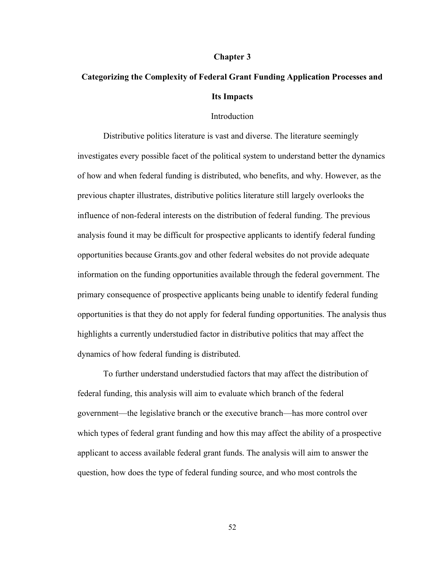#### **Chapter 3**

# **Categorizing the Complexity of Federal Grant Funding Application Processes and Its Impacts**

### Introduction

Distributive politics literature is vast and diverse. The literature seemingly investigates every possible facet of the political system to understand better the dynamics of how and when federal funding is distributed, who benefits, and why. However, as the previous chapter illustrates, distributive politics literature still largely overlooks the influence of non-federal interests on the distribution of federal funding. The previous analysis found it may be difficult for prospective applicants to identify federal funding opportunities because Grants.gov and other federal websites do not provide adequate information on the funding opportunities available through the federal government. The primary consequence of prospective applicants being unable to identify federal funding opportunities is that they do not apply for federal funding opportunities. The analysis thus highlights a currently understudied factor in distributive politics that may affect the dynamics of how federal funding is distributed.

To further understand understudied factors that may affect the distribution of federal funding, this analysis will aim to evaluate which branch of the federal government—the legislative branch or the executive branch—has more control over which types of federal grant funding and how this may affect the ability of a prospective applicant to access available federal grant funds. The analysis will aim to answer the question, how does the type of federal funding source, and who most controls the

52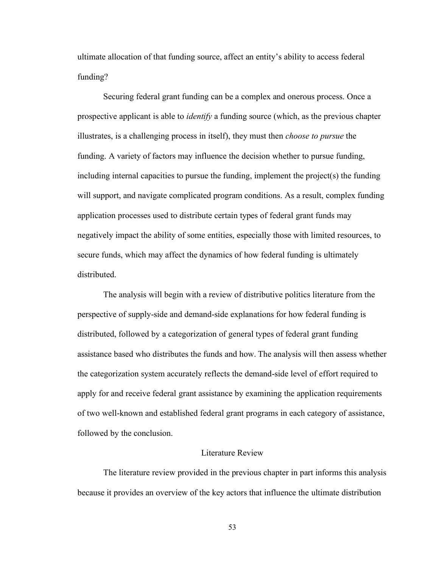ultimate allocation of that funding source, affect an entity's ability to access federal funding?

Securing federal grant funding can be a complex and onerous process. Once a prospective applicant is able to *identify* a funding source (which, as the previous chapter illustrates, is a challenging process in itself), they must then *choose to pursue* the funding. A variety of factors may influence the decision whether to pursue funding, including internal capacities to pursue the funding, implement the project(s) the funding will support, and navigate complicated program conditions. As a result, complex funding application processes used to distribute certain types of federal grant funds may negatively impact the ability of some entities, especially those with limited resources, to secure funds, which may affect the dynamics of how federal funding is ultimately distributed.

The analysis will begin with a review of distributive politics literature from the perspective of supply-side and demand-side explanations for how federal funding is distributed, followed by a categorization of general types of federal grant funding assistance based who distributes the funds and how. The analysis will then assess whether the categorization system accurately reflects the demand-side level of effort required to apply for and receive federal grant assistance by examining the application requirements of two well-known and established federal grant programs in each category of assistance, followed by the conclusion.

# Literature Review

The literature review provided in the previous chapter in part informs this analysis because it provides an overview of the key actors that influence the ultimate distribution

53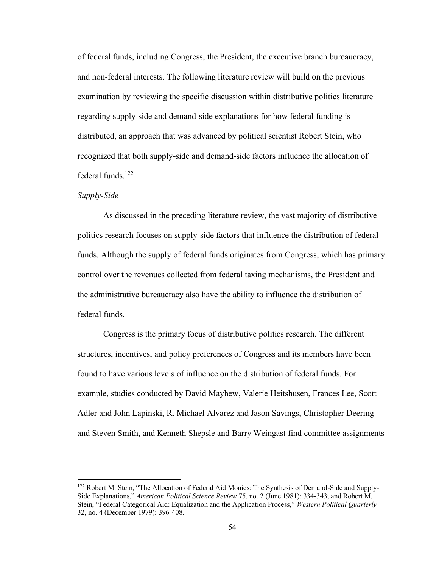of federal funds, including Congress, the President, the executive branch bureaucracy, and non-federal interests. The following literature review will build on the previous examination by reviewing the specific discussion within distributive politics literature regarding supply-side and demand-side explanations for how federal funding is distributed, an approach that was advanced by political scientist Robert Stein, who recognized that both supply-side and demand-side factors influence the allocation of federal funds.<sup>122</sup>

## *Supply-Side*

As discussed in the preceding literature review, the vast majority of distributive politics research focuses on supply-side factors that influence the distribution of federal funds. Although the supply of federal funds originates from Congress, which has primary control over the revenues collected from federal taxing mechanisms, the President and the administrative bureaucracy also have the ability to influence the distribution of federal funds.

Congress is the primary focus of distributive politics research. The different structures, incentives, and policy preferences of Congress and its members have been found to have various levels of influence on the distribution of federal funds. For example, studies conducted by David Mayhew, Valerie Heitshusen, Frances Lee, Scott Adler and John Lapinski, R. Michael Alvarez and Jason Savings, Christopher Deering and Steven Smith, and Kenneth Shepsle and Barry Weingast find committee assignments

<sup>&</sup>lt;sup>122</sup> Robert M. Stein, "The Allocation of Federal Aid Monies: The Synthesis of Demand-Side and Supply-Side Explanations," *American Political Science Review* 75, no. 2 (June 1981): 334-343; and Robert M. Stein, "Federal Categorical Aid: Equalization and the Application Process," *Western Political Quarterly* 32, no. 4 (December 1979): 396-408.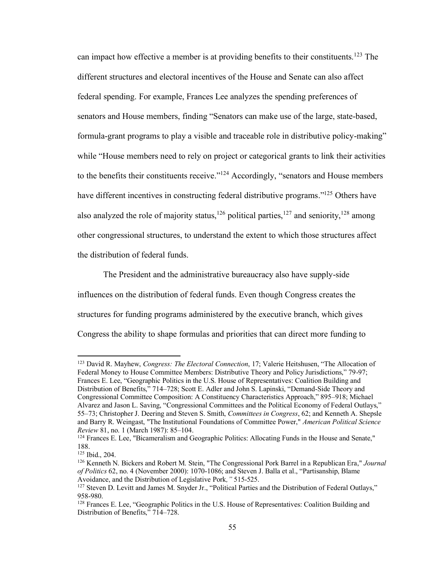can impact how effective a member is at providing benefits to their constituents.<sup>123</sup> The different structures and electoral incentives of the House and Senate can also affect federal spending. For example, Frances Lee analyzes the spending preferences of senators and House members, finding "Senators can make use of the large, state-based, formula-grant programs to play a visible and traceable role in distributive policy-making" while "House members need to rely on project or categorical grants to link their activities to the benefits their constituents receive."<sup>124</sup> Accordingly, "senators and House members have different incentives in constructing federal distributive programs."<sup>125</sup> Others have also analyzed the role of majority status,<sup>126</sup> political parties,<sup>127</sup> and seniority,<sup>128</sup> among other congressional structures, to understand the extent to which those structures affect the distribution of federal funds.

The President and the administrative bureaucracy also have supply-side influences on the distribution of federal funds. Even though Congress creates the structures for funding programs administered by the executive branch, which gives Congress the ability to shape formulas and priorities that can direct more funding to

<sup>123</sup> David R. Mayhew, *Congress: The Electoral Connection*, 17; Valerie Heitshusen, "The Allocation of Federal Money to House Committee Members: Distributive Theory and Policy Jurisdictions," 79-97; Frances E. Lee, "Geographic Politics in the U.S. House of Representatives: Coalition Building and Distribution of Benefits," 714–728; Scott E. Adler and John S. Lapinski, "Demand-Side Theory and Congressional Committee Composition: A Constituency Characteristics Approach," 895–918; Michael Alvarez and Jason L. Saving, "Congressional Committees and the Political Economy of Federal Outlays," 55–73; Christopher J. Deering and Steven S. Smith, *Committees in Congress*, 62; and Kenneth A. Shepsle and Barry R. Weingast, "The Institutional Foundations of Committee Power," *American Political Science Review* 81, no. 1 (March 1987): 85–104.

<sup>&</sup>lt;sup>124</sup> Frances E. Lee, "Bicameralism and Geographic Politics: Allocating Funds in the House and Senate," 188.

<sup>125</sup> Ibid., 204.

<sup>126</sup> Kenneth N. Bickers and Robert M. Stein, "The Congressional Pork Barrel in a Republican Era," *Journal of Politics* 62, no. 4 (November 2000): 1070-1086; and Steven J. Balla et al., "Partisanship, Blame Avoidance, and the Distribution of Legislative Pork*,"* 515-525.

<sup>&</sup>lt;sup>127</sup> Steven D. Levitt and James M. Snyder Jr., "Political Parties and the Distribution of Federal Outlays," 958-980.

<sup>&</sup>lt;sup>128</sup> Frances E. Lee, "Geographic Politics in the U.S. House of Representatives: Coalition Building and Distribution of Benefits," 714–728.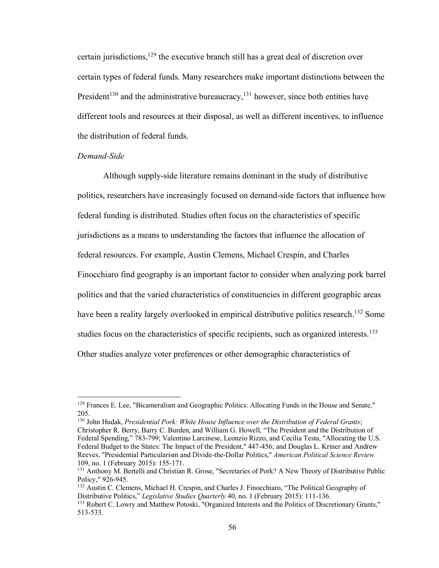certain jurisdictions,<sup>129</sup> the executive branch still has a great deal of discretion over certain types of federal funds. Many researchers make important distinctions between the President<sup>130</sup> and the administrative bureaucracy,<sup>131</sup> however, since both entities have different tools and resources at their disposal, as well as different incentives, to influence the distribution of federal funds.

## *Demand-Side*

Although supply-side literature remains dominant in the study of distributive politics, researchers have increasingly focused on demand-side factors that influence how federal funding is distributed. Studies often focus on the characteristics of specific jurisdictions as a means to understanding the factors that influence the allocation of federal resources. For example, Austin Clemens, Michael Crespin, and Charles Finocchiaro find geography is an important factor to consider when analyzing pork barrel politics and that the varied characteristics of constituencies in different geographic areas have been a reality largely overlooked in empirical distributive politics research.<sup>132</sup> Some studies focus on the characteristics of specific recipients, such as organized interests.<sup>133</sup> Other studies analyze voter preferences or other demographic characteristics of

<sup>&</sup>lt;sup>129</sup> Frances E. Lee, "Bicameralism and Geographic Politics: Allocating Funds in the House and Senate," 205.

<sup>130</sup> John Hudak, *Presidential Pork: White House Influence over the Distribution of Federal Grants*; Christopher R. Berry, Barry C. Burden, and William G. Howell, "The President and the Distribution of Federal Spending," 783-799; Valentino Larcinese, Leonzio Rizzo, and Cecilia Testa, "Allocating the U.S. Federal Budget to the States: The Impact of the President," 447-456; and Douglas L. Kriner and Andrew Reeves, "Presidential Particularism and Divide-the-Dollar Politics," *American Political Science Review* 109, no. 1 (February 2015): 155-171.

<sup>&</sup>lt;sup>131</sup> Anthony M. Bertelli and Christian R. Grose, "Secretaries of Pork? A New Theory of Distributive Public Policy," 926-945.

<sup>&</sup>lt;sup>132</sup> Austin C. Clemens, Michael H. Crespin, and Charles J. Finocchiaro, "The Political Geography of Distributive Politics," *Legislative Studies Quarterly* 40, no. 1 (February 2015): 111-136.

<sup>133</sup> Robert C. Lowry and Matthew Potoski, "Organized Interests and the Politics of Discretionary Grants," 513-533.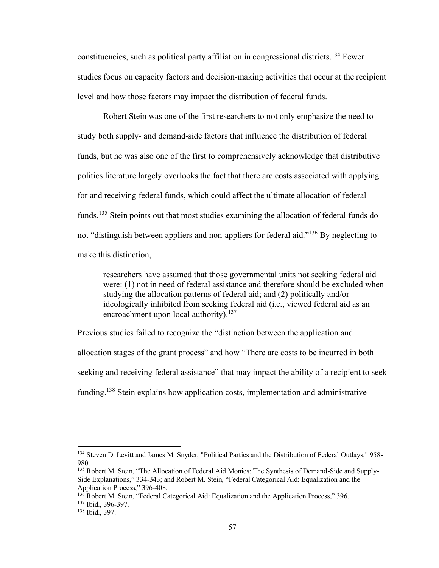constituencies, such as political party affiliation in congressional districts.<sup>134</sup> Fewer studies focus on capacity factors and decision-making activities that occur at the recipient level and how those factors may impact the distribution of federal funds.

Robert Stein was one of the first researchers to not only emphasize the need to study both supply- and demand-side factors that influence the distribution of federal funds, but he was also one of the first to comprehensively acknowledge that distributive politics literature largely overlooks the fact that there are costs associated with applying for and receiving federal funds, which could affect the ultimate allocation of federal funds.<sup>135</sup> Stein points out that most studies examining the allocation of federal funds do not "distinguish between appliers and non-appliers for federal aid."<sup>136</sup> By neglecting to make this distinction,

researchers have assumed that those governmental units not seeking federal aid were: (1) not in need of federal assistance and therefore should be excluded when studying the allocation patterns of federal aid; and (2) politically and/or ideologically inhibited from seeking federal aid (i.e., viewed federal aid as an encroachment upon local authority).<sup>137</sup>

Previous studies failed to recognize the "distinction between the application and allocation stages of the grant process" and how "There are costs to be incurred in both seeking and receiving federal assistance" that may impact the ability of a recipient to seek funding.<sup>138</sup> Stein explains how application costs, implementation and administrative

<sup>134</sup> Steven D. Levitt and James M. Snyder, "Political Parties and the Distribution of Federal Outlays," 958- 980.

<sup>135</sup> Robert M. Stein, "The Allocation of Federal Aid Monies: The Synthesis of Demand-Side and Supply-Side Explanations," 334-343; and Robert M. Stein, "Federal Categorical Aid: Equalization and the Application Process," 396-408.

<sup>&</sup>lt;sup>136</sup> Robert M. Stein, "Federal Categorical Aid: Equalization and the Application Process," 396.

<sup>137</sup> Ibid., 396-397.

<sup>138</sup> Ibid., 397.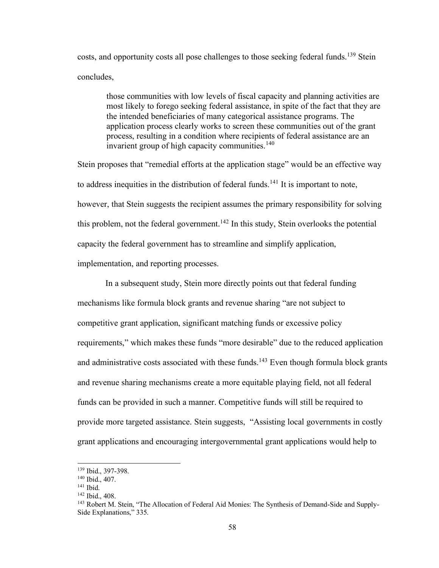costs, and opportunity costs all pose challenges to those seeking federal funds.<sup>139</sup> Stein concludes,

those communities with low levels of fiscal capacity and planning activities are most likely to forego seeking federal assistance, in spite of the fact that they are the intended beneficiaries of many categorical assistance programs. The application process clearly works to screen these communities out of the grant process, resulting in a condition where recipients of federal assistance are an invarient group of high capacity communities.<sup>140</sup>

Stein proposes that "remedial efforts at the application stage" would be an effective way to address inequities in the distribution of federal funds.<sup>141</sup> It is important to note, however, that Stein suggests the recipient assumes the primary responsibility for solving this problem, not the federal government.<sup>142</sup> In this study, Stein overlooks the potential capacity the federal government has to streamline and simplify application, implementation, and reporting processes.

In a subsequent study, Stein more directly points out that federal funding mechanisms like formula block grants and revenue sharing "are not subject to competitive grant application, significant matching funds or excessive policy requirements," which makes these funds "more desirable" due to the reduced application and administrative costs associated with these funds.<sup>143</sup> Even though formula block grants and revenue sharing mechanisms create a more equitable playing field, not all federal funds can be provided in such a manner. Competitive funds will still be required to provide more targeted assistance. Stein suggests, "Assisting local governments in costly grant applications and encouraging intergovernmental grant applications would help to

<sup>139</sup> Ibid., 397-398.

<sup>140</sup> Ibid., 407.

<sup>141</sup> Ibid.

<sup>142</sup> Ibid., 408.

<sup>&</sup>lt;sup>143</sup> Robert M. Stein, "The Allocation of Federal Aid Monies: The Synthesis of Demand-Side and Supply-Side Explanations," 335.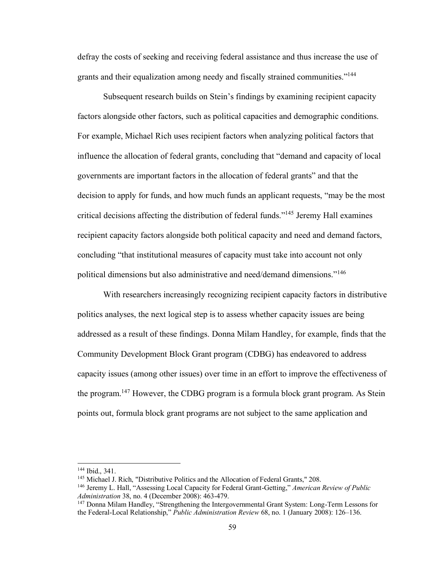defray the costs of seeking and receiving federal assistance and thus increase the use of grants and their equalization among needy and fiscally strained communities."<sup>144</sup>

Subsequent research builds on Stein's findings by examining recipient capacity factors alongside other factors, such as political capacities and demographic conditions. For example, Michael Rich uses recipient factors when analyzing political factors that influence the allocation of federal grants, concluding that "demand and capacity of local governments are important factors in the allocation of federal grants" and that the decision to apply for funds, and how much funds an applicant requests, "may be the most critical decisions affecting the distribution of federal funds."<sup>145</sup> Jeremy Hall examines recipient capacity factors alongside both political capacity and need and demand factors, concluding "that institutional measures of capacity must take into account not only political dimensions but also administrative and need/demand dimensions."<sup>146</sup>

With researchers increasingly recognizing recipient capacity factors in distributive politics analyses, the next logical step is to assess whether capacity issues are being addressed as a result of these findings. Donna Milam Handley, for example, finds that the Community Development Block Grant program (CDBG) has endeavored to address capacity issues (among other issues) over time in an effort to improve the effectiveness of the program.<sup>147</sup> However, the CDBG program is a formula block grant program. As Stein points out, formula block grant programs are not subject to the same application and

<sup>144</sup> Ibid., 341.

<sup>&</sup>lt;sup>145</sup> Michael J. Rich, "Distributive Politics and the Allocation of Federal Grants," 208.

<sup>146</sup> Jeremy L. Hall, "Assessing Local Capacity for Federal Grant-Getting," *American Review of Public Administration* 38, no. 4 (December 2008): 463-479.

<sup>&</sup>lt;sup>147</sup> Donna Milam Handley, "Strengthening the Intergovernmental Grant System: Long-Term Lessons for the Federal-Local Relationship," *Public Administration Review* 68, no. 1 (January 2008): 126–136.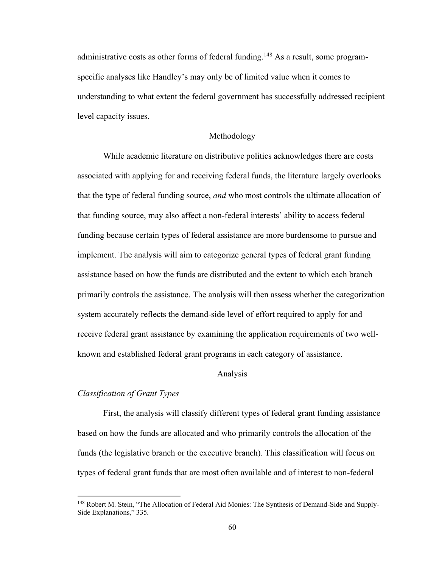administrative costs as other forms of federal funding.<sup>148</sup> As a result, some programspecific analyses like Handley's may only be of limited value when it comes to understanding to what extent the federal government has successfully addressed recipient level capacity issues.

## Methodology

While academic literature on distributive politics acknowledges there are costs associated with applying for and receiving federal funds, the literature largely overlooks that the type of federal funding source, *and* who most controls the ultimate allocation of that funding source, may also affect a non-federal interests' ability to access federal funding because certain types of federal assistance are more burdensome to pursue and implement. The analysis will aim to categorize general types of federal grant funding assistance based on how the funds are distributed and the extent to which each branch primarily controls the assistance. The analysis will then assess whether the categorization system accurately reflects the demand-side level of effort required to apply for and receive federal grant assistance by examining the application requirements of two wellknown and established federal grant programs in each category of assistance.

## Analysis

#### *Classification of Grant Types*

First, the analysis will classify different types of federal grant funding assistance based on how the funds are allocated and who primarily controls the allocation of the funds (the legislative branch or the executive branch). This classification will focus on types of federal grant funds that are most often available and of interest to non-federal

<sup>&</sup>lt;sup>148</sup> Robert M. Stein, "The Allocation of Federal Aid Monies: The Synthesis of Demand-Side and Supply-Side Explanations," 335.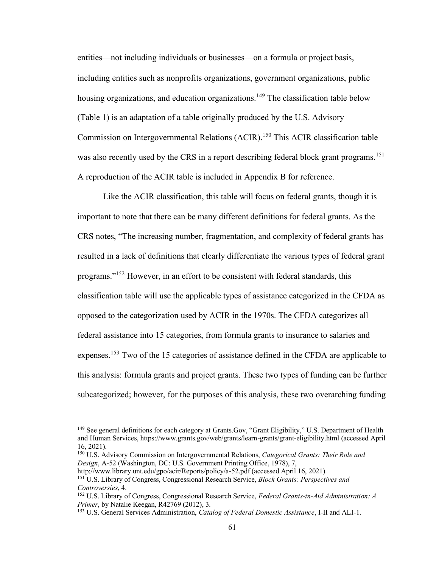entities—not including individuals or businesses—on a formula or project basis, including entities such as nonprofits organizations, government organizations, public housing organizations, and education organizations.<sup>149</sup> The classification table below (Table 1) is an adaptation of a table originally produced by the U.S. Advisory Commission on Intergovernmental Relations (ACIR).<sup>150</sup> This ACIR classification table was also recently used by the CRS in a report describing federal block grant programs.<sup>151</sup> A reproduction of the ACIR table is included in Appendix B for reference.

Like the ACIR classification, this table will focus on federal grants, though it is important to note that there can be many different definitions for federal grants. As the CRS notes, "The increasing number, fragmentation, and complexity of federal grants has resulted in a lack of definitions that clearly differentiate the various types of federal grant programs." <sup>152</sup> However, in an effort to be consistent with federal standards, this classification table will use the applicable types of assistance categorized in the CFDA as opposed to the categorization used by ACIR in the 1970s. The CFDA categorizes all federal assistance into 15 categories, from formula grants to insurance to salaries and expenses.<sup>153</sup> Two of the 15 categories of assistance defined in the CFDA are applicable to this analysis: formula grants and project grants. These two types of funding can be further subcategorized; however, for the purposes of this analysis, these two overarching funding

<sup>&</sup>lt;sup>149</sup> See general definitions for each category at Grants.Gov, "Grant Eligibility," U.S. Department of Health and Human Services, https://www.grants.gov/web/grants/learn-grants/grant-eligibility.html (accessed April 16, 2021).

<sup>150</sup> U.S. Advisory Commission on Intergovernmental Relations, *Categorical Grants: Their Role and Design*, A-52 (Washington, DC: U.S. Government Printing Office, 1978), 7,

http://www.library.unt.edu/gpo/acir/Reports/policy/a-52.pdf (accessed April 16, 2021). <sup>151</sup> U.S. Library of Congress, Congressional Research Service, *Block Grants: Perspectives and Controversies*, 4.

<sup>152</sup> U.S. Library of Congress, Congressional Research Service, *Federal Grants-in-Aid Administration: A Primer*, by Natalie Keegan, R42769 (2012), 3.

<sup>153</sup> U.S. General Services Administration, *Catalog of Federal Domestic Assistance*, I-II and ALI-1.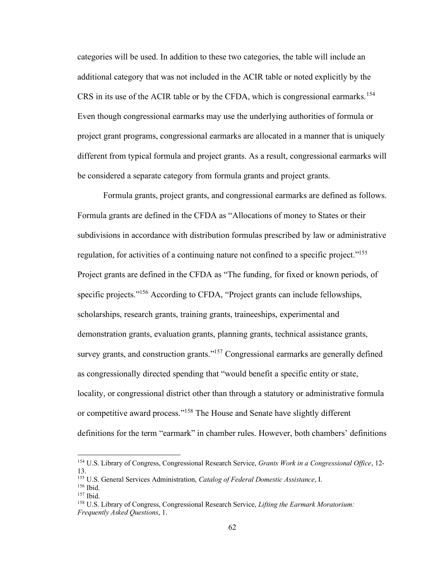categories will be used. In addition to these two categories, the table will include an additional category that was not included in the ACIR table or noted explicitly by the CRS in its use of the ACIR table or by the CFDA, which is congressional earmarks.<sup>154</sup> Even though congressional earmarks may use the underlying authorities of formula or project grant programs, congressional earmarks are allocated in a manner that is uniquely different from typical formula and project grants. As a result, congressional earmarks will be considered a separate category from formula grants and project grants.

Formula grants, project grants, and congressional earmarks are defined as follows. Formula grants are defined in the CFDA as "Allocations of money to States or their subdivisions in accordance with distribution formulas prescribed by law or administrative regulation, for activities of a continuing nature not confined to a specific project."<sup>155</sup> Project grants are defined in the CFDA as "The funding, for fixed or known periods, of specific projects."<sup>156</sup> According to CFDA, "Project grants can include fellowships, scholarships, research grants, training grants, traineeships, experimental and demonstration grants, evaluation grants, planning grants, technical assistance grants, survey grants, and construction grants."<sup>157</sup> Congressional earmarks are generally defined as congressionally directed spending that "would benefit a specific entity or state, locality, or congressional district other than through a statutory or administrative formula or competitive award process."<sup>158</sup> The House and Senate have slightly different definitions for the term "earmark" in chamber rules. However, both chambers' definitions

<sup>154</sup> U.S. Library of Congress, Congressional Research Service, *Grants Work in a Congressional Office*, 12- 13.

<sup>155</sup> U.S. General Services Administration, *Catalog of Federal Domestic Assistance*, I.

<sup>156</sup> Ibid.

<sup>157</sup> Ibid.

<sup>158</sup> U.S. Library of Congress, Congressional Research Service, *Lifting the Earmark Moratorium: Frequently Asked Questions*, 1.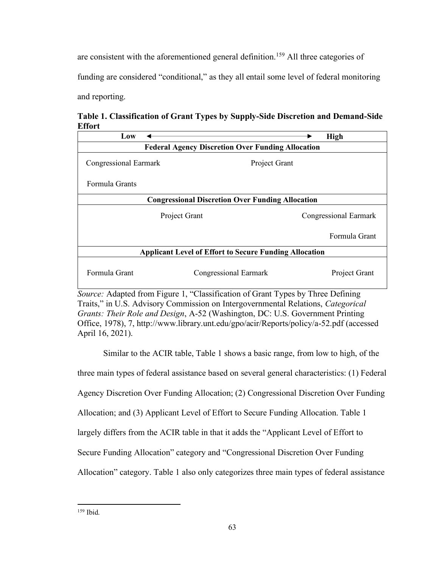are consistent with the aforementioned general definition.<sup>159</sup> All three categories of funding are considered "conditional," as they all entail some level of federal monitoring and reporting.

**Table 1. Classification of Grant Types by Supply-Side Discretion and Demand-Side Effort**

| Low                                                           |                              |  | <b>High</b>           |
|---------------------------------------------------------------|------------------------------|--|-----------------------|
| <b>Federal Agency Discretion Over Funding Allocation</b>      |                              |  |                       |
| Congressional Earmark                                         | Project Grant                |  |                       |
| Formula Grants                                                |                              |  |                       |
| <b>Congressional Discretion Over Funding Allocation</b>       |                              |  |                       |
|                                                               | Project Grant                |  | Congressional Earmark |
|                                                               |                              |  | Formula Grant         |
| <b>Applicant Level of Effort to Secure Funding Allocation</b> |                              |  |                       |
| Formula Grant                                                 | <b>Congressional Earmark</b> |  | Project Grant         |
|                                                               |                              |  |                       |

*Source:* Adapted from Figure 1, "Classification of Grant Types by Three Defining Traits," in U.S. Advisory Commission on Intergovernmental Relations, *Categorical Grants: Their Role and Design*, A-52 (Washington, DC: U.S. Government Printing Office, 1978), 7, http://www.library.unt.edu/gpo/acir/Reports/policy/a-52.pdf (accessed April 16, 2021).

Similar to the ACIR table, Table 1 shows a basic range, from low to high, of the three main types of federal assistance based on several general characteristics: (1) Federal Agency Discretion Over Funding Allocation; (2) Congressional Discretion Over Funding Allocation; and (3) Applicant Level of Effort to Secure Funding Allocation. Table 1 largely differs from the ACIR table in that it adds the "Applicant Level of Effort to Secure Funding Allocation" category and "Congressional Discretion Over Funding Allocation" category. Table 1 also only categorizes three main types of federal assistance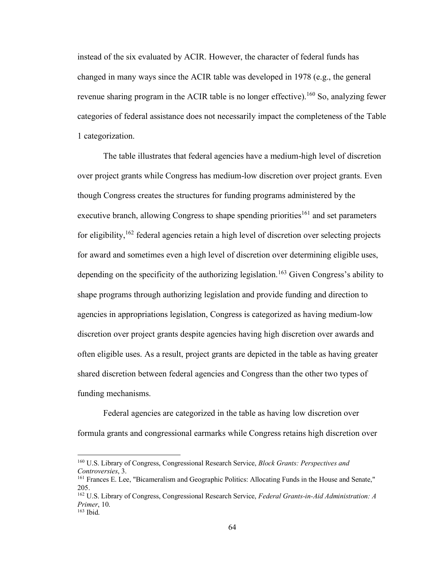instead of the six evaluated by ACIR. However, the character of federal funds has changed in many ways since the ACIR table was developed in 1978 (e.g., the general revenue sharing program in the ACIR table is no longer effective).<sup>160</sup> So, analyzing fewer categories of federal assistance does not necessarily impact the completeness of the Table 1 categorization.

The table illustrates that federal agencies have a medium-high level of discretion over project grants while Congress has medium-low discretion over project grants. Even though Congress creates the structures for funding programs administered by the executive branch, allowing Congress to shape spending priorities<sup>161</sup> and set parameters for eligibility,  $162$  federal agencies retain a high level of discretion over selecting projects for award and sometimes even a high level of discretion over determining eligible uses, depending on the specificity of the authorizing legislation.<sup>163</sup> Given Congress's ability to shape programs through authorizing legislation and provide funding and direction to agencies in appropriations legislation, Congress is categorized as having medium-low discretion over project grants despite agencies having high discretion over awards and often eligible uses. As a result, project grants are depicted in the table as having greater shared discretion between federal agencies and Congress than the other two types of funding mechanisms.

Federal agencies are categorized in the table as having low discretion over formula grants and congressional earmarks while Congress retains high discretion over

<sup>160</sup> U.S. Library of Congress, Congressional Research Service, *Block Grants: Perspectives and Controversies*, 3.

<sup>161</sup> Frances E. Lee, "Bicameralism and Geographic Politics: Allocating Funds in the House and Senate," 205.

<sup>162</sup> U.S. Library of Congress, Congressional Research Service, *Federal Grants-in-Aid Administration: A Primer*, 10. <sup>163</sup> Ibid.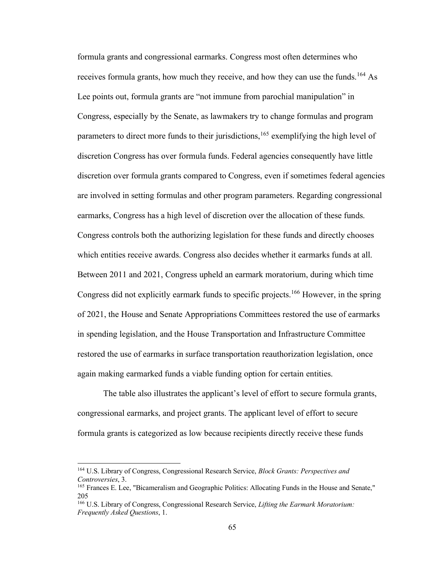formula grants and congressional earmarks. Congress most often determines who receives formula grants, how much they receive, and how they can use the funds.<sup>164</sup> As Lee points out, formula grants are "not immune from parochial manipulation" in Congress, especially by the Senate, as lawmakers try to change formulas and program parameters to direct more funds to their jurisdictions,  $165$  exemplifying the high level of discretion Congress has over formula funds. Federal agencies consequently have little discretion over formula grants compared to Congress, even if sometimes federal agencies are involved in setting formulas and other program parameters. Regarding congressional earmarks, Congress has a high level of discretion over the allocation of these funds. Congress controls both the authorizing legislation for these funds and directly chooses which entities receive awards. Congress also decides whether it earmarks funds at all. Between 2011 and 2021, Congress upheld an earmark moratorium, during which time Congress did not explicitly earmark funds to specific projects.<sup>166</sup> However, in the spring of 2021, the House and Senate Appropriations Committees restored the use of earmarks in spending legislation, and the House Transportation and Infrastructure Committee restored the use of earmarks in surface transportation reauthorization legislation, once again making earmarked funds a viable funding option for certain entities.

The table also illustrates the applicant's level of effort to secure formula grants, congressional earmarks, and project grants. The applicant level of effort to secure formula grants is categorized as low because recipients directly receive these funds

<sup>164</sup> U.S. Library of Congress, Congressional Research Service, *Block Grants: Perspectives and Controversies*, 3.

<sup>165</sup> Frances E. Lee, "Bicameralism and Geographic Politics: Allocating Funds in the House and Senate," 205

<sup>166</sup> U.S. Library of Congress, Congressional Research Service, *Lifting the Earmark Moratorium: Frequently Asked Questions*, 1.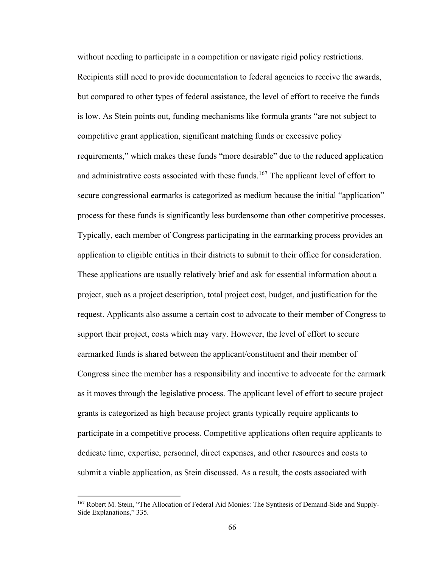without needing to participate in a competition or navigate rigid policy restrictions. Recipients still need to provide documentation to federal agencies to receive the awards, but compared to other types of federal assistance, the level of effort to receive the funds is low. As Stein points out, funding mechanisms like formula grants "are not subject to competitive grant application, significant matching funds or excessive policy requirements," which makes these funds "more desirable" due to the reduced application and administrative costs associated with these funds.<sup>167</sup> The applicant level of effort to secure congressional earmarks is categorized as medium because the initial "application" process for these funds is significantly less burdensome than other competitive processes. Typically, each member of Congress participating in the earmarking process provides an application to eligible entities in their districts to submit to their office for consideration. These applications are usually relatively brief and ask for essential information about a project, such as a project description, total project cost, budget, and justification for the request. Applicants also assume a certain cost to advocate to their member of Congress to support their project, costs which may vary. However, the level of effort to secure earmarked funds is shared between the applicant/constituent and their member of Congress since the member has a responsibility and incentive to advocate for the earmark as it moves through the legislative process. The applicant level of effort to secure project grants is categorized as high because project grants typically require applicants to participate in a competitive process. Competitive applications often require applicants to dedicate time, expertise, personnel, direct expenses, and other resources and costs to submit a viable application, as Stein discussed. As a result, the costs associated with

<sup>&</sup>lt;sup>167</sup> Robert M. Stein, "The Allocation of Federal Aid Monies: The Synthesis of Demand-Side and Supply-Side Explanations," 335.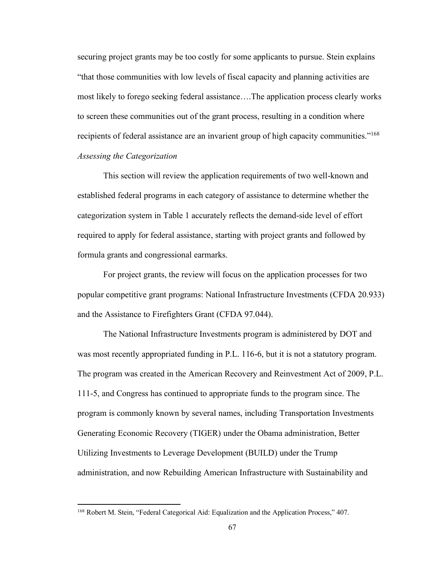securing project grants may be too costly for some applicants to pursue. Stein explains "that those communities with low levels of fiscal capacity and planning activities are most likely to forego seeking federal assistance….The application process clearly works to screen these communities out of the grant process, resulting in a condition where recipients of federal assistance are an invarient group of high capacity communities."<sup>168</sup> *Assessing the Categorization*

This section will review the application requirements of two well-known and established federal programs in each category of assistance to determine whether the categorization system in Table 1 accurately reflects the demand-side level of effort required to apply for federal assistance, starting with project grants and followed by formula grants and congressional earmarks.

For project grants, the review will focus on the application processes for two popular competitive grant programs: National Infrastructure Investments (CFDA 20.933) and the Assistance to Firefighters Grant (CFDA 97.044).

The National Infrastructure Investments program is administered by DOT and was most recently appropriated funding in P.L. 116-6, but it is not a statutory program. The program was created in the American Recovery and Reinvestment Act of 2009, P.L. 111-5, and Congress has continued to appropriate funds to the program since. The program is commonly known by several names, including Transportation Investments Generating Economic Recovery (TIGER) under the Obama administration, Better Utilizing Investments to Leverage Development (BUILD) under the Trump administration, and now Rebuilding American Infrastructure with Sustainability and

<sup>168</sup> Robert M. Stein, "Federal Categorical Aid: Equalization and the Application Process," 407.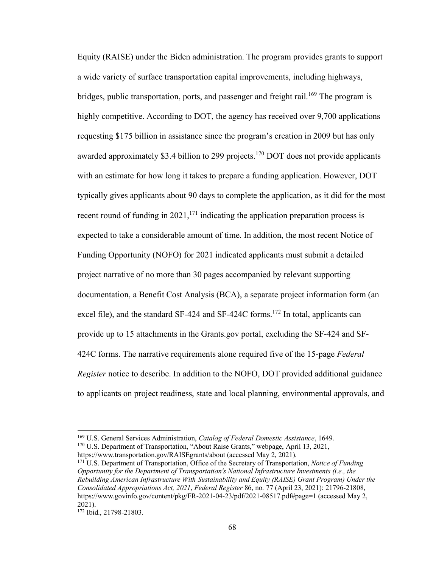Equity (RAISE) under the Biden administration. The program provides grants to support a wide variety of surface transportation capital improvements, including highways, bridges, public transportation, ports, and passenger and freight rail.<sup>169</sup> The program is highly competitive. According to DOT, the agency has received over 9,700 applications requesting \$175 billion in assistance since the program's creation in 2009 but has only awarded approximately \$3.4 billion to 299 projects.<sup>170</sup> DOT does not provide applicants with an estimate for how long it takes to prepare a funding application. However, DOT typically gives applicants about 90 days to complete the application, as it did for the most recent round of funding in  $2021$ ,  $^{171}$  indicating the application preparation process is expected to take a considerable amount of time. In addition, the most recent Notice of Funding Opportunity (NOFO) for 2021 indicated applicants must submit a detailed project narrative of no more than 30 pages accompanied by relevant supporting documentation, a Benefit Cost Analysis (BCA), a separate project information form (an excel file), and the standard SF-424 and SF-424C forms.<sup>172</sup> In total, applicants can provide up to 15 attachments in the Grants.gov portal, excluding the SF-424 and SF-424C forms. The narrative requirements alone required five of the 15-page *Federal Register* notice to describe. In addition to the NOFO, DOT provided additional guidance to applicants on project readiness, state and local planning, environmental approvals, and

<sup>169</sup> U.S. General Services Administration, *Catalog of Federal Domestic Assistance*, 1649. <sup>170</sup> U.S. Department of Transportation, "About Raise Grants," webpage, April 13, 2021,

https://www.transportation.gov/RAISEgrants/about (accessed May 2, 2021).

<sup>171</sup> U.S. Department of Transportation, Office of the Secretary of Transportation, *Notice of Funding Opportunity for the Department of Transportation's National Infrastructure Investments (i.e., the Rebuilding American Infrastructure With Sustainability and Equity (RAISE) Grant Program) Under the Consolidated Appropriations Act, 2021*, *Federal Register* 86, no. 77 (April 23, 2021): 21796-21808, https://www.govinfo.gov/content/pkg/FR-2021-04-23/pdf/2021-08517.pdf#page=1 (accessed May 2, 2021).

<sup>172</sup> Ibid., 21798-21803.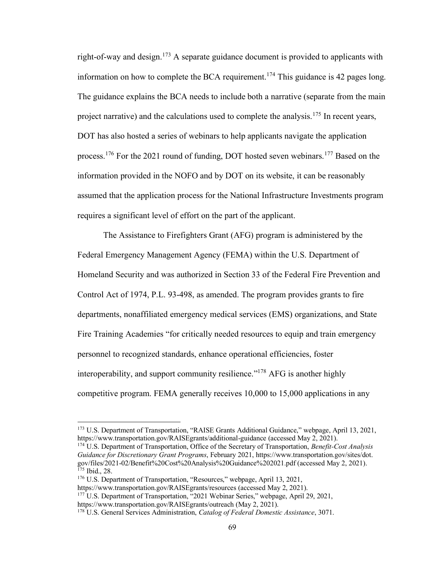right-of-way and design.<sup>173</sup> A separate guidance document is provided to applicants with information on how to complete the BCA requirement.<sup>174</sup> This guidance is 42 pages long. The guidance explains the BCA needs to include both a narrative (separate from the main project narrative) and the calculations used to complete the analysis.<sup>175</sup> In recent years, DOT has also hosted a series of webinars to help applicants navigate the application process.<sup>176</sup> For the 2021 round of funding, DOT hosted seven webinars.<sup>177</sup> Based on the information provided in the NOFO and by DOT on its website, it can be reasonably assumed that the application process for the National Infrastructure Investments program requires a significant level of effort on the part of the applicant.

The Assistance to Firefighters Grant (AFG) program is administered by the Federal Emergency Management Agency (FEMA) within the U.S. Department of Homeland Security and was authorized in Section 33 of the Federal Fire Prevention and Control Act of 1974, P.L. 93-498, as amended. The program provides grants to fire departments, nonaffiliated emergency medical services (EMS) organizations, and State Fire Training Academies "for critically needed resources to equip and train emergency personnel to recognized standards, enhance operational efficiencies, foster interoperability, and support community resilience."<sup>178</sup> AFG is another highly competitive program. FEMA generally receives 10,000 to 15,000 applications in any

<sup>173</sup> U.S. Department of Transportation, "RAISE Grants Additional Guidance," webpage, April 13, 2021, https://www.transportation.gov/RAISEgrants/additional-guidance (accessed May 2, 2021).

<sup>174</sup> U.S. Department of Transportation, Office of the Secretary of Transportation, *Benefit-Cost Analysis Guidance for Discretionary Grant Programs*, February 2021, https://www.transportation.gov/sites/dot. gov/files/2021-02/Benefit%20Cost%20Analysis%20Guidance%202021.pdf (accessed May 2, 2021). <sup>175</sup> Ibid., 28.

<sup>176</sup> U.S. Department of Transportation, "Resources," webpage, April 13, 2021,

https://www.transportation.gov/RAISEgrants/resources (accessed May 2, 2021). <sup>177</sup> U.S. Department of Transportation, "2021 Webinar Series," webpage, April 29, 2021,

https://www.transportation.gov/RAISEgrants/outreach (May 2, 2021).

<sup>178</sup> U.S. General Services Administration, *Catalog of Federal Domestic Assistance*, 3071.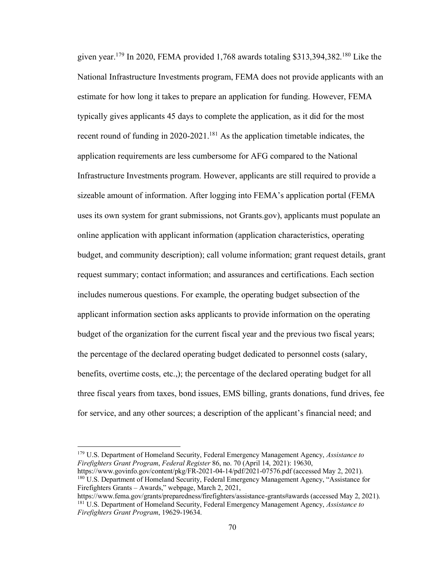given year.<sup>179</sup> In 2020, FEMA provided 1,768 awards totaling \$313,394,382.<sup>180</sup> Like the National Infrastructure Investments program, FEMA does not provide applicants with an estimate for how long it takes to prepare an application for funding. However, FEMA typically gives applicants 45 days to complete the application, as it did for the most recent round of funding in 2020-2021.<sup>181</sup> As the application timetable indicates, the application requirements are less cumbersome for AFG compared to the National Infrastructure Investments program. However, applicants are still required to provide a sizeable amount of information. After logging into FEMA's application portal (FEMA uses its own system for grant submissions, not Grants.gov), applicants must populate an online application with applicant information (application characteristics, operating budget, and community description); call volume information; grant request details, grant request summary; contact information; and assurances and certifications. Each section includes numerous questions. For example, the operating budget subsection of the applicant information section asks applicants to provide information on the operating budget of the organization for the current fiscal year and the previous two fiscal years; the percentage of the declared operating budget dedicated to personnel costs (salary, benefits, overtime costs, etc.,); the percentage of the declared operating budget for all three fiscal years from taxes, bond issues, EMS billing, grants donations, fund drives, fee for service, and any other sources; a description of the applicant's financial need; and

<sup>179</sup> U.S. Department of Homeland Security, Federal Emergency Management Agency, *Assistance to Firefighters Grant Program*, *Federal Register* 86, no. 70 (April 14, 2021): 19630,

https://www.govinfo.gov/content/pkg/FR-2021-04-14/pdf/2021-07576.pdf (accessed May 2, 2021). <sup>180</sup> U.S. Department of Homeland Security, Federal Emergency Management Agency, "Assistance for Firefighters Grants – Awards," webpage, March 2, 2021,

https://www.fema.gov/grants/preparedness/firefighters/assistance-grants#awards (accessed May 2, 2021). <sup>181</sup> U.S. Department of Homeland Security, Federal Emergency Management Agency, *Assistance to Firefighters Grant Program*, 19629-19634.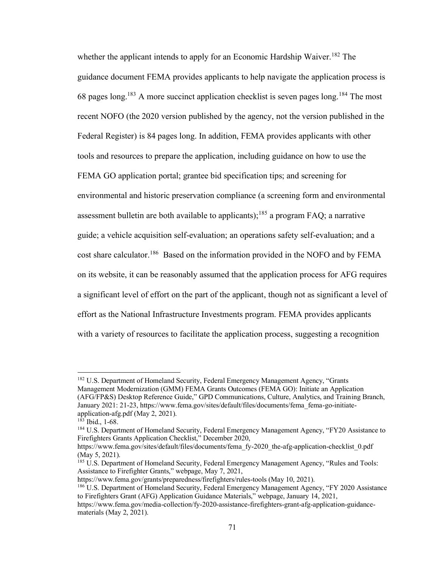whether the applicant intends to apply for an Economic Hardship Waiver.<sup>182</sup> The guidance document FEMA provides applicants to help navigate the application process is 68 pages long.<sup>183</sup> A more succinct application checklist is seven pages long.<sup>184</sup> The most recent NOFO (the 2020 version published by the agency, not the version published in the Federal Register) is 84 pages long. In addition, FEMA provides applicants with other tools and resources to prepare the application, including guidance on how to use the FEMA GO application portal; grantee bid specification tips; and screening for environmental and historic preservation compliance (a screening form and environmental assessment bulletin are both available to applicants);<sup>185</sup> a program FAQ; a narrative guide; a vehicle acquisition self-evaluation; an operations safety self-evaluation; and a cost share calculator.<sup>186</sup> Based on the information provided in the NOFO and by FEMA on its website, it can be reasonably assumed that the application process for AFG requires a significant level of effort on the part of the applicant, though not as significant a level of effort as the National Infrastructure Investments program. FEMA provides applicants with a variety of resources to facilitate the application process, suggesting a recognition

<sup>&</sup>lt;sup>182</sup> U.S. Department of Homeland Security, Federal Emergency Management Agency, "Grants" Management Modernization (GMM) FEMA Grants Outcomes (FEMA GO): Initiate an Application (AFG/FP&S) Desktop Reference Guide," GPD Communications, Culture, Analytics, and Training Branch, January 2021: 21-23, https://www.fema.gov/sites/default/files/documents/fema\_fema-go-initiateapplication-afg.pdf (May 2, 2021).

 $183$  Ibid., 1-68.

<sup>&</sup>lt;sup>184</sup> U.S. Department of Homeland Security, Federal Emergency Management Agency, "FY20 Assistance to Firefighters Grants Application Checklist," December 2020,

https://www.fema.gov/sites/default/files/documents/fema\_fy-2020\_the-afg-application-checklist\_0.pdf (May 5, 2021).

<sup>&</sup>lt;sup>185</sup> U.S. Department of Homeland Security, Federal Emergency Management Agency, "Rules and Tools: Assistance to Firefighter Grants," webpage, May 7, 2021,

https://www.fema.gov/grants/preparedness/firefighters/rules-tools (May 10, 2021).

<sup>186</sup> U.S. Department of Homeland Security, Federal Emergency Management Agency, "FY 2020 Assistance to Firefighters Grant (AFG) Application Guidance Materials," webpage, January 14, 2021,

https://www.fema.gov/media-collection/fy-2020-assistance-firefighters-grant-afg-application-guidancematerials (May 2, 2021).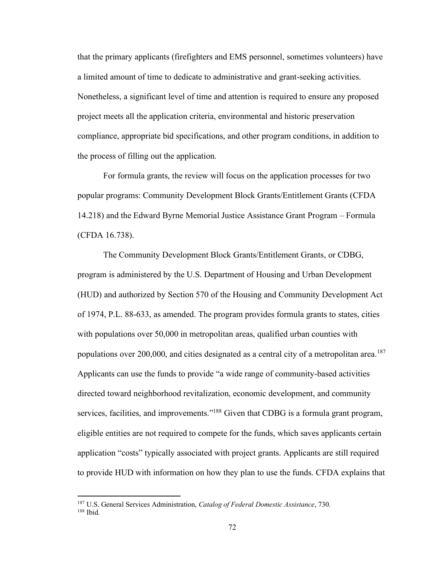that the primary applicants (firefighters and EMS personnel, sometimes volunteers) have a limited amount of time to dedicate to administrative and grant-seeking activities. Nonetheless, a significant level of time and attention is required to ensure any proposed project meets all the application criteria, environmental and historic preservation compliance, appropriate bid specifications, and other program conditions, in addition to the process of filling out the application.

For formula grants, the review will focus on the application processes for two popular programs: Community Development Block Grants/Entitlement Grants (CFDA 14.218) and the Edward Byrne Memorial Justice Assistance Grant Program – Formula (CFDA 16.738).

The Community Development Block Grants/Entitlement Grants, or CDBG, program is administered by the U.S. Department of Housing and Urban Development (HUD) and authorized by Section 570 of the Housing and Community Development Act of 1974, P.L. 88-633, as amended. The program provides formula grants to states, cities with populations over 50,000 in metropolitan areas, qualified urban counties with populations over 200,000, and cities designated as a central city of a metropolitan area.<sup>187</sup> Applicants can use the funds to provide "a wide range of community-based activities directed toward neighborhood revitalization, economic development, and community services, facilities, and improvements."<sup>188</sup> Given that CDBG is a formula grant program, eligible entities are not required to compete for the funds, which saves applicants certain application "costs" typically associated with project grants. Applicants are still required to provide HUD with information on how they plan to use the funds. CFDA explains that

<sup>187</sup> U.S. General Services Administration, *Catalog of Federal Domestic Assistance*, 730.  $188$  Ibid.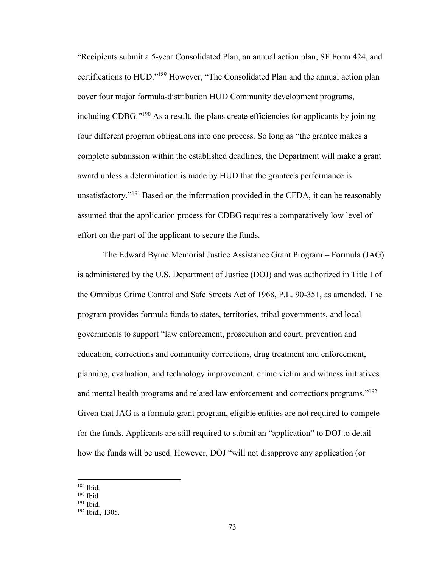"Recipients submit a 5-year Consolidated Plan, an annual action plan, SF Form 424, and certifications to HUD."<sup>189</sup> However, "The Consolidated Plan and the annual action plan cover four major formula-distribution HUD Community development programs, including CDBG."<sup>190</sup> As a result, the plans create efficiencies for applicants by joining four different program obligations into one process. So long as "the grantee makes a complete submission within the established deadlines, the Department will make a grant award unless a determination is made by HUD that the grantee's performance is unsatisfactory."<sup>191</sup> Based on the information provided in the CFDA, it can be reasonably assumed that the application process for CDBG requires a comparatively low level of effort on the part of the applicant to secure the funds.

The Edward Byrne Memorial Justice Assistance Grant Program – Formula (JAG) is administered by the U.S. Department of Justice (DOJ) and was authorized in Title I of the Omnibus Crime Control and Safe Streets Act of 1968, P.L. 90-351, as amended. The program provides formula funds to states, territories, tribal governments, and local governments to support "law enforcement, prosecution and court, prevention and education, corrections and community corrections, drug treatment and enforcement, planning, evaluation, and technology improvement, crime victim and witness initiatives and mental health programs and related law enforcement and corrections programs."<sup>192</sup> Given that JAG is a formula grant program, eligible entities are not required to compete for the funds. Applicants are still required to submit an "application" to DOJ to detail how the funds will be used. However, DOJ "will not disapprove any application (or

 $189$  Ibid.

<sup>190</sup> Ibid.

 $191$  Ibid.

<sup>192</sup> Ibid., 1305.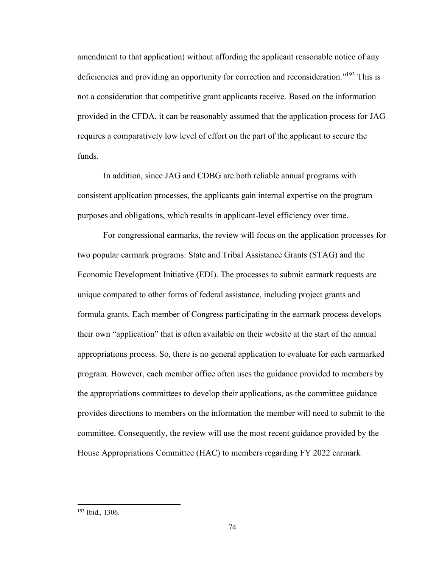amendment to that application) without affording the applicant reasonable notice of any deficiencies and providing an opportunity for correction and reconsideration."<sup>193</sup> This is not a consideration that competitive grant applicants receive. Based on the information provided in the CFDA, it can be reasonably assumed that the application process for JAG requires a comparatively low level of effort on the part of the applicant to secure the funds.

In addition, since JAG and CDBG are both reliable annual programs with consistent application processes, the applicants gain internal expertise on the program purposes and obligations, which results in applicant-level efficiency over time.

For congressional earmarks, the review will focus on the application processes for two popular earmark programs: State and Tribal Assistance Grants (STAG) and the Economic Development Initiative (EDI). The processes to submit earmark requests are unique compared to other forms of federal assistance, including project grants and formula grants. Each member of Congress participating in the earmark process develops their own "application" that is often available on their website at the start of the annual appropriations process. So, there is no general application to evaluate for each earmarked program. However, each member office often uses the guidance provided to members by the appropriations committees to develop their applications, as the committee guidance provides directions to members on the information the member will need to submit to the committee. Consequently, the review will use the most recent guidance provided by the House Appropriations Committee (HAC) to members regarding FY 2022 earmark

<sup>193</sup> Ibid., 1306.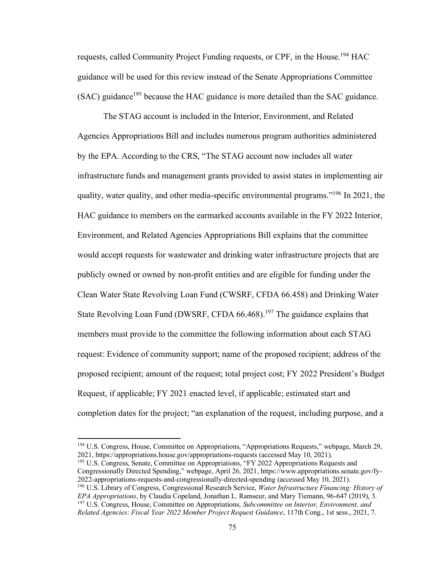requests, called Community Project Funding requests, or CPF, in the House.<sup>194</sup> HAC guidance will be used for this review instead of the Senate Appropriations Committee  $(SAC)$  guidance<sup>195</sup> because the HAC guidance is more detailed than the SAC guidance.

The STAG account is included in the Interior, Environment, and Related Agencies Appropriations Bill and includes numerous program authorities administered by the EPA. According to the CRS, "The STAG account now includes all water infrastructure funds and management grants provided to assist states in implementing air quality, water quality, and other media-specific environmental programs."<sup>196</sup> In 2021, the HAC guidance to members on the earmarked accounts available in the FY 2022 Interior, Environment, and Related Agencies Appropriations Bill explains that the committee would accept requests for wastewater and drinking water infrastructure projects that are publicly owned or owned by non-profit entities and are eligible for funding under the Clean Water State Revolving Loan Fund (CWSRF, CFDA 66.458) and Drinking Water State Revolving Loan Fund (DWSRF, CFDA 66.468).<sup>197</sup> The guidance explains that members must provide to the committee the following information about each STAG request: Evidence of community support; name of the proposed recipient; address of the proposed recipient; amount of the request; total project cost; FY 2022 President's Budget Request, if applicable; FY 2021 enacted level, if applicable; estimated start and completion dates for the project; "an explanation of the request, including purpose, and a

<sup>195</sup> U.S. Congress, Senate, Committee on Appropriations, "FY 2022 Appropriations Requests and Congressionally Directed Spending," webpage, April 26, 2021, https://www.appropriations.senate.gov/fy-2022-appropriations-requests-and-congressionally-directed-spending (accessed May 10, 2021). <sup>196</sup> U.S. Library of Congress, Congressional Research Service, *Water Infrastructure Financing: History of EPA Appropriations*, by Claudia Copeland, Jonathan L. Ramseur, and Mary Tiemann, 96-647 (2019), 3. <sup>197</sup> U.S. Congress, House, Committee on Appropriations, *Subcommittee on Interior, Environment, and Related Agencies: Fiscal Year 2022 Member Project Request Guidance*, 117th Cong., 1st sess., 2021, 7.

<sup>&</sup>lt;sup>194</sup> U.S. Congress, House, Committee on Appropriations, "Appropriations Requests," webpage, March 29, 2021, https://appropriations.house.gov/appropriations-requests (accessed May 10, 2021).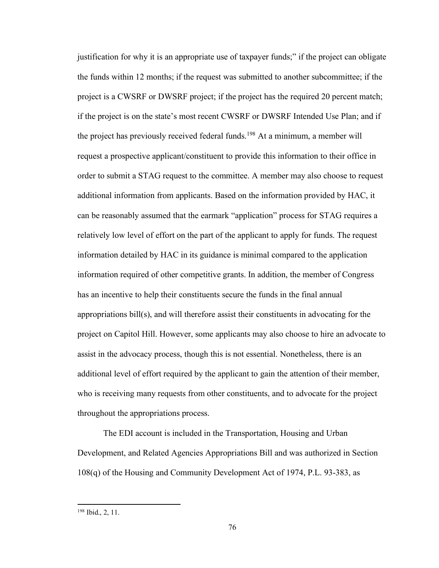justification for why it is an appropriate use of taxpayer funds;" if the project can obligate the funds within 12 months; if the request was submitted to another subcommittee; if the project is a CWSRF or DWSRF project; if the project has the required 20 percent match; if the project is on the state's most recent CWSRF or DWSRF Intended Use Plan; and if the project has previously received federal funds.<sup>198</sup> At a minimum, a member will request a prospective applicant/constituent to provide this information to their office in order to submit a STAG request to the committee. A member may also choose to request additional information from applicants. Based on the information provided by HAC, it can be reasonably assumed that the earmark "application" process for STAG requires a relatively low level of effort on the part of the applicant to apply for funds. The request information detailed by HAC in its guidance is minimal compared to the application information required of other competitive grants. In addition, the member of Congress has an incentive to help their constituents secure the funds in the final annual appropriations bill(s), and will therefore assist their constituents in advocating for the project on Capitol Hill. However, some applicants may also choose to hire an advocate to assist in the advocacy process, though this is not essential. Nonetheless, there is an additional level of effort required by the applicant to gain the attention of their member, who is receiving many requests from other constituents, and to advocate for the project throughout the appropriations process.

The EDI account is included in the Transportation, Housing and Urban Development, and Related Agencies Appropriations Bill and was authorized in Section 108(q) of the Housing and Community Development Act of 1974, P.L. 93-383, as

<sup>198</sup> Ibid., 2, 11.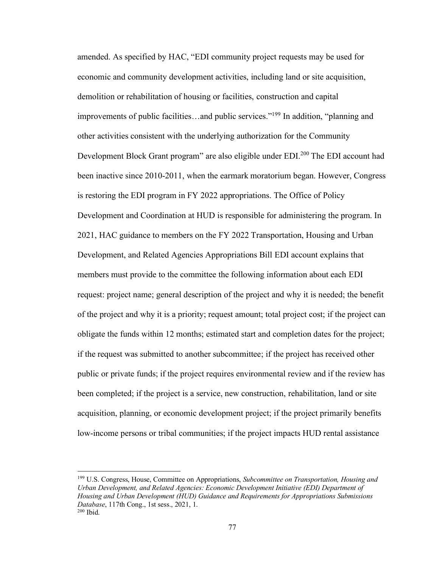amended. As specified by HAC, "EDI community project requests may be used for economic and community development activities, including land or site acquisition, demolition or rehabilitation of housing or facilities, construction and capital improvements of public facilities…and public services."<sup>199</sup> In addition, "planning and other activities consistent with the underlying authorization for the Community Development Block Grant program" are also eligible under EDI.<sup>200</sup> The EDI account had been inactive since 2010-2011, when the earmark moratorium began. However, Congress is restoring the EDI program in FY 2022 appropriations. The Office of Policy Development and Coordination at HUD is responsible for administering the program. In 2021, HAC guidance to members on the FY 2022 Transportation, Housing and Urban Development, and Related Agencies Appropriations Bill EDI account explains that members must provide to the committee the following information about each EDI request: project name; general description of the project and why it is needed; the benefit of the project and why it is a priority; request amount; total project cost; if the project can obligate the funds within 12 months; estimated start and completion dates for the project; if the request was submitted to another subcommittee; if the project has received other public or private funds; if the project requires environmental review and if the review has been completed; if the project is a service, new construction, rehabilitation, land or site acquisition, planning, or economic development project; if the project primarily benefits low-income persons or tribal communities; if the project impacts HUD rental assistance

<sup>199</sup> U.S. Congress, House, Committee on Appropriations, *Subcommittee on Transportation, Housing and Urban Development, and Related Agencies: Economic Development Initiative (EDI) Department of Housing and Urban Development (HUD) Guidance and Requirements for Appropriations Submissions Database*, 117th Cong., 1st sess., 2021, 1.  $200$  Ibid.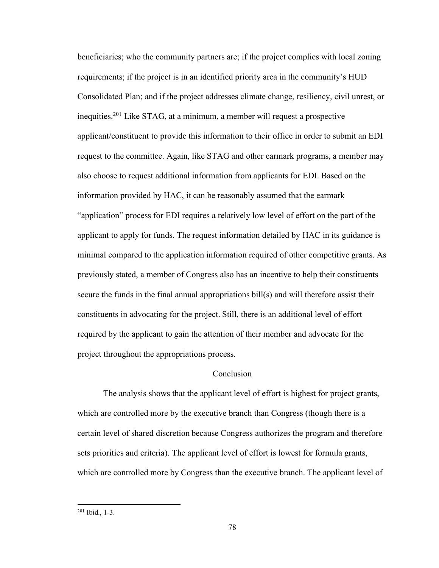beneficiaries; who the community partners are; if the project complies with local zoning requirements; if the project is in an identified priority area in the community's HUD Consolidated Plan; and if the project addresses climate change, resiliency, civil unrest, or inequities.<sup>201</sup> Like STAG, at a minimum, a member will request a prospective applicant/constituent to provide this information to their office in order to submit an EDI request to the committee. Again, like STAG and other earmark programs, a member may also choose to request additional information from applicants for EDI. Based on the information provided by HAC, it can be reasonably assumed that the earmark "application" process for EDI requires a relatively low level of effort on the part of the applicant to apply for funds. The request information detailed by HAC in its guidance is minimal compared to the application information required of other competitive grants. As previously stated, a member of Congress also has an incentive to help their constituents secure the funds in the final annual appropriations bill(s) and will therefore assist their constituents in advocating for the project. Still, there is an additional level of effort required by the applicant to gain the attention of their member and advocate for the project throughout the appropriations process.

### Conclusion

The analysis shows that the applicant level of effort is highest for project grants, which are controlled more by the executive branch than Congress (though there is a certain level of shared discretion because Congress authorizes the program and therefore sets priorities and criteria). The applicant level of effort is lowest for formula grants, which are controlled more by Congress than the executive branch. The applicant level of

<sup>201</sup> Ibid., 1-3.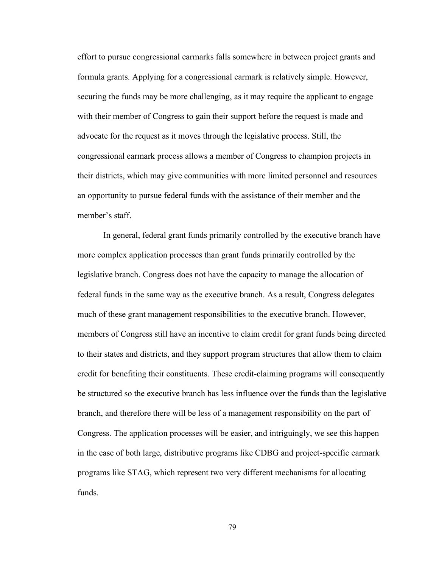effort to pursue congressional earmarks falls somewhere in between project grants and formula grants. Applying for a congressional earmark is relatively simple. However, securing the funds may be more challenging, as it may require the applicant to engage with their member of Congress to gain their support before the request is made and advocate for the request as it moves through the legislative process. Still, the congressional earmark process allows a member of Congress to champion projects in their districts, which may give communities with more limited personnel and resources an opportunity to pursue federal funds with the assistance of their member and the member's staff.

In general, federal grant funds primarily controlled by the executive branch have more complex application processes than grant funds primarily controlled by the legislative branch. Congress does not have the capacity to manage the allocation of federal funds in the same way as the executive branch. As a result, Congress delegates much of these grant management responsibilities to the executive branch. However, members of Congress still have an incentive to claim credit for grant funds being directed to their states and districts, and they support program structures that allow them to claim credit for benefiting their constituents. These credit-claiming programs will consequently be structured so the executive branch has less influence over the funds than the legislative branch, and therefore there will be less of a management responsibility on the part of Congress. The application processes will be easier, and intriguingly, we see this happen in the case of both large, distributive programs like CDBG and project-specific earmark programs like STAG, which represent two very different mechanisms for allocating funds.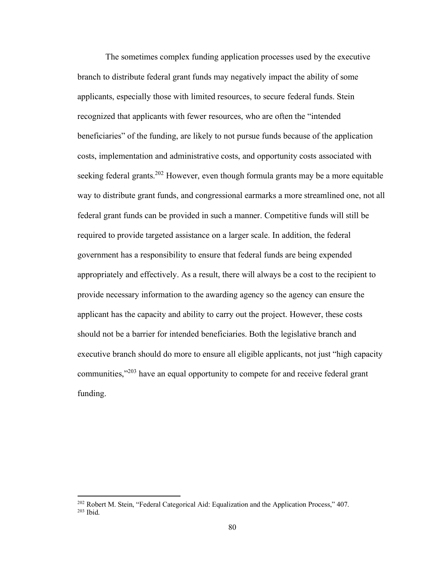The sometimes complex funding application processes used by the executive branch to distribute federal grant funds may negatively impact the ability of some applicants, especially those with limited resources, to secure federal funds. Stein recognized that applicants with fewer resources, who are often the "intended beneficiaries" of the funding, are likely to not pursue funds because of the application costs, implementation and administrative costs, and opportunity costs associated with seeking federal grants.<sup>202</sup> However, even though formula grants may be a more equitable way to distribute grant funds, and congressional earmarks a more streamlined one, not all federal grant funds can be provided in such a manner. Competitive funds will still be required to provide targeted assistance on a larger scale. In addition, the federal government has a responsibility to ensure that federal funds are being expended appropriately and effectively. As a result, there will always be a cost to the recipient to provide necessary information to the awarding agency so the agency can ensure the applicant has the capacity and ability to carry out the project. However, these costs should not be a barrier for intended beneficiaries. Both the legislative branch and executive branch should do more to ensure all eligible applicants, not just "high capacity communities,<sup>"203</sup> have an equal opportunity to compete for and receive federal grant funding.

<sup>&</sup>lt;sup>202</sup> Robert M. Stein, "Federal Categorical Aid: Equalization and the Application Process," 407.  $203$  Ibid.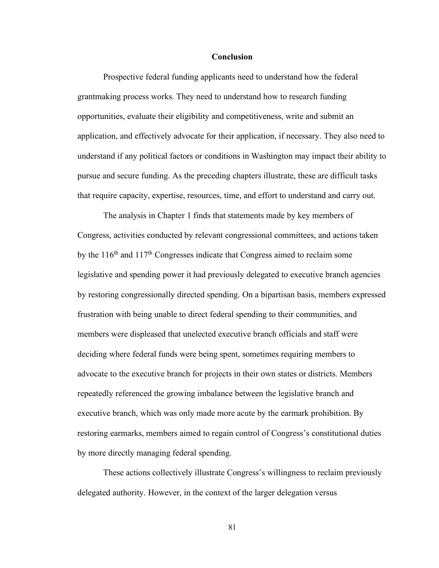#### **Conclusion**

Prospective federal funding applicants need to understand how the federal grantmaking process works. They need to understand how to research funding opportunities, evaluate their eligibility and competitiveness, write and submit an application, and effectively advocate for their application, if necessary. They also need to understand if any political factors or conditions in Washington may impact their ability to pursue and secure funding. As the preceding chapters illustrate, these are difficult tasks that require capacity, expertise, resources, time, and effort to understand and carry out.

The analysis in Chapter 1 finds that statements made by key members of Congress, activities conducted by relevant congressional committees, and actions taken by the  $116<sup>th</sup>$  and  $117<sup>th</sup>$  Congresses indicate that Congress aimed to reclaim some legislative and spending power it had previously delegated to executive branch agencies by restoring congressionally directed spending. On a bipartisan basis, members expressed frustration with being unable to direct federal spending to their communities, and members were displeased that unelected executive branch officials and staff were deciding where federal funds were being spent, sometimes requiring members to advocate to the executive branch for projects in their own states or districts. Members repeatedly referenced the growing imbalance between the legislative branch and executive branch, which was only made more acute by the earmark prohibition. By restoring earmarks, members aimed to regain control of Congress's constitutional duties by more directly managing federal spending.

These actions collectively illustrate Congress's willingness to reclaim previously delegated authority. However, in the context of the larger delegation versus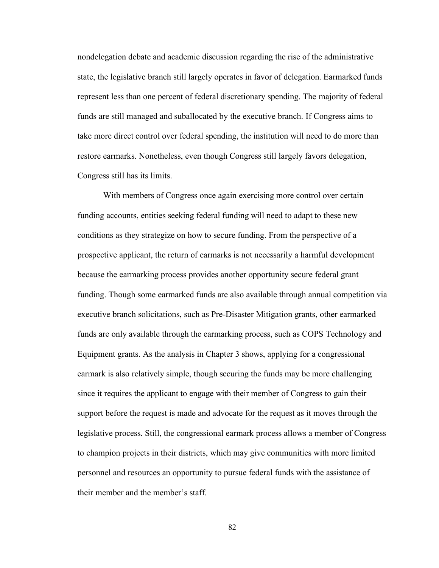nondelegation debate and academic discussion regarding the rise of the administrative state, the legislative branch still largely operates in favor of delegation. Earmarked funds represent less than one percent of federal discretionary spending. The majority of federal funds are still managed and suballocated by the executive branch. If Congress aims to take more direct control over federal spending, the institution will need to do more than restore earmarks. Nonetheless, even though Congress still largely favors delegation, Congress still has its limits.

With members of Congress once again exercising more control over certain funding accounts, entities seeking federal funding will need to adapt to these new conditions as they strategize on how to secure funding. From the perspective of a prospective applicant, the return of earmarks is not necessarily a harmful development because the earmarking process provides another opportunity secure federal grant funding. Though some earmarked funds are also available through annual competition via executive branch solicitations, such as Pre-Disaster Mitigation grants, other earmarked funds are only available through the earmarking process, such as COPS Technology and Equipment grants. As the analysis in Chapter 3 shows, applying for a congressional earmark is also relatively simple, though securing the funds may be more challenging since it requires the applicant to engage with their member of Congress to gain their support before the request is made and advocate for the request as it moves through the legislative process. Still, the congressional earmark process allows a member of Congress to champion projects in their districts, which may give communities with more limited personnel and resources an opportunity to pursue federal funds with the assistance of their member and the member's staff.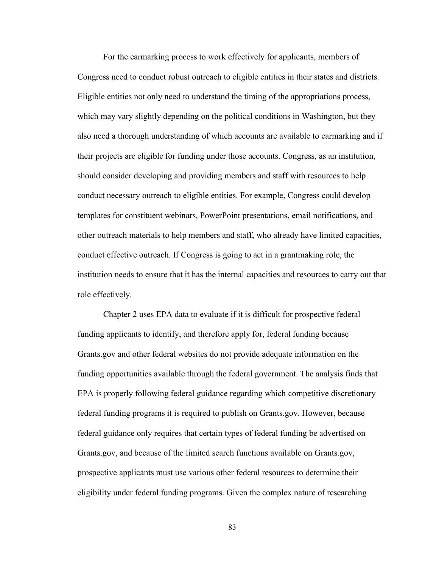For the earmarking process to work effectively for applicants, members of Congress need to conduct robust outreach to eligible entities in their states and districts. Eligible entities not only need to understand the timing of the appropriations process, which may vary slightly depending on the political conditions in Washington, but they also need a thorough understanding of which accounts are available to earmarking and if their projects are eligible for funding under those accounts. Congress, as an institution, should consider developing and providing members and staff with resources to help conduct necessary outreach to eligible entities. For example, Congress could develop templates for constituent webinars, PowerPoint presentations, email notifications, and other outreach materials to help members and staff, who already have limited capacities, conduct effective outreach. If Congress is going to act in a grantmaking role, the institution needs to ensure that it has the internal capacities and resources to carry out that role effectively.

Chapter 2 uses EPA data to evaluate if it is difficult for prospective federal funding applicants to identify, and therefore apply for, federal funding because Grants.gov and other federal websites do not provide adequate information on the funding opportunities available through the federal government. The analysis finds that EPA is properly following federal guidance regarding which competitive discretionary federal funding programs it is required to publish on Grants.gov. However, because federal guidance only requires that certain types of federal funding be advertised on Grants.gov, and because of the limited search functions available on Grants.gov, prospective applicants must use various other federal resources to determine their eligibility under federal funding programs. Given the complex nature of researching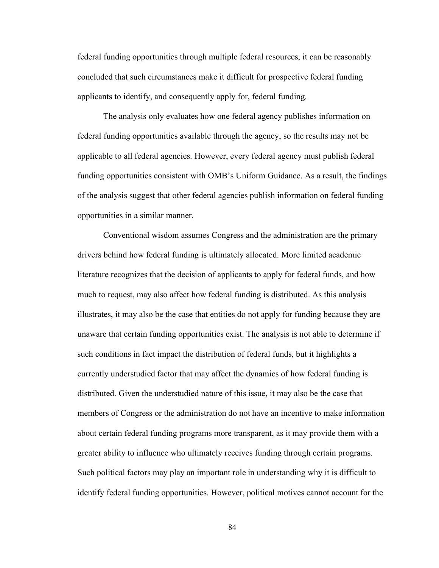federal funding opportunities through multiple federal resources, it can be reasonably concluded that such circumstances make it difficult for prospective federal funding applicants to identify, and consequently apply for, federal funding.

The analysis only evaluates how one federal agency publishes information on federal funding opportunities available through the agency, so the results may not be applicable to all federal agencies. However, every federal agency must publish federal funding opportunities consistent with OMB's Uniform Guidance. As a result, the findings of the analysis suggest that other federal agencies publish information on federal funding opportunities in a similar manner.

Conventional wisdom assumes Congress and the administration are the primary drivers behind how federal funding is ultimately allocated. More limited academic literature recognizes that the decision of applicants to apply for federal funds, and how much to request, may also affect how federal funding is distributed. As this analysis illustrates, it may also be the case that entities do not apply for funding because they are unaware that certain funding opportunities exist. The analysis is not able to determine if such conditions in fact impact the distribution of federal funds, but it highlights a currently understudied factor that may affect the dynamics of how federal funding is distributed. Given the understudied nature of this issue, it may also be the case that members of Congress or the administration do not have an incentive to make information about certain federal funding programs more transparent, as it may provide them with a greater ability to influence who ultimately receives funding through certain programs. Such political factors may play an important role in understanding why it is difficult to identify federal funding opportunities. However, political motives cannot account for the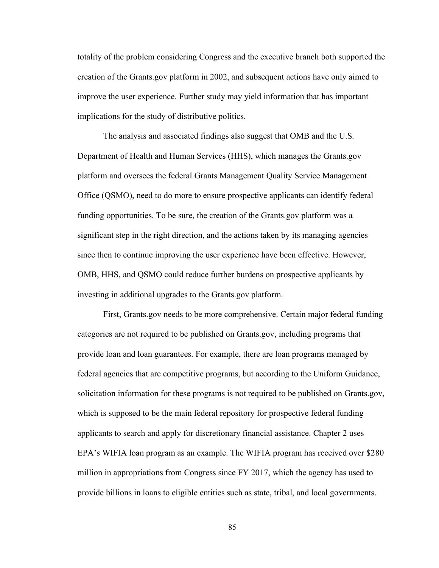totality of the problem considering Congress and the executive branch both supported the creation of the Grants.gov platform in 2002, and subsequent actions have only aimed to improve the user experience. Further study may yield information that has important implications for the study of distributive politics.

The analysis and associated findings also suggest that OMB and the U.S. Department of Health and Human Services (HHS), which manages the Grants.gov platform and oversees the federal Grants Management Quality Service Management Office (QSMO), need to do more to ensure prospective applicants can identify federal funding opportunities. To be sure, the creation of the Grants.gov platform was a significant step in the right direction, and the actions taken by its managing agencies since then to continue improving the user experience have been effective. However, OMB, HHS, and QSMO could reduce further burdens on prospective applicants by investing in additional upgrades to the Grants.gov platform.

First, Grants.gov needs to be more comprehensive. Certain major federal funding categories are not required to be published on Grants.gov, including programs that provide loan and loan guarantees. For example, there are loan programs managed by federal agencies that are competitive programs, but according to the Uniform Guidance, solicitation information for these programs is not required to be published on Grants.gov, which is supposed to be the main federal repository for prospective federal funding applicants to search and apply for discretionary financial assistance. Chapter 2 uses EPA's WIFIA loan program as an example. The WIFIA program has received over \$280 million in appropriations from Congress since FY 2017, which the agency has used to provide billions in loans to eligible entities such as state, tribal, and local governments.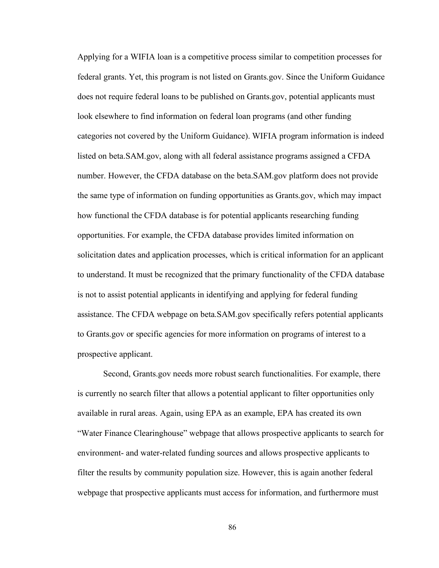Applying for a WIFIA loan is a competitive process similar to competition processes for federal grants. Yet, this program is not listed on Grants.gov. Since the Uniform Guidance does not require federal loans to be published on Grants.gov, potential applicants must look elsewhere to find information on federal loan programs (and other funding categories not covered by the Uniform Guidance). WIFIA program information is indeed listed on beta.SAM.gov, along with all federal assistance programs assigned a CFDA number. However, the CFDA database on the beta.SAM.gov platform does not provide the same type of information on funding opportunities as Grants.gov, which may impact how functional the CFDA database is for potential applicants researching funding opportunities. For example, the CFDA database provides limited information on solicitation dates and application processes, which is critical information for an applicant to understand. It must be recognized that the primary functionality of the CFDA database is not to assist potential applicants in identifying and applying for federal funding assistance. The CFDA webpage on beta.SAM.gov specifically refers potential applicants to Grants.gov or specific agencies for more information on programs of interest to a prospective applicant.

Second, Grants.gov needs more robust search functionalities. For example, there is currently no search filter that allows a potential applicant to filter opportunities only available in rural areas. Again, using EPA as an example, EPA has created its own "Water Finance Clearinghouse" webpage that allows prospective applicants to search for environment- and water-related funding sources and allows prospective applicants to filter the results by community population size. However, this is again another federal webpage that prospective applicants must access for information, and furthermore must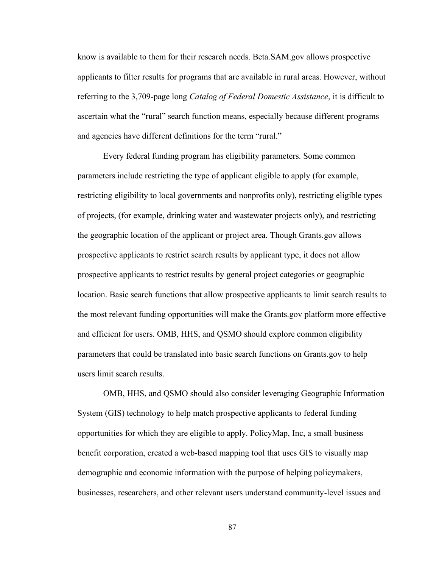know is available to them for their research needs. Beta.SAM.gov allows prospective applicants to filter results for programs that are available in rural areas. However, without referring to the 3,709-page long *Catalog of Federal Domestic Assistance*, it is difficult to ascertain what the "rural" search function means, especially because different programs and agencies have different definitions for the term "rural."

Every federal funding program has eligibility parameters. Some common parameters include restricting the type of applicant eligible to apply (for example, restricting eligibility to local governments and nonprofits only), restricting eligible types of projects, (for example, drinking water and wastewater projects only), and restricting the geographic location of the applicant or project area. Though Grants.gov allows prospective applicants to restrict search results by applicant type, it does not allow prospective applicants to restrict results by general project categories or geographic location. Basic search functions that allow prospective applicants to limit search results to the most relevant funding opportunities will make the Grants.gov platform more effective and efficient for users. OMB, HHS, and QSMO should explore common eligibility parameters that could be translated into basic search functions on Grants.gov to help users limit search results.

OMB, HHS, and QSMO should also consider leveraging Geographic Information System (GIS) technology to help match prospective applicants to federal funding opportunities for which they are eligible to apply. PolicyMap, Inc, a small business benefit corporation, created a web-based mapping tool that uses GIS to visually map demographic and economic information with the purpose of helping policymakers, businesses, researchers, and other relevant users understand community-level issues and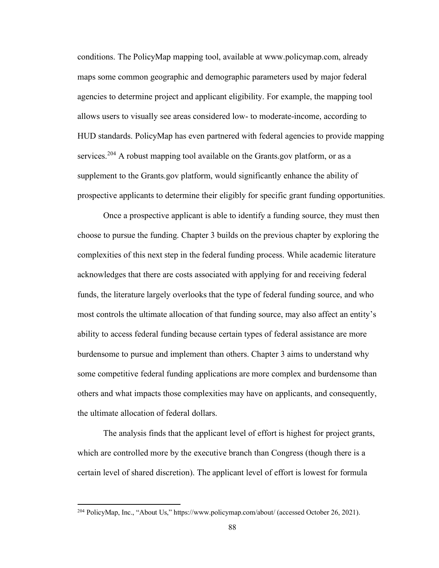conditions. The PolicyMap mapping tool, available at www.policymap.com, already maps some common geographic and demographic parameters used by major federal agencies to determine project and applicant eligibility. For example, the mapping tool allows users to visually see areas considered low- to moderate-income, according to HUD standards. PolicyMap has even partnered with federal agencies to provide mapping services.<sup>204</sup> A robust mapping tool available on the Grants.gov platform, or as a supplement to the Grants.gov platform, would significantly enhance the ability of prospective applicants to determine their eligibly for specific grant funding opportunities.

Once a prospective applicant is able to identify a funding source, they must then choose to pursue the funding. Chapter 3 builds on the previous chapter by exploring the complexities of this next step in the federal funding process. While academic literature acknowledges that there are costs associated with applying for and receiving federal funds, the literature largely overlooks that the type of federal funding source, and who most controls the ultimate allocation of that funding source, may also affect an entity's ability to access federal funding because certain types of federal assistance are more burdensome to pursue and implement than others. Chapter 3 aims to understand why some competitive federal funding applications are more complex and burdensome than others and what impacts those complexities may have on applicants, and consequently, the ultimate allocation of federal dollars.

The analysis finds that the applicant level of effort is highest for project grants, which are controlled more by the executive branch than Congress (though there is a certain level of shared discretion). The applicant level of effort is lowest for formula

<sup>&</sup>lt;sup>204</sup> PolicyMap, Inc., "About Us," https://www.policymap.com/about/ (accessed October 26, 2021).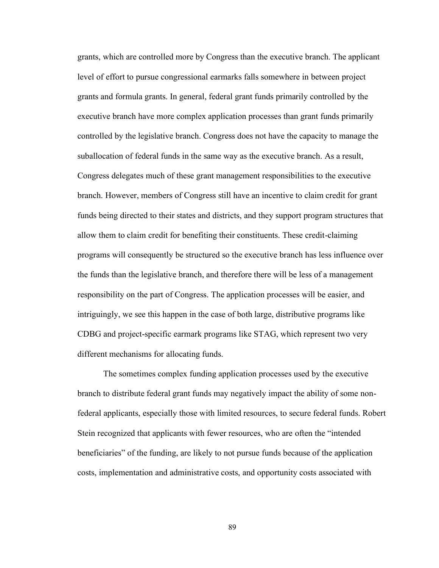grants, which are controlled more by Congress than the executive branch. The applicant level of effort to pursue congressional earmarks falls somewhere in between project grants and formula grants. In general, federal grant funds primarily controlled by the executive branch have more complex application processes than grant funds primarily controlled by the legislative branch. Congress does not have the capacity to manage the suballocation of federal funds in the same way as the executive branch. As a result, Congress delegates much of these grant management responsibilities to the executive branch. However, members of Congress still have an incentive to claim credit for grant funds being directed to their states and districts, and they support program structures that allow them to claim credit for benefiting their constituents. These credit-claiming programs will consequently be structured so the executive branch has less influence over the funds than the legislative branch, and therefore there will be less of a management responsibility on the part of Congress. The application processes will be easier, and intriguingly, we see this happen in the case of both large, distributive programs like CDBG and project-specific earmark programs like STAG, which represent two very different mechanisms for allocating funds.

The sometimes complex funding application processes used by the executive branch to distribute federal grant funds may negatively impact the ability of some nonfederal applicants, especially those with limited resources, to secure federal funds. Robert Stein recognized that applicants with fewer resources, who are often the "intended beneficiaries" of the funding, are likely to not pursue funds because of the application costs, implementation and administrative costs, and opportunity costs associated with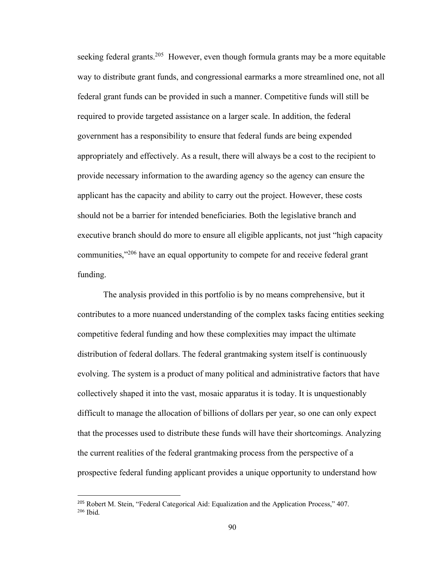seeking federal grants.<sup>205</sup> However, even though formula grants may be a more equitable way to distribute grant funds, and congressional earmarks a more streamlined one, not all federal grant funds can be provided in such a manner. Competitive funds will still be required to provide targeted assistance on a larger scale. In addition, the federal government has a responsibility to ensure that federal funds are being expended appropriately and effectively. As a result, there will always be a cost to the recipient to provide necessary information to the awarding agency so the agency can ensure the applicant has the capacity and ability to carry out the project. However, these costs should not be a barrier for intended beneficiaries. Both the legislative branch and executive branch should do more to ensure all eligible applicants, not just "high capacity communities,<sup>"206</sup> have an equal opportunity to compete for and receive federal grant funding.

The analysis provided in this portfolio is by no means comprehensive, but it contributes to a more nuanced understanding of the complex tasks facing entities seeking competitive federal funding and how these complexities may impact the ultimate distribution of federal dollars. The federal grantmaking system itself is continuously evolving. The system is a product of many political and administrative factors that have collectively shaped it into the vast, mosaic apparatus it is today. It is unquestionably difficult to manage the allocation of billions of dollars per year, so one can only expect that the processes used to distribute these funds will have their shortcomings. Analyzing the current realities of the federal grantmaking process from the perspective of a prospective federal funding applicant provides a unique opportunity to understand how

<sup>&</sup>lt;sup>205</sup> Robert M. Stein, "Federal Categorical Aid: Equalization and the Application Process," 407.  $206$  Ibid.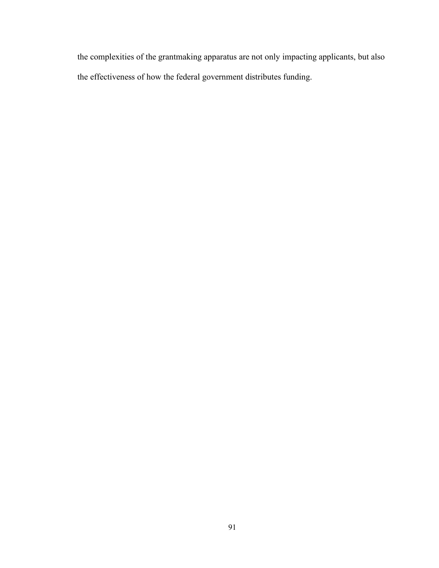the complexities of the grantmaking apparatus are not only impacting applicants, but also the effectiveness of how the federal government distributes funding.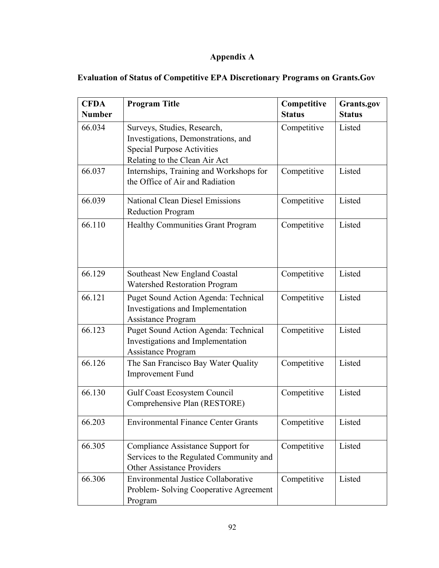# **Appendix A**

| <b>CFDA</b><br><b>Number</b> | <b>Program Title</b>                                                                                                                                    | Competitive<br><b>Status</b> | Grants.gov<br><b>Status</b> |
|------------------------------|---------------------------------------------------------------------------------------------------------------------------------------------------------|------------------------------|-----------------------------|
| 66.034                       | Competitive<br>Surveys, Studies, Research,<br>Investigations, Demonstrations, and<br><b>Special Purpose Activities</b><br>Relating to the Clean Air Act |                              | Listed                      |
| 66.037                       | Internships, Training and Workshops for<br>the Office of Air and Radiation                                                                              | Competitive                  | Listed                      |
| 66.039                       | <b>National Clean Diesel Emissions</b><br><b>Reduction Program</b>                                                                                      | Competitive                  | Listed                      |
| 66.110                       | <b>Healthy Communities Grant Program</b>                                                                                                                | Competitive                  | Listed                      |
| 66.129                       | Southeast New England Coastal<br><b>Watershed Restoration Program</b>                                                                                   | Competitive                  | Listed                      |
| 66.121                       | Puget Sound Action Agenda: Technical<br>Investigations and Implementation<br>Assistance Program                                                         | Competitive                  | Listed                      |
| 66.123                       | Puget Sound Action Agenda: Technical<br>Investigations and Implementation<br><b>Assistance Program</b>                                                  | Competitive                  | Listed                      |
| 66.126                       | The San Francisco Bay Water Quality<br><b>Improvement Fund</b>                                                                                          | Competitive                  | Listed                      |
| 66.130                       | <b>Gulf Coast Ecosystem Council</b><br>Comprehensive Plan (RESTORE)                                                                                     | Competitive                  | Listed                      |
| 66.203                       | <b>Environmental Finance Center Grants</b>                                                                                                              | Competitive                  | Listed                      |
| 66.305                       | Compliance Assistance Support for<br>Services to the Regulated Community and<br><b>Other Assistance Providers</b>                                       | Competitive                  | Listed                      |
| 66.306                       | <b>Environmental Justice Collaborative</b><br>Problem-Solving Cooperative Agreement<br>Program                                                          | Competitive                  | Listed                      |

# **Evaluation of Status of Competitive EPA Discretionary Programs on Grants.Gov**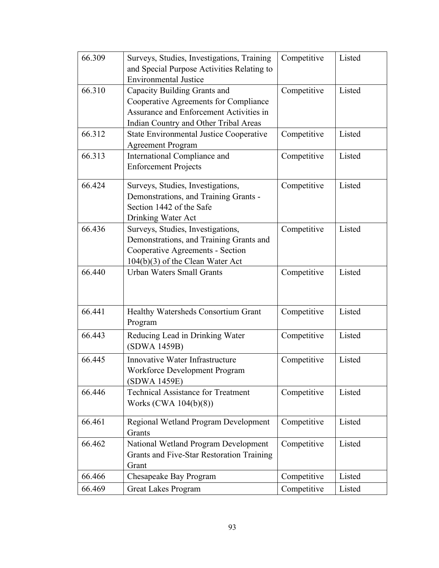| 66.309 | Surveys, Studies, Investigations, Training<br>and Special Purpose Activities Relating to<br><b>Environmental Justice</b>                                  | Competitive |        |
|--------|-----------------------------------------------------------------------------------------------------------------------------------------------------------|-------------|--------|
| 66.310 | Capacity Building Grants and<br>Cooperative Agreements for Compliance<br>Assurance and Enforcement Activities in<br>Indian Country and Other Tribal Areas | Competitive | Listed |
| 66.312 | <b>State Environmental Justice Cooperative</b><br><b>Agreement Program</b>                                                                                | Competitive | Listed |
| 66.313 | International Compliance and<br>Competitive<br><b>Enforcement Projects</b>                                                                                |             | Listed |
| 66.424 | Surveys, Studies, Investigations,<br>Demonstrations, and Training Grants -<br>Section 1442 of the Safe<br>Drinking Water Act                              | Competitive | Listed |
| 66.436 | Surveys, Studies, Investigations,<br>Demonstrations, and Training Grants and<br>Cooperative Agreements - Section<br>$104(b)(3)$ of the Clean Water Act    | Competitive | Listed |
| 66.440 | <b>Urban Waters Small Grants</b>                                                                                                                          | Competitive | Listed |
| 66.441 | Healthy Watersheds Consortium Grant<br>Program                                                                                                            | Competitive | Listed |
| 66.443 | Reducing Lead in Drinking Water<br>(SDWA 1459B)                                                                                                           | Competitive | Listed |
| 66.445 | Innovative Water Infrastructure<br>Workforce Development Program<br>(SDWA 1459E)                                                                          | Competitive | Listed |
| 66.446 | <b>Technical Assistance for Treatment</b><br>Works (CWA 104(b)(8))                                                                                        | Competitive | Listed |
| 66.461 | Regional Wetland Program Development<br>Grants                                                                                                            | Competitive | Listed |
| 66.462 | National Wetland Program Development<br>Grants and Five-Star Restoration Training<br>Grant                                                                | Competitive | Listed |
| 66.466 | Chesapeake Bay Program                                                                                                                                    | Competitive | Listed |
| 66.469 | Competitive<br><b>Great Lakes Program</b><br>Listed                                                                                                       |             |        |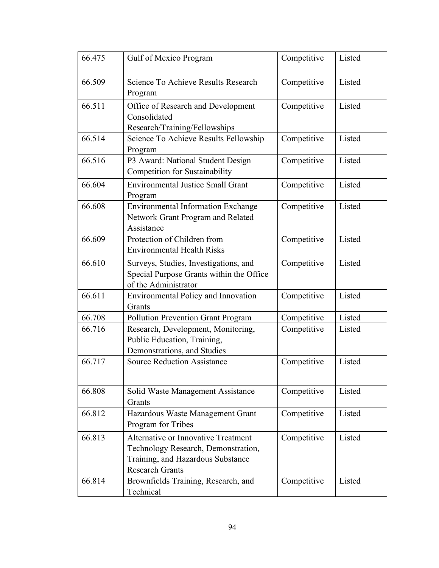| 66.475 | Gulf of Mexico Program                                                                                                                    | Competitive<br>Listed |        |
|--------|-------------------------------------------------------------------------------------------------------------------------------------------|-----------------------|--------|
| 66.509 | Science To Achieve Results Research<br>Competitive<br>Program                                                                             |                       | Listed |
| 66.511 | Office of Research and Development<br>Competitive<br>Consolidated<br>Research/Training/Fellowships                                        |                       | Listed |
| 66.514 | Science To Achieve Results Fellowship<br>Program                                                                                          | Competitive           | Listed |
| 66.516 | P3 Award: National Student Design<br>Competition for Sustainability                                                                       | Listed                |        |
| 66.604 | <b>Environmental Justice Small Grant</b><br>Program                                                                                       | Competitive           |        |
| 66.608 | <b>Environmental Information Exchange</b><br>Network Grant Program and Related<br>Assistance                                              | Competitive           | Listed |
| 66.609 | Protection of Children from<br><b>Environmental Health Risks</b>                                                                          | Competitive           | Listed |
| 66.610 | Surveys, Studies, Investigations, and<br>Special Purpose Grants within the Office<br>of the Administrator                                 | Competitive           | Listed |
| 66.611 | <b>Environmental Policy and Innovation</b><br>Grants                                                                                      | Competitive           | Listed |
| 66.708 | Pollution Prevention Grant Program<br>Competitive                                                                                         |                       | Listed |
| 66.716 | Research, Development, Monitoring,<br>Public Education, Training,<br>Demonstrations, and Studies                                          | Competitive           | Listed |
| 66.717 | <b>Source Reduction Assistance</b>                                                                                                        | Competitive           | Listed |
| 66.808 | Solid Waste Management Assistance<br>Grants                                                                                               | Competitive           | Listed |
| 66.812 | Hazardous Waste Management Grant<br>Program for Tribes                                                                                    | Competitive           | Listed |
| 66.813 | Alternative or Innovative Treatment<br>Technology Research, Demonstration,<br>Training, and Hazardous Substance<br><b>Research Grants</b> | Competitive           | Listed |
| 66.814 | Brownfields Training, Research, and<br>Technical                                                                                          | Competitive           | Listed |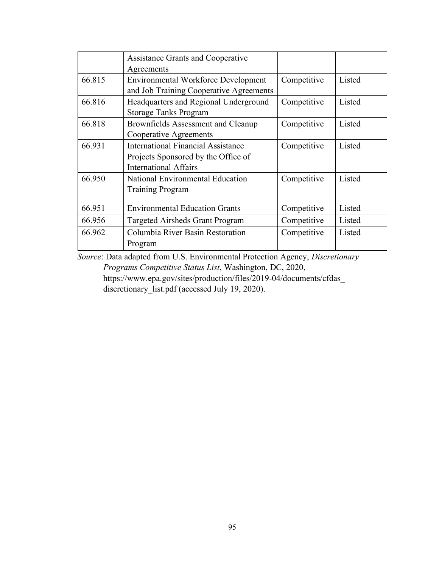|        | <b>Assistance Grants and Cooperative</b>   |                       |        |  |
|--------|--------------------------------------------|-----------------------|--------|--|
|        | Agreements                                 |                       |        |  |
| 66.815 | <b>Environmental Workforce Development</b> | Competitive           | Listed |  |
|        | and Job Training Cooperative Agreements    |                       |        |  |
| 66.816 | Headquarters and Regional Underground      | Competitive           | Listed |  |
|        | <b>Storage Tanks Program</b>               |                       |        |  |
| 66.818 | Brownfields Assessment and Cleanup         | Competitive           | Listed |  |
|        | Cooperative Agreements                     |                       |        |  |
| 66.931 | International Financial Assistance         | Competitive           | Listed |  |
|        | Projects Sponsored by the Office of        |                       |        |  |
|        | International Affairs                      |                       |        |  |
| 66.950 | <b>National Environmental Education</b>    | Competitive           | Listed |  |
|        | <b>Training Program</b>                    |                       |        |  |
| 66.951 | <b>Environmental Education Grants</b>      | Listed<br>Competitive |        |  |
| 66.956 | <b>Targeted Airsheds Grant Program</b>     | Competitive           | Listed |  |
| 66.962 | Columbia River Basin Restoration           | Competitive           | Listed |  |
|        | Program                                    |                       |        |  |

*Source*: Data adapted from U.S. Environmental Protection Agency, *Discretionary* 

*Programs Competitive Status List*, Washington, DC, 2020, https://www.epa.gov/sites/production/files/2019-04/documents/cfdas\_ discretionary\_list.pdf (accessed July 19, 2020).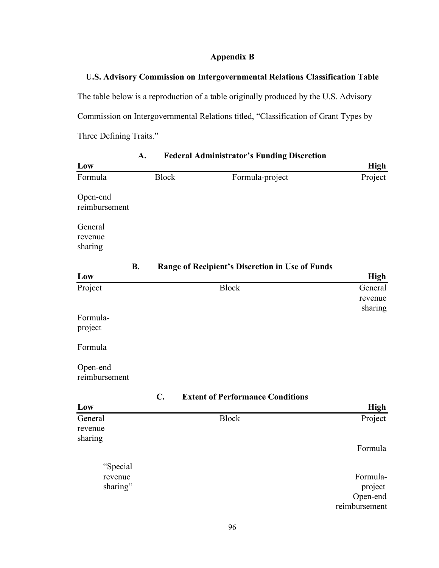## **Appendix B**

## **U.S. Advisory Commission on Intergovernmental Relations Classification Table**

The table below is a reproduction of a table originally produced by the U.S. Advisory Commission on Intergovernmental Relations titled, "Classification of Grant Types by Three Defining Traits."

| A.                        |               | <b>Federal Administrator's Funding Discretion</b> |               |
|---------------------------|---------------|---------------------------------------------------|---------------|
| Low                       |               |                                                   | <b>High</b>   |
| Formula                   | <b>Block</b>  | Formula-project                                   | Project       |
|                           |               |                                                   |               |
| Open-end<br>reimbursement |               |                                                   |               |
|                           |               |                                                   |               |
| General                   |               |                                                   |               |
| revenue<br>sharing        |               |                                                   |               |
|                           |               |                                                   |               |
| <b>B.</b>                 |               | Range of Recipient's Discretion in Use of Funds   |               |
| Low                       |               |                                                   | <b>High</b>   |
| Project                   |               | <b>Block</b>                                      | General       |
|                           |               |                                                   | revenue       |
| Formula-                  |               |                                                   | sharing       |
| project                   |               |                                                   |               |
|                           |               |                                                   |               |
| Formula                   |               |                                                   |               |
| Open-end                  |               |                                                   |               |
| reimbursement             |               |                                                   |               |
|                           | $C_{\bullet}$ |                                                   |               |
| Low                       |               | <b>Extent of Performance Conditions</b>           | High          |
| General                   |               | <b>Block</b>                                      | Project       |
| revenue                   |               |                                                   |               |
| sharing                   |               |                                                   |               |
|                           |               |                                                   | Formula       |
| "Special                  |               |                                                   |               |
| revenue                   |               |                                                   | Formula-      |
| sharing"                  |               |                                                   | project       |
|                           |               |                                                   | Open-end      |
|                           |               |                                                   | reimbursement |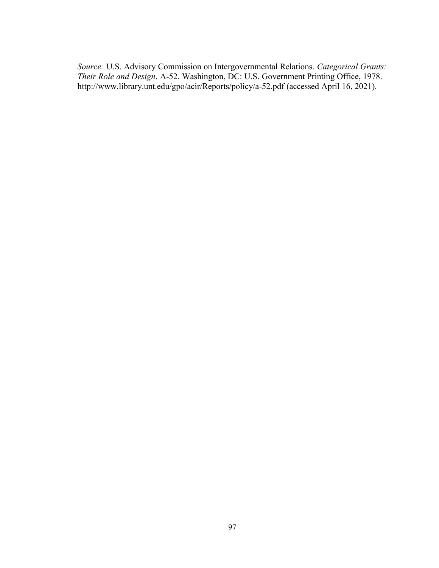*Source:* U.S. Advisory Commission on Intergovernmental Relations. *Categorical Grants: Their Role and Design*. A-52. Washington, DC: U.S. Government Printing Office, 1978. http://www.library.unt.edu/gpo/acir/Reports/policy/a-52.pdf (accessed April 16, 2021).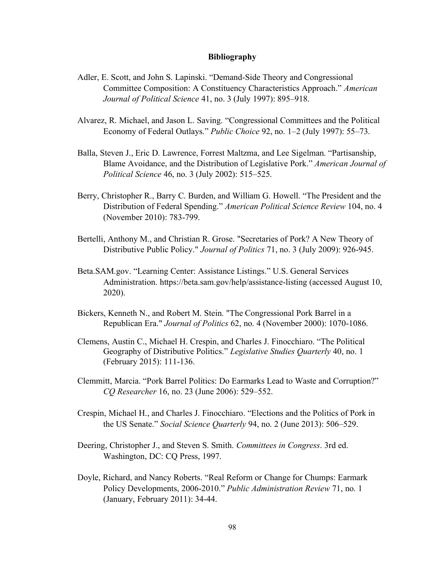#### **Bibliography**

- Adler, E. Scott, and John S. Lapinski. "Demand-Side Theory and Congressional Committee Composition: A Constituency Characteristics Approach." *American Journal of Political Science* 41, no. 3 (July 1997): 895–918.
- Alvarez, R. Michael, and Jason L. Saving. "Congressional Committees and the Political Economy of Federal Outlays." *Public Choice* 92, no. 1–2 (July 1997): 55–73.
- Balla, Steven J., Eric D. Lawrence, Forrest Maltzma, and Lee Sigelman. "Partisanship, Blame Avoidance, and the Distribution of Legislative Pork." *American Journal of Political Science* 46, no. 3 (July 2002): 515–525.
- Berry, Christopher R., Barry C. Burden, and William G. Howell. "The President and the Distribution of Federal Spending." *American Political Science Review* 104, no. 4 (November 2010): 783-799.
- Bertelli, Anthony M., and Christian R. Grose. "Secretaries of Pork? A New Theory of Distributive Public Policy." *Journal of Politics* 71, no. 3 (July 2009): 926-945.
- Beta.SAM.gov. "Learning Center: Assistance Listings." U.S. General Services Administration. https://beta.sam.gov/help/assistance-listing (accessed August 10, 2020).
- Bickers, Kenneth N., and Robert M. Stein. "The Congressional Pork Barrel in a Republican Era." *Journal of Politics* 62, no. 4 (November 2000): 1070-1086.
- Clemens, Austin C., Michael H. Crespin, and Charles J. Finocchiaro. "The Political Geography of Distributive Politics." *Legislative Studies Quarterly* 40, no. 1 (February 2015): 111-136.
- Clemmitt, Marcia. "Pork Barrel Politics: Do Earmarks Lead to Waste and Corruption?" *CQ Researcher* 16, no. 23 (June 2006): 529–552.
- Crespin, Michael H., and Charles J. Finocchiaro. "Elections and the Politics of Pork in the US Senate." *Social Science Quarterly* 94, no. 2 (June 2013): 506–529.
- Deering, Christopher J., and Steven S. Smith. *Committees in Congress*. 3rd ed. Washington, DC: CQ Press, 1997.
- Doyle, Richard, and Nancy Roberts. "Real Reform or Change for Chumps: Earmark Policy Developments, 2006-2010." *Public Administration Review* 71, no. 1 (January, February 2011): 34-44.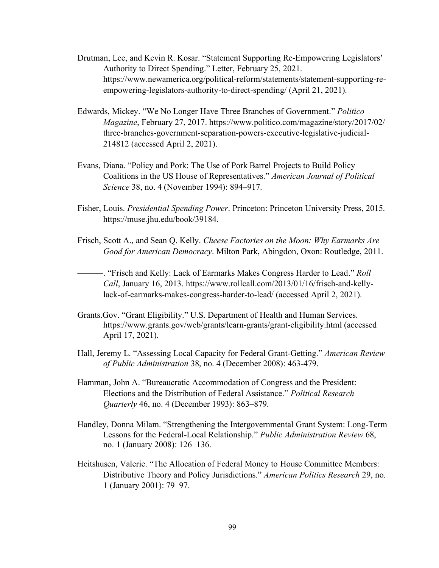- Drutman, Lee, and Kevin R. Kosar. "Statement Supporting Re-Empowering Legislators' Authority to Direct Spending." Letter, February 25, 2021. https://www.newamerica.org/political-reform/statements/statement-supporting-reempowering-legislators-authority-to-direct-spending/ (April 21, 2021).
- Edwards, Mickey. "We No Longer Have Three Branches of Government." *Politico Magazine*, February 27, 2017. https://www.politico.com/magazine/story/2017/02/ three-branches-government-separation-powers-executive-legislative-judicial-214812 (accessed April 2, 2021).
- Evans, Diana. "Policy and Pork: The Use of Pork Barrel Projects to Build Policy Coalitions in the US House of Representatives." *American Journal of Political Science* 38, no. 4 (November 1994): 894–917.
- Fisher, Louis. *Presidential Spending Power*. Princeton: Princeton University Press, 2015. https://muse.jhu.edu/book/39184.
- Frisch, Scott A., and Sean Q. Kelly. *Cheese Factories on the Moon: Why Earmarks Are Good for American Democracy*. Milton Park, Abingdon, Oxon: Routledge, 2011.

———. "Frisch and Kelly: Lack of Earmarks Makes Congress Harder to Lead." *Roll Call*, January 16, 2013. https://www.rollcall.com/2013/01/16/frisch-and-kellylack-of-earmarks-makes-congress-harder-to-lead/ (accessed April 2, 2021).

- Grants.Gov. "Grant Eligibility." U.S. Department of Health and Human Services. https://www.grants.gov/web/grants/learn-grants/grant-eligibility.html (accessed April 17, 2021).
- Hall, Jeremy L. "Assessing Local Capacity for Federal Grant-Getting." *American Review of Public Administration* 38, no. 4 (December 2008): 463-479.
- Hamman, John A. "Bureaucratic Accommodation of Congress and the President: Elections and the Distribution of Federal Assistance." *Political Research Quarterly* 46, no. 4 (December 1993): 863–879.
- Handley, Donna Milam. "Strengthening the Intergovernmental Grant System: Long-Term Lessons for the Federal-Local Relationship." *Public Administration Review* 68, no. 1 (January 2008): 126–136.
- Heitshusen, Valerie. "The Allocation of Federal Money to House Committee Members: Distributive Theory and Policy Jurisdictions." *American Politics Research* 29, no. 1 (January 2001): 79–97.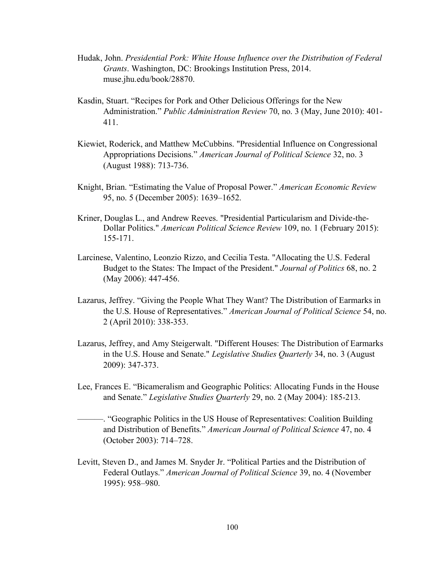- Hudak, John. *Presidential Pork: White House Influence over the Distribution of Federal Grants*. Washington, DC: Brookings Institution Press, 2014. muse.jhu.edu/book/28870.
- Kasdin, Stuart. "Recipes for Pork and Other Delicious Offerings for the New Administration." *Public Administration Review* 70, no. 3 (May, June 2010): 401- 411.
- Kiewiet, Roderick, and Matthew McCubbins. "Presidential Influence on Congressional Appropriations Decisions." *American Journal of Political Science* 32, no. 3 (August 1988): 713-736.
- Knight, Brian. "Estimating the Value of Proposal Power." *American Economic Review* 95, no. 5 (December 2005): 1639–1652.
- Kriner, Douglas L., and Andrew Reeves. "Presidential Particularism and Divide-the-Dollar Politics." *American Political Science Review* 109, no. 1 (February 2015): 155-171.
- Larcinese, Valentino, Leonzio Rizzo, and Cecilia Testa. "Allocating the U.S. Federal Budget to the States: The Impact of the President." *Journal of Politics* 68, no. 2 (May 2006): 447-456.
- Lazarus, Jeffrey. "Giving the People What They Want? The Distribution of Earmarks in the U.S. House of Representatives." *American Journal of Political Science* 54, no. 2 (April 2010): 338-353.
- Lazarus, Jeffrey, and Amy Steigerwalt. "Different Houses: The Distribution of Earmarks in the U.S. House and Senate." *Legislative Studies Quarterly* 34, no. 3 (August 2009): 347-373.
- Lee, Frances E. "Bicameralism and Geographic Politics: Allocating Funds in the House and Senate." *Legislative Studies Quarterly* 29, no. 2 (May 2004): 185-213.
- ———. "Geographic Politics in the US House of Representatives: Coalition Building and Distribution of Benefits." *American Journal of Political Science* 47, no. 4 (October 2003): 714–728.
- Levitt, Steven D., and James M. Snyder Jr. "Political Parties and the Distribution of Federal Outlays." *American Journal of Political Science* 39, no. 4 (November 1995): 958–980.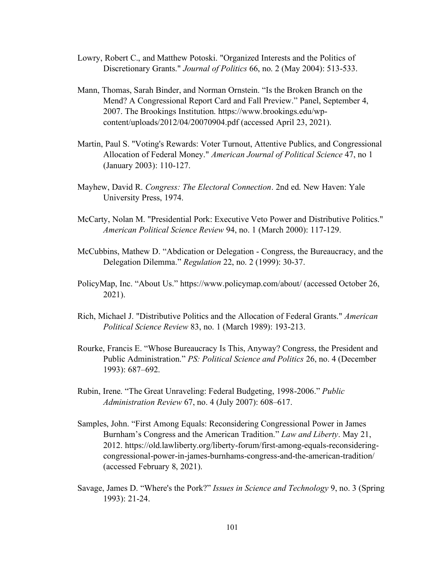- Lowry, Robert C., and Matthew Potoski. "Organized Interests and the Politics of Discretionary Grants." *Journal of Politics* 66, no. 2 (May 2004): 513-533.
- Mann, Thomas, Sarah Binder, and Norman Ornstein. "Is the Broken Branch on the Mend? A Congressional Report Card and Fall Preview." Panel, September 4, 2007. The Brookings Institution. https://www.brookings.edu/wpcontent/uploads/2012/04/20070904.pdf (accessed April 23, 2021).
- Martin, Paul S. "Voting's Rewards: Voter Turnout, Attentive Publics, and Congressional Allocation of Federal Money." *American Journal of Political Science* 47, no 1 (January 2003): 110-127.
- Mayhew, David R. *Congress: The Electoral Connection*. 2nd ed. New Haven: Yale University Press, 1974.
- McCarty, Nolan M. "Presidential Pork: Executive Veto Power and Distributive Politics." *American Political Science Review* 94, no. 1 (March 2000): 117-129.
- McCubbins, Mathew D. "Abdication or Delegation Congress, the Bureaucracy, and the Delegation Dilemma." *Regulation* 22, no. 2 (1999): 30-37.
- PolicyMap, Inc. "About Us." https://www.policymap.com/about/ (accessed October 26, 2021).
- Rich, Michael J. "Distributive Politics and the Allocation of Federal Grants." *American Political Science Review* 83, no. 1 (March 1989): 193-213.
- Rourke, Francis E. "Whose Bureaucracy Is This, Anyway? Congress, the President and Public Administration." *PS: Political Science and Politics* 26, no. 4 (December 1993): 687–692.
- Rubin, Irene. "The Great Unraveling: Federal Budgeting, 1998-2006." *Public Administration Review* 67, no. 4 (July 2007): 608–617.
- Samples, John. "First Among Equals: Reconsidering Congressional Power in James Burnham's Congress and the American Tradition." *Law and Liberty*. May 21, 2012. https://old.lawliberty.org/liberty-forum/first-among-equals-reconsideringcongressional-power-in-james-burnhams-congress-and-the-american-tradition/ (accessed February 8, 2021).
- Savage, James D. "Where's the Pork?" *Issues in Science and Technology* 9, no. 3 (Spring 1993): 21-24.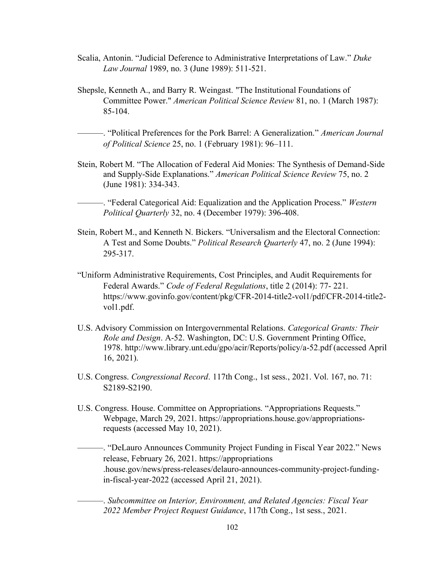- Scalia, Antonin. "Judicial Deference to Administrative Interpretations of Law." *Duke Law Journal* 1989, no. 3 (June 1989): 511-521.
- Shepsle, Kenneth A., and Barry R. Weingast. "The Institutional Foundations of Committee Power." *American Political Science Review* 81, no. 1 (March 1987): 85-104.

———. "Political Preferences for the Pork Barrel: A Generalization." *American Journal of Political Science* 25, no. 1 (February 1981): 96–111.

- Stein, Robert M. "The Allocation of Federal Aid Monies: The Synthesis of Demand-Side and Supply-Side Explanations." *American Political Science Review* 75, no. 2 (June 1981): 334-343.
- ———. "Federal Categorical Aid: Equalization and the Application Process." *Western Political Quarterly* 32, no. 4 (December 1979): 396-408.
- Stein, Robert M., and Kenneth N. Bickers. "Universalism and the Electoral Connection: A Test and Some Doubts." *Political Research Quarterly* 47, no. 2 (June 1994): 295-317.
- "Uniform Administrative Requirements, Cost Principles, and Audit Requirements for Federal Awards." *Code of Federal Regulations*, title 2 (2014): 77- 221. https://www.govinfo.gov/content/pkg/CFR-2014-title2-vol1/pdf/CFR-2014-title2 vol1.pdf.
- U.S. Advisory Commission on Intergovernmental Relations. *Categorical Grants: Their Role and Design*. A-52. Washington, DC: U.S. Government Printing Office, 1978. http://www.library.unt.edu/gpo/acir/Reports/policy/a-52.pdf (accessed April 16, 2021).
- U.S. Congress. *Congressional Record*. 117th Cong., 1st sess., 2021. Vol. 167, no. 71: S2189-S2190.
- U.S. Congress. House. Committee on Appropriations. "Appropriations Requests." Webpage, March 29, 2021. https://appropriations.house.gov/appropriationsrequests (accessed May 10, 2021).

———. "DeLauro Announces Community Project Funding in Fiscal Year 2022." News release, February 26, 2021. https://appropriations .house.gov/news/press-releases/delauro-announces-community-project-fundingin-fiscal-year-2022 (accessed April 21, 2021).

———. *Subcommittee on Interior, Environment, and Related Agencies: Fiscal Year 2022 Member Project Request Guidance*, 117th Cong., 1st sess., 2021.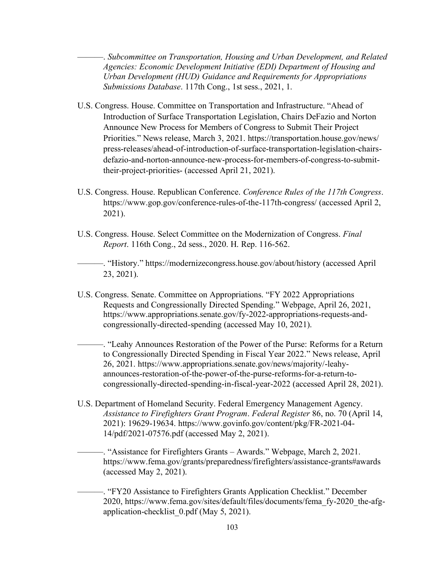———. *Subcommittee on Transportation, Housing and Urban Development, and Related Agencies: Economic Development Initiative (EDI) Department of Housing and Urban Development (HUD) Guidance and Requirements for Appropriations Submissions Database*. 117th Cong., 1st sess., 2021, 1.

- U.S. Congress. House. Committee on Transportation and Infrastructure. "Ahead of Introduction of Surface Transportation Legislation, Chairs DeFazio and Norton Announce New Process for Members of Congress to Submit Their Project Priorities." News release, March 3, 2021. https://transportation.house.gov/news/ press-releases/ahead-of-introduction-of-surface-transportation-legislation-chairsdefazio-and-norton-announce-new-process-for-members-of-congress-to-submittheir-project-priorities- (accessed April 21, 2021).
- U.S. Congress. House. Republican Conference. *Conference Rules of the 117th Congress*. https://www.gop.gov/conference-rules-of-the-117th-congress/ (accessed April 2, 2021).
- U.S. Congress. House. Select Committee on the Modernization of Congress. *Final Report*. 116th Cong., 2d sess., 2020. H. Rep. 116-562.

———. "History." https://modernizecongress.house.gov/about/history (accessed April 23, 2021).

U.S. Congress. Senate. Committee on Appropriations. "FY 2022 Appropriations Requests and Congressionally Directed Spending." Webpage, April 26, 2021, https://www.appropriations.senate.gov/fy-2022-appropriations-requests-andcongressionally-directed-spending (accessed May 10, 2021).

———. "Leahy Announces Restoration of the Power of the Purse: Reforms for a Return to Congressionally Directed Spending in Fiscal Year 2022." News release, April 26, 2021. https://www.appropriations.senate.gov/news/majority/-leahyannounces-restoration-of-the-power-of-the-purse-reforms-for-a-return-tocongressionally-directed-spending-in-fiscal-year-2022 (accessed April 28, 2021).

U.S. Department of Homeland Security. Federal Emergency Management Agency. *Assistance to Firefighters Grant Program*. *Federal Register* 86, no. 70 (April 14, 2021): 19629-19634. https://www.govinfo.gov/content/pkg/FR-2021-04- 14/pdf/2021-07576.pdf (accessed May 2, 2021).

———. "Assistance for Firefighters Grants – Awards." Webpage, March 2, 2021. https://www.fema.gov/grants/preparedness/firefighters/assistance-grants#awards (accessed May 2, 2021).

———. "FY20 Assistance to Firefighters Grants Application Checklist." December 2020, https://www.fema.gov/sites/default/files/documents/fema\_fy-2020\_the-afgapplication-checklist 0.pdf (May 5, 2021).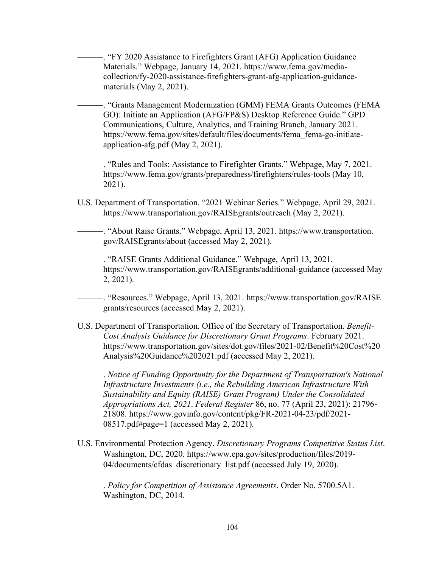———. "FY 2020 Assistance to Firefighters Grant (AFG) Application Guidance Materials." Webpage, January 14, 2021. https://www.fema.gov/mediacollection/fy-2020-assistance-firefighters-grant-afg-application-guidancematerials (May 2, 2021).

———. "Grants Management Modernization (GMM) FEMA Grants Outcomes (FEMA GO): Initiate an Application (AFG/FP&S) Desktop Reference Guide." GPD Communications, Culture, Analytics, and Training Branch, January 2021. https://www.fema.gov/sites/default/files/documents/fema\_fema-go-initiateapplication-afg.pdf (May 2, 2021).

———. "Rules and Tools: Assistance to Firefighter Grants." Webpage, May 7, 2021. https://www.fema.gov/grants/preparedness/firefighters/rules-tools (May 10, 2021).

U.S. Department of Transportation. "2021 Webinar Series." Webpage, April 29, 2021. https://www.transportation.gov/RAISEgrants/outreach (May 2, 2021).

———. "About Raise Grants." Webpage, April 13, 2021. https://www.transportation. gov/RAISEgrants/about (accessed May 2, 2021).

———. "RAISE Grants Additional Guidance." Webpage, April 13, 2021. https://www.transportation.gov/RAISEgrants/additional-guidance (accessed May 2, 2021).

———. "Resources." Webpage, April 13, 2021. https://www.transportation.gov/RAISE grants/resources (accessed May 2, 2021).

U.S. Department of Transportation. Office of the Secretary of Transportation. *Benefit-Cost Analysis Guidance for Discretionary Grant Programs*. February 2021. https://www.transportation.gov/sites/dot.gov/files/2021-02/Benefit%20Cost%20 Analysis%20Guidance%202021.pdf (accessed May 2, 2021).

———. *Notice of Funding Opportunity for the Department of Transportation's National Infrastructure Investments (i.e., the Rebuilding American Infrastructure With Sustainability and Equity (RAISE) Grant Program) Under the Consolidated Appropriations Act, 2021*. *Federal Register* 86, no. 77 (April 23, 2021): 21796- 21808. https://www.govinfo.gov/content/pkg/FR-2021-04-23/pdf/2021- 08517.pdf#page=1 (accessed May 2, 2021).

U.S. Environmental Protection Agency. *Discretionary Programs Competitive Status List*. Washington, DC, 2020. https://www.epa.gov/sites/production/files/2019- 04/documents/cfdas\_discretionary\_list.pdf (accessed July 19, 2020).

———. *Policy for Competition of Assistance Agreements*. Order No. 5700.5A1. Washington, DC, 2014.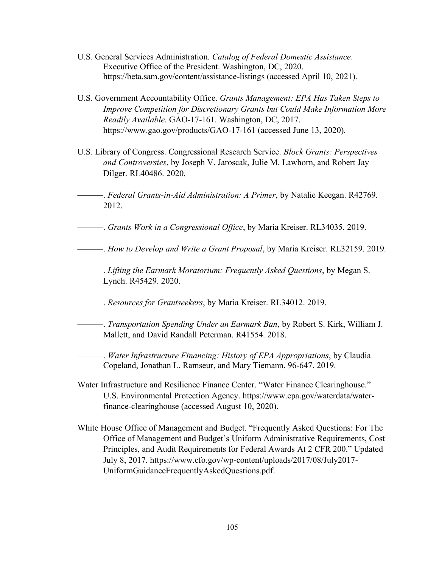- U.S. General Services Administration. *Catalog of Federal Domestic Assistance*. Executive Office of the President. Washington, DC, 2020. https://beta.sam.gov/content/assistance-listings (accessed April 10, 2021).
- U.S. Government Accountability Office. *Grants Management: EPA Has Taken Steps to Improve Competition for Discretionary Grants but Could Make Information More Readily Available*. GAO-17-161. Washington, DC, 2017. https://www.gao.gov/products/GAO-17-161 (accessed June 13, 2020).
- U.S. Library of Congress. Congressional Research Service. *Block Grants: Perspectives and Controversies*, by Joseph V. Jaroscak, Julie M. Lawhorn, and Robert Jay Dilger. RL40486. 2020.
- ———. *Federal Grants-in-Aid Administration: A Primer*, by Natalie Keegan. R42769. 2012.
- ———. *Grants Work in a Congressional Office*, by Maria Kreiser. RL34035. 2019.
- ———. *How to Develop and Write a Grant Proposal*, by Maria Kreiser. RL32159. 2019.
- ———. *Lifting the Earmark Moratorium: Frequently Asked Questions*, by Megan S. Lynch. R45429. 2020.
- ———. *Resources for Grantseekers*, by Maria Kreiser. RL34012. 2019.
- ———. *Transportation Spending Under an Earmark Ban*, by Robert S. Kirk, William J. Mallett, and David Randall Peterman. R41554. 2018.
	- ———. *Water Infrastructure Financing: History of EPA Appropriations*, by Claudia Copeland, Jonathan L. Ramseur, and Mary Tiemann. 96-647. 2019.
- Water Infrastructure and Resilience Finance Center. "Water Finance Clearinghouse." U.S. Environmental Protection Agency. https://www.epa.gov/waterdata/waterfinance-clearinghouse (accessed August 10, 2020).
- White House Office of Management and Budget. "Frequently Asked Questions: For The Office of Management and Budget's Uniform Administrative Requirements, Cost Principles, and Audit Requirements for Federal Awards At 2 CFR 200." Updated July 8, 2017. https://www.cfo.gov/wp-content/uploads/2017/08/July2017- UniformGuidanceFrequentlyAskedQuestions.pdf.